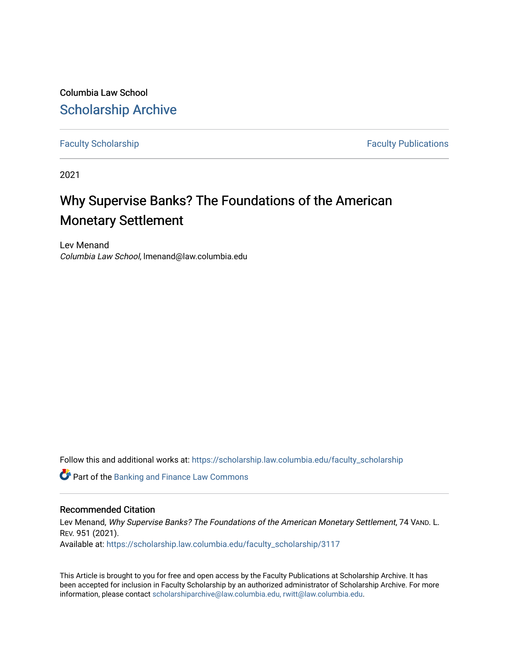Columbia Law School [Scholarship Archive](https://scholarship.law.columbia.edu/) 

[Faculty Scholarship](https://scholarship.law.columbia.edu/faculty_scholarship) **Faculty Scholarship Faculty Publications** 

2021

# Why Supervise Banks? The Foundations of the American Monetary Settlement

Lev Menand Columbia Law School, lmenand@law.columbia.edu

Follow this and additional works at: [https://scholarship.law.columbia.edu/faculty\\_scholarship](https://scholarship.law.columbia.edu/faculty_scholarship?utm_source=scholarship.law.columbia.edu%2Ffaculty_scholarship%2F3117&utm_medium=PDF&utm_campaign=PDFCoverPages)

**C** Part of the Banking and Finance Law Commons

# Recommended Citation

Lev Menand, Why Supervise Banks? The Foundations of the American Monetary Settlement, 74 VAND. L. REV. 951 (2021). Available at: [https://scholarship.law.columbia.edu/faculty\\_scholarship/3117](https://scholarship.law.columbia.edu/faculty_scholarship/3117?utm_source=scholarship.law.columbia.edu%2Ffaculty_scholarship%2F3117&utm_medium=PDF&utm_campaign=PDFCoverPages)

This Article is brought to you for free and open access by the Faculty Publications at Scholarship Archive. It has been accepted for inclusion in Faculty Scholarship by an authorized administrator of Scholarship Archive. For more information, please contact [scholarshiparchive@law.columbia.edu, rwitt@law.columbia.edu](mailto:scholarshiparchive@law.columbia.edu,%20rwitt@law.columbia.edu).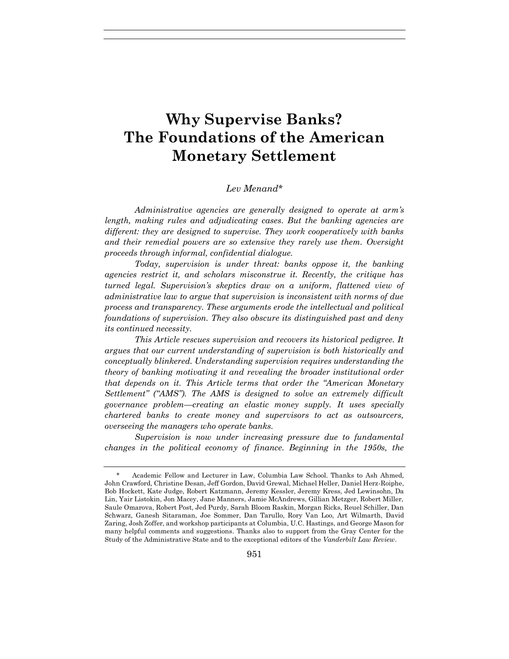# **Why Supervise Banks? The Foundations of the American Monetary Settlement**

## *Lev Menand\**

*Administrative agencies are generally designed to operate at arm's length, making rules and adjudicating cases. But the banking agencies are different: they are designed to supervise. They work cooperatively with banks and their remedial powers are so extensive they rarely use them. Oversight proceeds through informal, confidential dialogue.* 

*Today, supervision is under threat: banks oppose it, the banking agencies restrict it, and scholars misconstrue it. Recently, the critique has turned legal. Supervision's skeptics draw on a uniform, flattened view of administrative law to argue that supervision is inconsistent with norms of due process and transparency. These arguments erode the intellectual and political foundations of supervision. They also obscure its distinguished past and deny its continued necessity.*

*This Article rescues supervision and recovers its historical pedigree. It argues that our current understanding of supervision is both historically and conceptually blinkered. Understanding supervision requires understanding the theory of banking motivating it and revealing the broader institutional order that depends on it. This Article terms that order the "American Monetary Settlement" ("AMS"). The AMS is designed to solve an extremely difficult governance problem—creating an elastic money supply. It uses specially chartered banks to create money and supervisors to act as outsourcers, overseeing the managers who operate banks.* 

*Supervision is now under increasing pressure due to fundamental changes in the political economy of finance. Beginning in the 1950s, the* 

Academic Fellow and Lecturer in Law, Columbia Law School. Thanks to Ash Ahmed, John Crawford, Christine Desan, Jeff Gordon, David Grewal, Michael Heller, Daniel Herz-Roiphe, Bob Hockett, Kate Judge, Robert Katzmann, Jeremy Kessler, Jeremy Kress, Jed Lewinsohn, Da Lin, Yair Listokin, Jon Macey, Jane Manners, Jamie McAndrews, Gillian Metzger, Robert Miller, Saule Omarova, Robert Post, Jed Purdy, Sarah Bloom Raskin, Morgan Ricks, Reuel Schiller, Dan Schwarz, Ganesh Sitaraman, Joe Sommer, Dan Tarullo, Rory Van Loo, Art Wilmarth, David Zaring, Josh Zoffer, and workshop participants at Columbia, U.C. Hastings, and George Mason for many helpful comments and suggestions. Thanks also to support from the Gray Center for the Study of the Administrative State and to the exceptional editors of the *Vanderbilt Law Review*.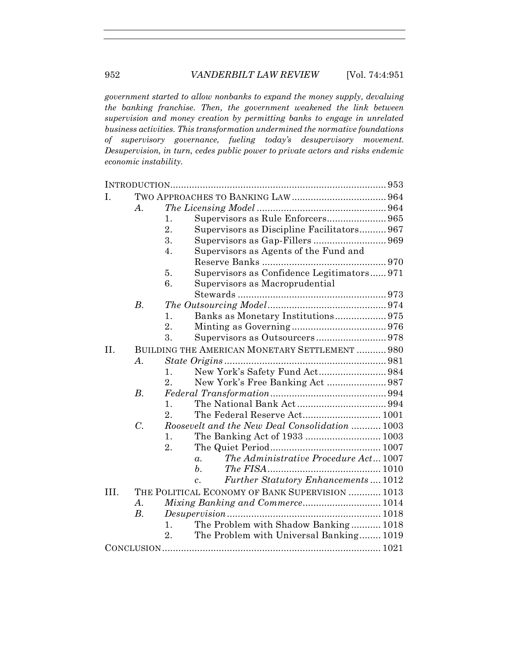*government started to allow nonbanks to expand the money supply, devaluing the banking franchise. Then, the government weakened the link between supervision and money creation by permitting banks to engage in unrelated business activities. This transformation undermined the normative foundations of supervisory governance, fueling today's desupervisory movement. Desupervision, in turn, cedes public power to private actors and risks endemic economic instability.* 

| I.   |                                                 |                  |                                                          |  |
|------|-------------------------------------------------|------------------|----------------------------------------------------------|--|
|      | A.                                              |                  |                                                          |  |
|      |                                                 | 1.               | Supervisors as Rule Enforcers 965                        |  |
|      |                                                 | 2.               | Supervisors as Discipline Facilitators 967               |  |
|      |                                                 | 3.               |                                                          |  |
|      |                                                 | 4.               | Supervisors as Agents of the Fund and                    |  |
|      |                                                 |                  |                                                          |  |
|      |                                                 | 5.               | Supervisors as Confidence Legitimators 971               |  |
|      |                                                 | 6.               | Supervisors as Macroprudential                           |  |
|      |                                                 |                  |                                                          |  |
|      | $B_{\cdot}$                                     |                  |                                                          |  |
|      |                                                 | 1.               |                                                          |  |
|      |                                                 | 2.               |                                                          |  |
|      |                                                 | 3.               |                                                          |  |
| II.  | BUILDING THE AMERICAN MONETARY SETTLEMENT  980  |                  |                                                          |  |
|      | А.                                              |                  |                                                          |  |
|      |                                                 | 1.               |                                                          |  |
|      |                                                 | 2.               |                                                          |  |
|      | B.                                              |                  |                                                          |  |
|      |                                                 | 1.               |                                                          |  |
|      |                                                 | 2.               | The Federal Reserve Act 1001                             |  |
|      | $\overline{C}$ .                                |                  | Roosevelt and the New Deal Consolidation  1003           |  |
|      |                                                 | 1.               |                                                          |  |
|      |                                                 | 2.               |                                                          |  |
|      |                                                 |                  | The Administrative Procedure Act 1007<br>$\alpha$ .      |  |
|      |                                                 |                  | $b_{-}$                                                  |  |
|      |                                                 |                  | Further Statutory Enhancements  1012<br>$\overline{c}$ . |  |
| III. | THE POLITICAL ECONOMY OF BANK SUPERVISION  1013 |                  |                                                          |  |
|      | $\boldsymbol{\mathcal{A}}$ .                    |                  |                                                          |  |
|      | B.                                              |                  |                                                          |  |
|      |                                                 | 1.               | The Problem with Shadow Banking 1018                     |  |
|      |                                                 | $\overline{2}$ . | The Problem with Universal Banking 1019                  |  |
|      |                                                 |                  |                                                          |  |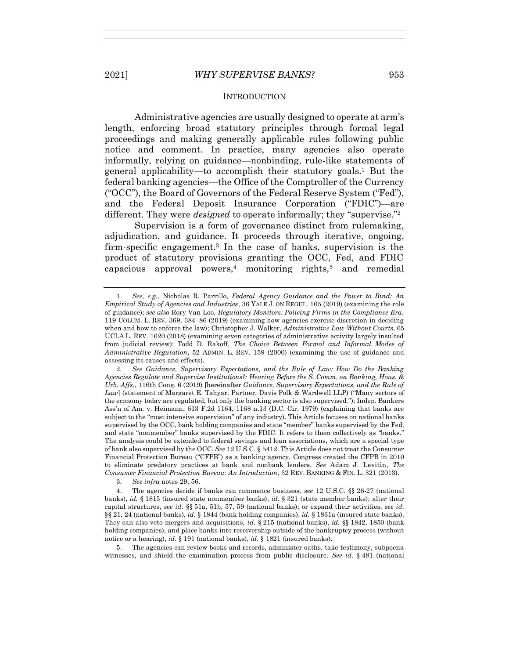### <span id="page-3-1"></span><span id="page-3-0"></span>**INTRODUCTION**

Administrative agencies are usually designed to operate at arm's length, enforcing broad statutory principles through formal legal proceedings and making generally applicable rules following public notice and comment. In practice, many agencies also operate informally, relying on guidance—nonbinding, rule-like statements of general applicability—to accomplish their statutory goals.<sup>1</sup> But the federal banking agencies—the Office of the Comptroller of the Currency ("OCC"), the Board of Governors of the Federal Reserve System ("Fed"), and the Federal Deposit Insurance Corporation ("FDIC")—are different. They were *designed* to operate informally; they "supervise."<sup>2</sup>

Supervision is a form of governance distinct from rulemaking, adjudication, and guidance. It proceeds through iterative, ongoing, firm-specific engagement.<sup>3</sup> In the case of banks, supervision is the product of statutory provisions granting the OCC, Fed, and FDIC capacious approval powers,<sup>4</sup> monitoring rights,<sup>5</sup> and remedial

2*. See Guidance, Supervisory Expectations, and the Rule of Law: How Do the Banking Agencies Regulate and Supervise Institutions?: Hearing Before the S. Comm. on Banking, Hous. & Urb. Affs.*, 116th Cong. 6 (2019) [hereinafter *Guidance, Supervisory Expectations, and the Rule of Law*] (statement of Margaret E. Tahyar, Partner, Davis Polk & Wardwell LLP) ("Many sectors of the economy today are regulated, but only the banking sector is also supervised."); Indep. Bankers Ass'n of Am. v. Heimann, 613 F.2d 1164, 1168 n.13 (D.C. Cir. 1979) (explaining that banks are subject to the "most intensive supervision" of any industry). This Article focuses on national banks supervised by the OCC, bank holding companies and state "member" banks supervised by the Fed, and state "nonmember" banks supervised by the FDIC. It refers to them collectively as "banks." The analysis could be extended to federal savings and loan associations, which are a special type of bank also supervised by the OCC. *See* 12 U.S.C. § 5412. This Article does not treat the Consumer Financial Protection Bureau ("CFPB") as a banking agency. Congress created the CFPB in 2010 to eliminate predatory practices at bank and nonbank lenders. *See* Adam J. Levitin, *The Consumer Financial Protection Bureau: An Introduction*, 32 REV. BANKING & FIN. L. 321 (2013).

3*. See infra* notes [29,](#page-7-0) [56.](#page-15-0)

4. The agencies decide if banks can commence business, *see* 12 U.S.C. §§ 26-27 (national banks), *id.* § 1815 (insured state nonmember banks), *id.* § 321 (state member banks); alter their capital structures, *see id.* §§ 51a, 51b, 57, 59 (national banks); or expand their activities, *see id.* §§ 21, 24 (national banks), *id.* § 1844 (bank holding companies), *id.* § 1831a (insured state banks). They can also veto mergers and acquisitions, *id.* § 215 (national banks), *id.* §§ 1842, 1850 (bank holding companies), and place banks into receivership outside of the bankruptcy process (without notice or a hearing), *id.* § 191 (national banks), *id.* § 1821 (insured banks).

5. The agencies can review books and records, administer oaths, take testimony, subpoena witnesses, and shield the examination process from public disclosure. *See id.* § 481 (national

<sup>1.</sup> *See, e.g.*, Nicholas R. Parrillo, *Federal Agency Guidance and the Power to Bind: An Empirical Study of Agencies and Industries*, 36 YALE J. ON REGUL. 165 (2019) (examining the role of guidance); *see also* Rory Van Loo, *Regulatory Monitors: Policing Firms in the Compliance Era*, 119 COLUM. L. REV. 369, 384–86 (2019) (examining how agencies exercise discretion in deciding when and how to enforce the law); Christopher J. Walker, *Administrative Law Without Courts*, 65 UCLA L. REV. 1620 (2018) (examining seven categories of administrative activity largely insulted from judicial review); Todd D. Rakoff, *The Choice Between Formal and Informal Modes of Administrative Regulation*, 52 ADMIN. L. REV. 159 (2000) (examining the use of guidance and assessing its causes and effects).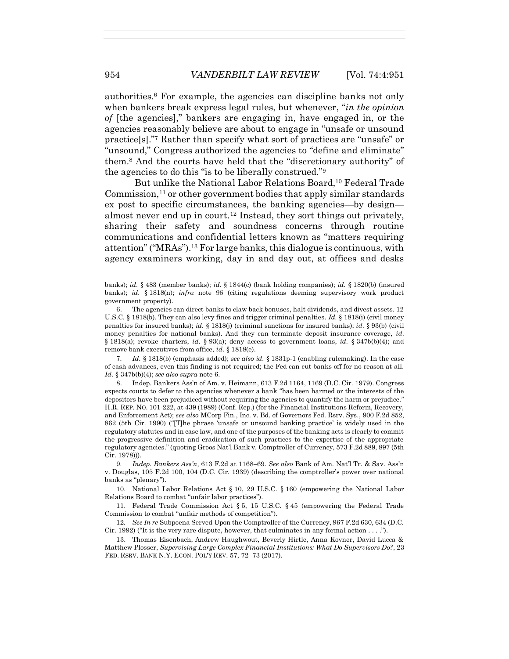<span id="page-4-0"></span>authorities.<sup>6</sup> For example, the agencies can discipline banks not only when bankers break express legal rules, but whenever, "*in the opinion of* [the agencies]," bankers are engaging in, have engaged in, or the agencies reasonably believe are about to engage in "unsafe or unsound practice[s]."<sup>7</sup> Rather than specify what sort of practices are "unsafe" or "unsound," Congress authorized the agencies to "define and eliminate" them.<sup>8</sup> And the courts have held that the "discretionary authority" of the agencies to do this "is to be liberally construed."<sup>9</sup>

But unlike the National Labor Relations Board,<sup>10</sup> Federal Trade Commission, $<sup>11</sup>$  or other government bodies that apply similar standards</sup> ex post to specific circumstances, the banking agencies—by design almost never end up in court.<sup>12</sup> Instead, they sort things out privately, sharing their safety and soundness concerns through routine communications and confidential letters known as "matters requiring attention" ("MRAs").<sup>13</sup> For large banks, this dialogue is continuous, with agency examiners working, day in and day out, at offices and desks

7*. Id.* § 1818(b) (emphasis added); *see also id.* § 1831p-1 (enabling rulemaking). In the case of cash advances, even this finding is not required; the Fed can cut banks off for no reason at all. *Id.* § 347b(b)(4); *see also supra* note [6.](#page-4-0)

8. Indep. Bankers Ass'n of Am. v. Heimann, 613 F.2d 1164, 1169 (D.C. Cir. 1979). Congress expects courts to defer to the agencies whenever a bank "has been harmed or the interests of the depositors have been prejudiced without requiring the agencies to quantify the harm or prejudice." H.R. REP. NO. 101-222, at 439 (1989) (Conf. Rep.) (for the Financial Institutions Reform, Recovery, and Enforcement Act); *see also* MCorp Fin., Inc. v. Bd. of Governors Fed. Rsrv. Sys*.*, 900 F.2d 852, 862 (5th Cir. 1990) ("[T]he phrase 'unsafe or unsound banking practice' is widely used in the regulatory statutes and in case law, and one of the purposes of the banking acts is clearly to commit the progressive definition and eradication of such practices to the expertise of the appropriate regulatory agencies." (quoting Groos Nat'l Bank v. Comptroller of Currency*,* 573 F.2d 889, 897 (5th Cir. 1978))).

9*. Indep. Bankers Ass'n*, 613 F.2d at 1168–69. *See also* Bank of Am. Nat'l Tr. & Sav. Ass'n v. Douglas, 105 F.2d 100, 104 (D.C. Cir. 1939) (describing the comptroller's power over national banks as "plenary").

10. National Labor Relations Act § 10, 29 U.S.C. § 160 (empowering the National Labor Relations Board to combat "unfair labor practices").

11. Federal Trade Commission Act § 5, 15 U.S.C. § 45 (empowering the Federal Trade Commission to combat "unfair methods of competition").

12*. See In re* Subpoena Served Upon the Comptroller of the Currency, 967 F.2d 630, 634 (D.C. Cir. 1992) ("It is the very rare dispute, however, that culminates in any formal action  $\dots$ ").

13. Thomas Eisenbach, Andrew Haughwout, Beverly Hirtle, Anna Kovner, David Lucca & Matthew Plosser, *Supervising Large Complex Financial Institutions: What Do Supervisors Do?*, 23 FED. RSRV. BANK N.Y. ECON. POL'Y REV. 57, 72–73 (2017).

<span id="page-4-1"></span>banks); *id.* § 483 (member banks); *id.* § 1844(c) (bank holding companies); *id.* § 1820(b) (insured banks); *id.* § 1818(n); *infra* note [96](#page-23-0) (citing regulations deeming supervisory work product government property).

<sup>6.</sup> The agencies can direct banks to claw back bonuses, halt dividends, and divest assets. 12 U.S.C. § 1818(b). They can also levy fines and trigger criminal penalties. *Id.* § 1818(i) (civil money penalties for insured banks); *id.* § 1818(j) (criminal sanctions for insured banks); *id.* § 93(b) (civil money penalties for national banks). And they can terminate deposit insurance coverage, *id.* § 1818(a); revoke charters, *id.* § 93(a); deny access to government loans, *id.* § 347b(b)(4); and remove bank executives from office, *id.* § 1818(e).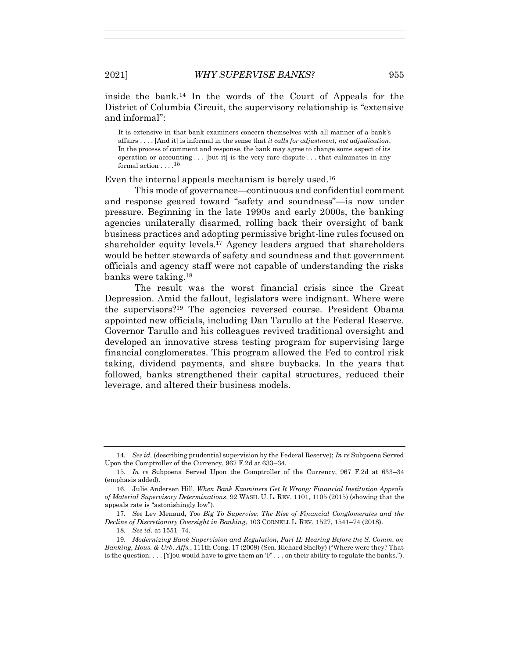inside the bank.<sup>14</sup> In the words of the Court of Appeals for the District of Columbia Circuit, the supervisory relationship is "extensive and informal":

It is extensive in that bank examiners concern themselves with all manner of a bank's affairs . . . . [And it] is informal in the sense that *it calls for adjustment, not adjudication*. In the process of comment and response, the bank may agree to change some aspect of its operation or accounting . . . [but it] is the very rare dispute . . . that culminates in any formal action . . . . <sup>15</sup>

Even the internal appeals mechanism is barely used.<sup>16</sup>

This mode of governance—continuous and confidential comment and response geared toward "safety and soundness"—is now under pressure. Beginning in the late 1990s and early 2000s, the banking agencies unilaterally disarmed, rolling back their oversight of bank business practices and adopting permissive bright-line rules focused on shareholder equity levels.<sup>17</sup> Agency leaders argued that shareholders would be better stewards of safety and soundness and that government officials and agency staff were not capable of understanding the risks banks were taking.<sup>18</sup>

<span id="page-5-0"></span>The result was the worst financial crisis since the Great Depression. Amid the fallout, legislators were indignant. Where were the supervisors? <sup>19</sup> The agencies reversed course. President Obama appointed new officials, including Dan Tarullo at the Federal Reserve. Governor Tarullo and his colleagues revived traditional oversight and developed an innovative stress testing program for supervising large financial conglomerates. This program allowed the Fed to control risk taking, dividend payments, and share buybacks. In the years that followed, banks strengthened their capital structures, reduced their leverage, and altered their business models.

<sup>14</sup>*. See id.* (describing prudential supervision by the Federal Reserve); *In re* Subpoena Served Upon the Comptroller of the Currency, 967 F.2d at 633–34.

<sup>15</sup>*. In re* Subpoena Served Upon the Comptroller of the Currency, 967 F.2d at 633–34 (emphasis added).

<sup>16.</sup> Julie Andersen Hill, *When Bank Examiners Get It Wrong: Financial Institution Appeals of Material Supervisory Determinations*, 92 WASH. U. L. REV. 1101, 1105 (2015) (showing that the appeals rate is "astonishingly low").

<sup>17</sup>*. See* Lev Menand, *Too Big To Supervise: The Rise of Financial Conglomerates and the Decline of Discretionary Oversight in Banking*, 103 CORNELL L. REV. 1527, 1541–74 (2018).

<sup>18</sup>*. See id.* at 1551–74.

<sup>19.</sup> *Modernizing Bank Supervision and Regulation, Part II: Hearing Before the S. Comm. on Banking, Hous. & Urb. Affs.*, 111th Cong. 17 (2009) (Sen. Richard Shelby) ("Where were they? That is the question.  $\ldots$  [Y] ou would have to give them an 'F'  $\ldots$  on their ability to regulate the banks.").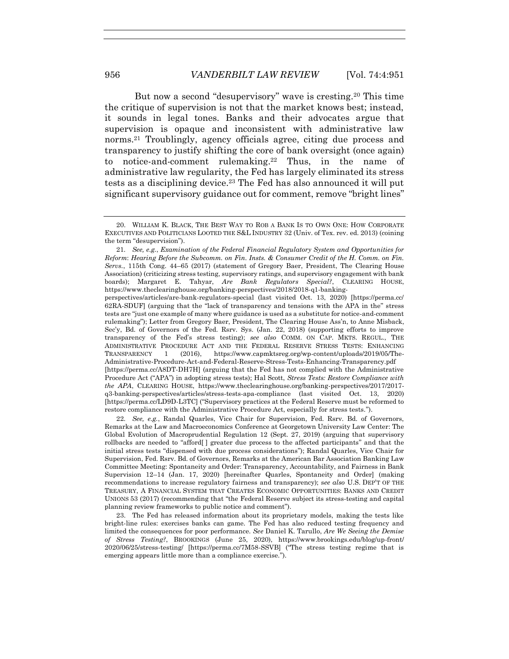But now a second "desupervisory" wave is cresting.<sup>20</sup> This time the critique of supervision is not that the market knows best; instead, it sounds in legal tones. Banks and their advocates argue that supervision is opaque and inconsistent with administrative law norms.<sup>21</sup> Troublingly, agency officials agree, citing due process and transparency to justify shifting the core of bank oversight (once again) to notice-and-comment rulemaking.<sup>22</sup> Thus, in the name of administrative law regularity, the Fed has largely eliminated its stress tests as a disciplining device.<sup>23</sup> The Fed has also announced it will put significant supervisory guidance out for comment, remove "bright lines"

22*. See, e.g.*, Randal Quarles, Vice Chair for Supervision, Fed. Rsrv. Bd. of Governors, Remarks at the Law and Macroeconomics Conference at Georgetown University Law Center: The Global Evolution of Macroprudential Regulation 12 (Sept. 27, 2019) (arguing that supervisory rollbacks are needed to "afford[ ] greater due process to the affected participants" and that the initial stress tests "dispensed with due process considerations"); Randal Quarles, Vice Chair for Supervision, Fed. Rsrv. Bd. of Governors, Remarks at the American Bar Association Banking Law Committee Meeting: Spontaneity and Order: Transparency, Accountability, and Fairness in Bank Supervision 12–14 (Jan. 17, 2020) [hereinafter Quarles, Spontaneity and Order] (making recommendations to increase regulatory fairness and transparency); s*ee also* U.S. DEP'T OF THE TREASURY, A FINANCIAL SYSTEM THAT CREATES ECONOMIC OPPORTUNITIES: BANKS AND CREDIT UNIONS 53 (2017) (recommending that "the Federal Reserve subject its stress-testing and capital planning review frameworks to public notice and comment").

23. The Fed has released information about its proprietary models, making the tests like bright-line rules: exercises banks can game. The Fed has also reduced testing frequency and limited the consequences for poor performance. *See* Daniel K. Tarullo, *Are We Seeing the Demise of Stress Testing?*, BROOKINGS (June 25, 2020), https://www.brookings.edu/blog/up-front/ 2020/06/25/stress-testing/ [https://perma.cc/7M58-SSVB] ("The stress testing regime that is emerging appears little more than a compliance exercise.").

<span id="page-6-0"></span><sup>20.</sup> WILLIAM K. BLACK, THE BEST WAY TO ROB A BANK IS TO OWN ONE: HOW CORPORATE EXECUTIVES AND POLITICIANS LOOTED THE S&L INDUSTRY 32 (Univ. of Tex. rev. ed. 2013) (coining the term "desupervision").

<sup>21</sup>*. See, e.g.*, *Examination of the Federal Financial Regulatory System and Opportunities for Reform*: *Hearing Before the Subcomm. on Fin. Insts. & Consumer Credit of the H. Comm. on Fin. Servs.*, 115th Cong. 44–65 (2017) (statement of Gregory Baer, President, The Clearing House Association) (criticizing stress testing, supervisory ratings, and supervisory engagement with bank boards); Margaret E. Tahyar, *Are Bank Regulators Special?*, CLEARING HOUSE, https://www.theclearinghouse.org/banking-perspectives/2018/2018-q1-banking-

perspectives/articles/are-bank-regulators-special (last visited Oct. 13, 2020) [https://perma.cc/ 62RA-SDUF] (arguing that the "lack of transparency and tensions with the APA in the" stress tests are "just one example of many where guidance is used as a substitute for notice-and-comment rulemaking"); Letter from Gregory Baer, President, The Clearing House Ass'n, to Anne Misback, Sec'y, Bd. of Governors of the Fed. Rsrv. Sys. (Jan. 22, 2018) (supporting efforts to improve transparency of the Fed's stress testing); *see also* COMM. ON CAP. MKTS. REGUL., THE ADMINISTRATIVE PROCEDURE ACT AND THE FEDERAL RESERVE STRESS TESTS: ENHANCING TRANSPARENCY 1 (2016), https://www.capmktsreg.org/wp-content/uploads/2019/05/The-Administrative-Procedure-Act-and-Federal-Reserve-Stress-Tests-Enhancing-Transparency.pdf [https://perma.cc/A8DT-DH7H] (arguing that the Fed has not complied with the Administrative Procedure Act ("APA") in adopting stress tests); Hal Scott, *Stress Tests: Restore Compliance with the APA*, CLEARING HOUSE, https://www.theclearinghouse.org/banking-perspectives/2017/2017 q3-banking-perspectives/articles/stress-tests-apa-compliance (last visited Oct. 13, 2020) [https://perma.cc/LD9D-L3TC] ("Supervisory practices at the Federal Reserve must be reformed to restore compliance with the Administrative Procedure Act, especially for stress tests.").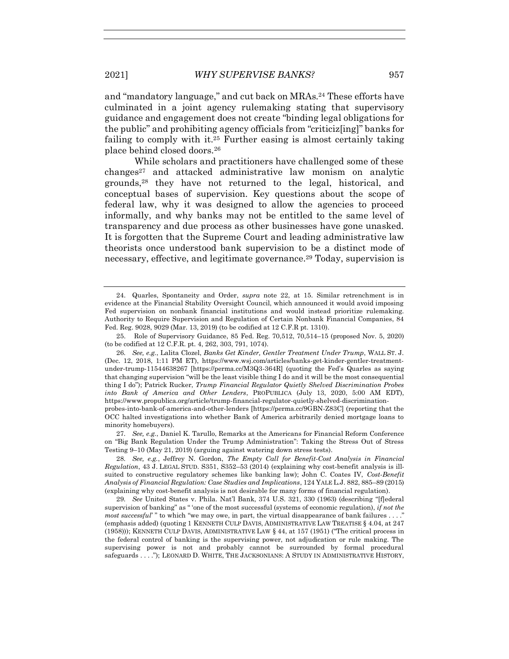and "mandatory language," and cut back on MRAs.<sup>24</sup> These efforts have culminated in a joint agency rulemaking stating that supervisory guidance and engagement does not create "binding legal obligations for the public" and prohibiting agency officials from "criticiz[ing]" banks for failing to comply with it. <sup>25</sup> Further easing is almost certainly taking place behind closed doors.<sup>26</sup>

While scholars and practitioners have challenged some of these changes<sup>27</sup> and attacked administrative law monism on analytic grounds,<sup>28</sup> they have not returned to the legal, historical, and conceptual bases of supervision. Key questions about the scope of federal law, why it was designed to allow the agencies to proceed informally, and why banks may not be entitled to the same level of transparency and due process as other businesses have gone unasked. It is forgotten that the Supreme Court and leading administrative law theorists once understood bank supervision to be a distinct mode of necessary, effective, and legitimate governance.<sup>29</sup> Today, supervision is

27*. See, e.g.*, Daniel K. Tarullo, Remarks at the Americans for Financial Reform Conference on "Big Bank Regulation Under the Trump Administration": Taking the Stress Out of Stress Testing 9–10 (May 21, 2019) (arguing against watering down stress tests).

28*. See, e.g.*, Jeffrey N. Gordon, *The Empty Call for Benefit-Cost Analysis in Financial Regulation*, 43 J. LEGAL STUD. S351, S352–53 (2014) (explaining why cost-benefit analysis is illsuited to constructive regulatory schemes like banking law); John C. Coates IV, *Cost-Benefit Analysis of Financial Regulation: Case Studies and Implications*, 124 YALE L.J. 882, 885–89 (2015) (explaining why cost-benefit analysis is not desirable for many forms of financial regulation).

29*. See* United States v. Phila. Nat'l Bank, 374 U.S. 321, 330 (1963) (describing "[f]ederal supervision of banking" as " 'one of the most successful (systems of economic regulation), *if not the most successful*' " to which "we may owe, in part, the virtual disappearance of bank failures . . . ." (emphasis added) (quoting 1 KENNETH CULP DAVIS, ADMINISTRATIVE LAW TREATISE § 4.04, at 247 (1958))); KENNETH CULP DAVIS, ADMINISTRATIVE LAW § 44, at 157 (1951) ("The critical process in the federal control of banking is the supervising power, not adjudication or rule making. The supervising power is not and probably cannot be surrounded by formal procedural safeguards . . . ."); LEONARD D. WHITE, THE JACKSONIANS: A STUDY IN ADMINISTRATIVE HISTORY,

<span id="page-7-0"></span><sup>24.</sup> Quarles, Spontaneity and Order, *supra* note [22,](#page-6-0) at 15. Similar retrenchment is in evidence at the Financial Stability Oversight Council, which announced it would avoid imposing Fed supervision on nonbank financial institutions and would instead prioritize rulemaking. Authority to Require Supervision and Regulation of Certain Nonbank Financial Companies, 84 Fed. Reg. 9028, 9029 (Mar. 13, 2019) (to be codified at 12 C.F.R pt. 1310).

<sup>25.</sup> Role of Supervisory Guidance, 85 Fed. Reg. 70,512, 70,514–15 (proposed Nov. 5, 2020) (to be codified at 12 C.F.R. pt. 4, 262, 303, 791, 1074).

<sup>26</sup>*. See, e.g.*, Lalita Clozel, *Banks Get Kinder, Gentler Treatment Under Trump*, WALL ST. J. (Dec. 12, 2018, 1:11 PM ET), https://www.wsj.com/articles/banks-get-kinder-gentler-treatmentunder-trump-11544638267 [https://perma.cc/M3Q3-364R] (quoting the Fed's Quarles as saying that changing supervision "will be the least visible thing I do and it will be the most consequential thing I do"); Patrick Rucker, *Trump Financial Regulator Quietly Shelved Discrimination Probes into Bank of America and Other Lenders*, PROPUBLICA (July 13, 2020, 5:00 AM EDT), https://www.propublica.org/article/trump-financial-regulator-quietly-shelved-discriminationprobes-into-bank-of-america-and-other-lenders [https://perma.cc/9GBN-Z83C] (reporting that the

OCC halted investigations into whether Bank of America arbitrarily denied mortgage loans to minority homebuyers).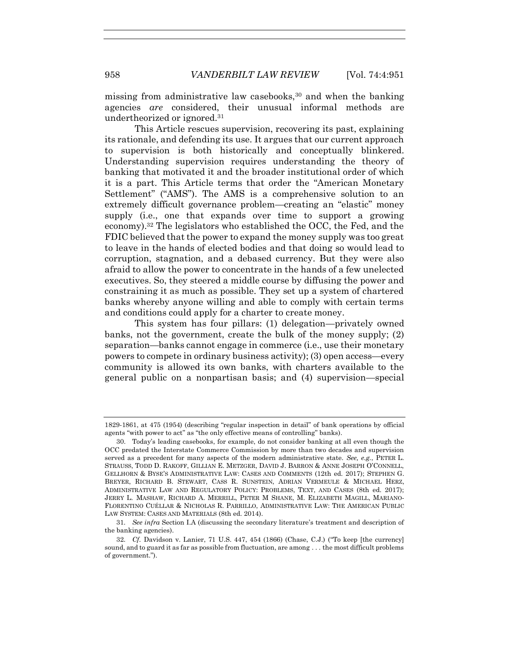missing from administrative law casebooks,<sup>30</sup> and when the banking agencies *are* considered, their unusual informal methods are undertheorized or ignored.<sup>31</sup>

This Article rescues supervision, recovering its past, explaining its rationale, and defending its use. It argues that our current approach to supervision is both historically and conceptually blinkered. Understanding supervision requires understanding the theory of banking that motivated it and the broader institutional order of which it is a part. This Article terms that order the "American Monetary Settlement" ("AMS"). The AMS is a comprehensive solution to an extremely difficult governance problem—creating an "elastic" money supply (i.e., one that expands over time to support a growing economy). <sup>32</sup> The legislators who established the OCC, the Fed, and the FDIC believed that the power to expand the money supply was too great to leave in the hands of elected bodies and that doing so would lead to corruption, stagnation, and a debased currency. But they were also afraid to allow the power to concentrate in the hands of a few unelected executives. So, they steered a middle course by diffusing the power and constraining it as much as possible. They set up a system of chartered banks whereby anyone willing and able to comply with certain terms and conditions could apply for a charter to create money.

This system has four pillars: (1) delegation—privately owned banks, not the government, create the bulk of the money supply; (2) separation—banks cannot engage in commerce (i.e., use their monetary powers to compete in ordinary business activity); (3) open access—every community is allowed its own banks, with charters available to the general public on a nonpartisan basis; and (4) supervision—special

<sup>1829-1861,</sup> at 475 (1954) (describing "regular inspection in detail" of bank operations by official agents "with power to act" as "the only effective means of controlling" banks).

<sup>30.</sup> Today's leading casebooks, for example, do not consider banking at all even though the OCC predated the Interstate Commerce Commission by more than two decades and supervision served as a precedent for many aspects of the modern administrative state. *See, e.g.*, PETER L. STRAUSS, TODD D. RAKOFF, GILLIAN E. METZGER, DAVID J. BARRON & ANNE JOSEPH O'CONNELL, GELLHORN & BYSE'S ADMINISTRATIVE LAW: CASES AND COMMENTS (12th ed. 2017); STEPHEN G. BREYER, RICHARD B. STEWART, CASS R. SUNSTEIN, ADRIAN VERMEULE & MICHAEL HERZ, ADMINISTRATIVE LAW AND REGULATORY POLICY: PROBLEMS, TEXT, AND CASES (8th ed. 2017); JERRY L. MASHAW, RICHARD A. MERRILL, PETER M SHANE, M. ELIZABETH MAGILL, MARIANO-FLORENTINO CUÉLLAR & NICHOLAS R. PARRILLO, ADMINISTRATIVE LAW: THE AMERICAN PUBLIC LAW SYSTEM: CASES AND MATERIALS (8th ed. 2014).

<sup>31</sup>*. See infra* Section I.A (discussing the secondary literature's treatment and description of the banking agencies).

<sup>32</sup>*. Cf.* Davidson v. Lanier, 71 U.S. 447, 454 (1866) (Chase, C.J.) ("To keep [the currency] sound, and to guard it as far as possible from fluctuation, are among . . . the most difficult problems of government.").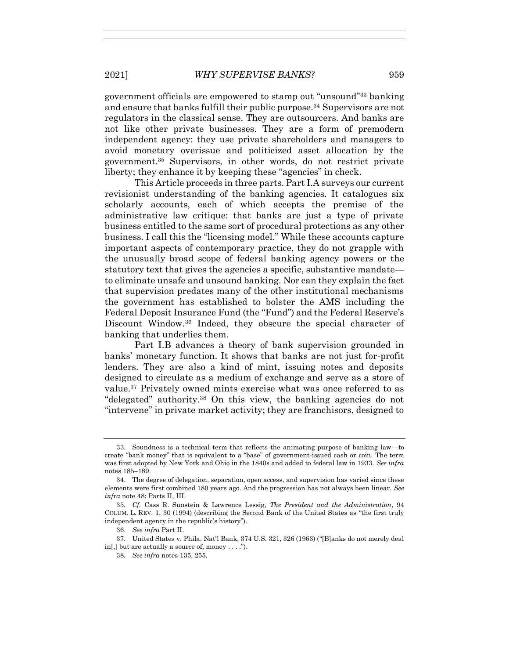government officials are empowered to stamp out "unsound"<sup>33</sup> banking and ensure that banks fulfill their public purpose.<sup>34</sup> Supervisors are not regulators in the classical sense. They are outsourcers. And banks are not like other private businesses. They are a form of premodern independent agency: they use private shareholders and managers to avoid monetary overissue and politicized asset allocation by the government.<sup>35</sup> Supervisors, in other words, do not restrict private liberty; they enhance it by keeping these "agencies" in check.

This Article proceeds in three parts. Part I.A surveys our current revisionist understanding of the banking agencies. It catalogues six scholarly accounts, each of which accepts the premise of the administrative law critique: that banks are just a type of private business entitled to the same sort of procedural protections as any other business. I call this the "licensing model." While these accounts capture important aspects of contemporary practice, they do not grapple with the unusually broad scope of federal banking agency powers or the statutory text that gives the agencies a specific, substantive mandate to eliminate unsafe and unsound banking. Nor can they explain the fact that supervision predates many of the other institutional mechanisms the government has established to bolster the AMS including the Federal Deposit Insurance Fund (the "Fund") and the Federal Reserve's Discount Window.<sup>36</sup> Indeed, they obscure the special character of banking that underlies them.

Part I.B advances a theory of bank supervision grounded in banks' monetary function. It shows that banks are not just for-profit lenders. They are also a kind of mint, issuing notes and deposits designed to circulate as a medium of exchange and serve as a store of value.<sup>37</sup> Privately owned mints exercise what was once referred to as "delegated" authority.<sup>38</sup> On this view, the banking agencies do not "intervene" in private market activity; they are franchisors, designed to

<sup>33.</sup> Soundness is a technical term that reflects the animating purpose of banking law—to create "bank money" that is equivalent to a "base" of government-issued cash or coin. The term was first adopted by New York and Ohio in the 1840s and added to federal law in 1933. *See infra* notes [185](#page-41-0)–[189.](#page-42-0)

<sup>34.</sup> The degree of delegation, separation, open access, and supervision has varied since these elements were first combined 180 years ago. And the progression has not always been linear. *See infra* note [48;](#page-13-0) Parts II, III.

<sup>35</sup>*. Cf.* Cass R. Sunstein & Lawrence Lessig, *The President and the Administration*, 94 COLUM. L. REV. 1, 30 (1994) (describing the Second Bank of the United States as "the first truly independent agency in the republic's history").

<sup>36.</sup> *See infra* Part II.

<sup>37.</sup> United States v. Phila. Nat'l Bank, 374 U.S. 321, 326 (1963) ("[B]anks do not merely deal in[,] but are actually a source of, money  $\dots$ .").

<sup>38</sup>*. See infra* note[s 135,](#page-32-0) [255.](#page-52-0)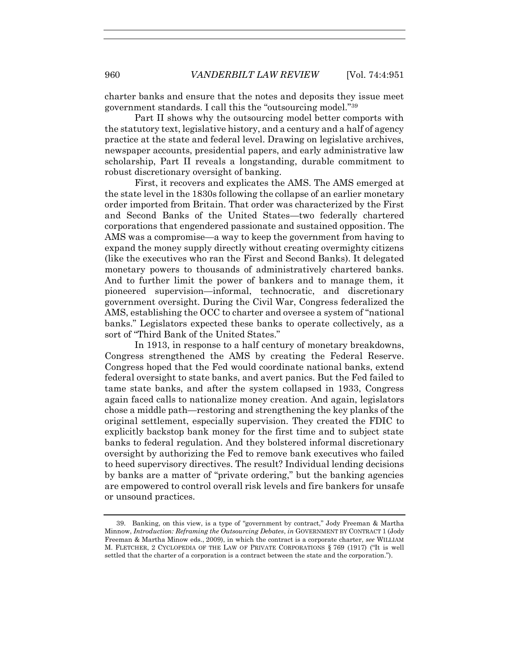charter banks and ensure that the notes and deposits they issue meet government standards. I call this the "outsourcing model." 39

Part II shows why the outsourcing model better comports with the statutory text, legislative history, and a century and a half of agency practice at the state and federal level. Drawing on legislative archives, newspaper accounts, presidential papers, and early administrative law scholarship, Part II reveals a longstanding, durable commitment to robust discretionary oversight of banking.

First, it recovers and explicates the AMS. The AMS emerged at the state level in the 1830s following the collapse of an earlier monetary order imported from Britain. That order was characterized by the First and Second Banks of the United States—two federally chartered corporations that engendered passionate and sustained opposition. The AMS was a compromise—a way to keep the government from having to expand the money supply directly without creating overmighty citizens (like the executives who ran the First and Second Banks). It delegated monetary powers to thousands of administratively chartered banks. And to further limit the power of bankers and to manage them, it pioneered supervision—informal, technocratic, and discretionary government oversight. During the Civil War, Congress federalized the AMS, establishing the OCC to charter and oversee a system of "national banks." Legislators expected these banks to operate collectively, as a sort of "Third Bank of the United States."

In 1913, in response to a half century of monetary breakdowns, Congress strengthened the AMS by creating the Federal Reserve. Congress hoped that the Fed would coordinate national banks, extend federal oversight to state banks, and avert panics. But the Fed failed to tame state banks, and after the system collapsed in 1933, Congress again faced calls to nationalize money creation. And again, legislators chose a middle path—restoring and strengthening the key planks of the original settlement, especially supervision. They created the FDIC to explicitly backstop bank money for the first time and to subject state banks to federal regulation. And they bolstered informal discretionary oversight by authorizing the Fed to remove bank executives who failed to heed supervisory directives. The result? Individual lending decisions by banks are a matter of "private ordering," but the banking agencies are empowered to control overall risk levels and fire bankers for unsafe or unsound practices.

<sup>39.</sup> Banking, on this view, is a type of "government by contract," Jody Freeman & Martha Minnow, *Introduction: Reframing the Outsourcing Debates*, *in* GOVERNMENT BY CONTRACT 1 (Jody Freeman & Martha Minow eds., 2009), in which the contract is a corporate charter, *see* WILLIAM M. FLETCHER, 2 CYCLOPEDIA OF THE LAW OF PRIVATE CORPORATIONS § 769 (1917) ("It is well settled that the charter of a corporation is a contract between the state and the corporation.").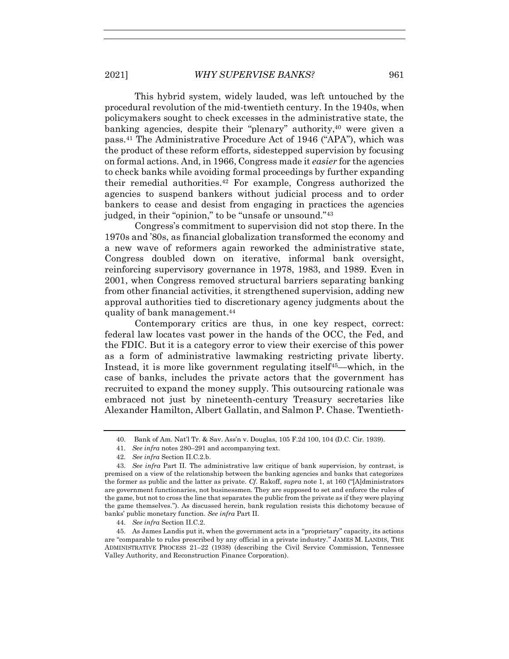This hybrid system, widely lauded, was left untouched by the procedural revolution of the mid-twentieth century. In the 1940s, when policymakers sought to check excesses in the administrative state, the banking agencies, despite their "plenary" authority,<sup>40</sup> were given a pass.<sup>41</sup> The Administrative Procedure Act of 1946 ("APA"), which was the product of these reform efforts, sidestepped supervision by focusing on formal actions. And, in 1966, Congress made it *easier* for the agencies to check banks while avoiding formal proceedings by further expanding their remedial authorities. <sup>42</sup> For example, Congress authorized the agencies to suspend bankers without judicial process and to order bankers to cease and desist from engaging in practices the agencies judged, in their "opinion," to be "unsafe or unsound."<sup>43</sup>

Congress's commitment to supervision did not stop there. In the 1970s and '80s, as financial globalization transformed the economy and a new wave of reformers again reworked the administrative state, Congress doubled down on iterative, informal bank oversight, reinforcing supervisory governance in 1978, 1983, and 1989. Even in 2001, when Congress removed structural barriers separating banking from other financial activities, it strengthened supervision, adding new approval authorities tied to discretionary agency judgments about the quality of bank management. 44

Contemporary critics are thus, in one key respect, correct: federal law locates vast power in the hands of the OCC, the Fed, and the FDIC. But it is a category error to view their exercise of this power as a form of administrative lawmaking restricting private liberty. Instead, it is more like government regulating itself45—which, in the case of banks, includes the private actors that the government has recruited to expand the money supply. This outsourcing rationale was embraced not just by nineteenth-century Treasury secretaries like Alexander Hamilton, Albert Gallatin, and Salmon P. Chase. Twentieth-

<sup>40.</sup> Bank of Am. Nat'l Tr. & Sav. Ass'n v. Douglas, 105 F.2d 100, 104 (D.C. Cir. 1939).

<sup>41</sup>*. See infra* note[s 280](#page-58-0)–[291](#page-59-0) and accompanying text.

<sup>42</sup>*. See infra* Section II.C.2.b.

<sup>43.</sup> *See infra* Part II. The administrative law critique of bank supervision, by contrast, is premised on a view of the relationship between the banking agencies and banks that categorizes the former as public and the latter as private. *Cf.* Rakoff, *supra* note [1](#page-3-0), at 160 ("[A]dministrators are government functionaries, not businessmen. They are supposed to set and enforce the rules of the game, but not to cross the line that separates the public from the private as if they were playing the game themselves."). As discussed herein, bank regulation resists this dichotomy because of banks' public monetary function. *See infra* Part II.

<sup>44.</sup> *See infra* Section II.C.2.

<sup>45.</sup> As James Landis put it, when the government acts in a "proprietary" capacity, its actions are "comparable to rules prescribed by any official in a private industry." JAMES M. LANDIS, THE ADMINISTRATIVE PROCESS 21–22 (1938) (describing the Civil Service Commission, Tennessee Valley Authority, and Reconstruction Finance Corporation).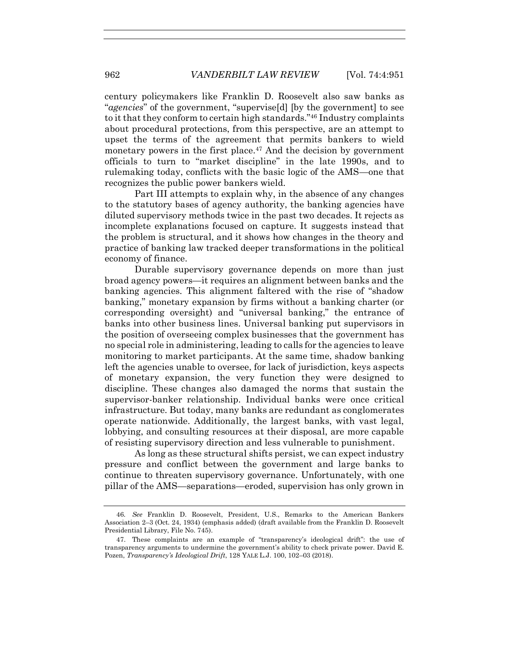century policymakers like Franklin D. Roosevelt also saw banks as "*agencies*" of the government, "supervise[d] [by the government] to see to it that they conform to certain high standards."<sup>46</sup> Industry complaints about procedural protections, from this perspective, are an attempt to upset the terms of the agreement that permits bankers to wield monetary powers in the first place.<sup>47</sup> And the decision by government officials to turn to "market discipline" in the late 1990s, and to rulemaking today, conflicts with the basic logic of the AMS—one that recognizes the public power bankers wield.

Part III attempts to explain why, in the absence of any changes to the statutory bases of agency authority, the banking agencies have diluted supervisory methods twice in the past two decades. It rejects as incomplete explanations focused on capture. It suggests instead that the problem is structural, and it shows how changes in the theory and practice of banking law tracked deeper transformations in the political economy of finance.

Durable supervisory governance depends on more than just broad agency powers—it requires an alignment between banks and the banking agencies. This alignment faltered with the rise of "shadow banking," monetary expansion by firms without a banking charter (or corresponding oversight) and "universal banking," the entrance of banks into other business lines. Universal banking put supervisors in the position of overseeing complex businesses that the government has no special role in administering, leading to calls for the agencies to leave monitoring to market participants. At the same time, shadow banking left the agencies unable to oversee, for lack of jurisdiction, keys aspects of monetary expansion, the very function they were designed to discipline. These changes also damaged the norms that sustain the supervisor-banker relationship. Individual banks were once critical infrastructure. But today, many banks are redundant as conglomerates operate nationwide. Additionally, the largest banks, with vast legal, lobbying, and consulting resources at their disposal, are more capable of resisting supervisory direction and less vulnerable to punishment.

As long as these structural shifts persist, we can expect industry pressure and conflict between the government and large banks to continue to threaten supervisory governance. Unfortunately, with one pillar of the AMS—separations—eroded, supervision has only grown in

<sup>46</sup>*. See* Franklin D. Roosevelt, President, U.S., Remarks to the American Bankers Association 2–3 (Oct. 24, 1934) (emphasis added) (draft available from the Franklin D. Roosevelt Presidential Library, File No. 745).

<sup>47.</sup> These complaints are an example of "transparency's ideological drift": the use of transparency arguments to undermine the government's ability to check private power. David E. Pozen, *Transparency's Ideological Drift*, 128 YALE L.J. 100, 102–03 (2018).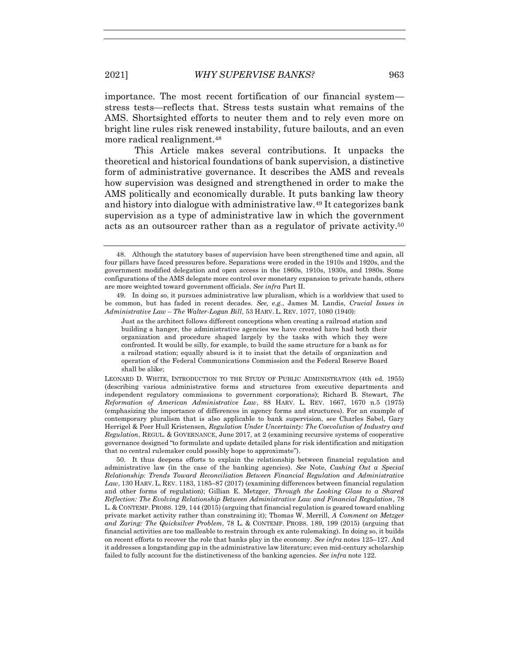importance. The most recent fortification of our financial system stress tests—reflects that. Stress tests sustain what remains of the AMS. Shortsighted efforts to neuter them and to rely even more on bright line rules risk renewed instability, future bailouts, and an even more radical realignment. 48

<span id="page-13-0"></span>This Article makes several contributions. It unpacks the theoretical and historical foundations of bank supervision, a distinctive form of administrative governance. It describes the AMS and reveals how supervision was designed and strengthened in order to make the AMS politically and economically durable. It puts banking law theory and history into dialogue with administrative law.<sup>49</sup> It categorizes bank supervision as a type of administrative law in which the government acts as an outsourcer rather than as a regulator of private activity.<sup>50</sup>

Just as the architect follows different conceptions when creating a railroad station and building a hanger, the administrative agencies we have created have had both their organization and procedure shaped largely by the tasks with which they were confronted. It would be silly, for example, to build the same structure for a bank as for a railroad station; equally absurd is it to insist that the details of organization and operation of the Federal Communications Commission and the Federal Reserve Board shall be alike;

50. It thus deepens efforts to explain the relationship between financial regulation and administrative law (in the case of the banking agencies). *See* Note, *Cashing Out a Special Relationship: Trends Toward Reconciliation Between Financial Regulation and Administrative Law*, 130 HARV. L. REV. 1183, 1185–87 (2017) (examining differences between financial regulation and other forms of regulation); Gillian E. Metzger, *Through the Looking Glass to a Shared Reflection: The Evolving Relationship Between Administrative Law and Financial Regulation*, 78 L. & CONTEMP. PROBS. 129, 144 (2015) (arguing that financial regulation is geared toward enabling private market activity rather than constraining it); Thomas W. Merrill, *A Comment on Metzger and Zaring: The Quicksilver Problem*, 78 L. & CONTEMP. PROBS. 189, 199 (2015) (arguing that financial activities are too malleable to restrain through ex ante rulemaking). In doing so, it builds on recent efforts to recover the role that banks play in the economy. *See infra* note[s 125](#page-30-0)–[127.](#page-30-1) And it addresses a longstanding gap in the administrative law literature; even mid-century scholarship failed to fully account for the distinctiveness of the banking agencies. *See infra* note [122.](#page-29-0)

<span id="page-13-1"></span><sup>48.</sup> Although the statutory bases of supervision have been strengthened time and again, all four pillars have faced pressures before. Separations were eroded in the 1910s and 1920s, and the government modified delegation and open access in the 1860s, 1910s, 1930s, and 1980s. Some configurations of the AMS delegate more control over monetary expansion to private hands, others are more weighted toward government officials. *See infra* Part II.

<sup>49.</sup> In doing so, it pursues administrative law pluralism, which is a worldview that used to be common, but has faded in recent decades. *See, e.g.*, James M. Landis, *Crucial Issues in Administrative Law – The Walter-Logan Bill*, 53 HARV. L. REV. 1077, 1080 (1940):

LEONARD D. WHITE, INTRODUCTION TO THE STUDY OF PUBLIC ADMINISTRATION (4th ed. 1955) (describing various administrative forms and structures from executive departments and independent regulatory commissions to government corporations); Richard B. Stewart, *The Reformation of American Administrative Law*, 88 HARV. L. REV. 1667, 1670 n.5 (1975) (emphasizing the importance of differences in agency forms and structures). For an example of contemporary pluralism that is also applicable to bank supervision, see Charles Sabel, Gary Herrigel & Peer Hull Kristensen, *Regulation Under Uncertainty: The Coevolution of Industry and Regulation*, REGUL. & GOVERNANCE, June 2017, at 2 (examining recursive systems of cooperative governance designed "to formulate and update detailed plans for risk identification and mitigation that no central rulemaker could possibly hope to approximate").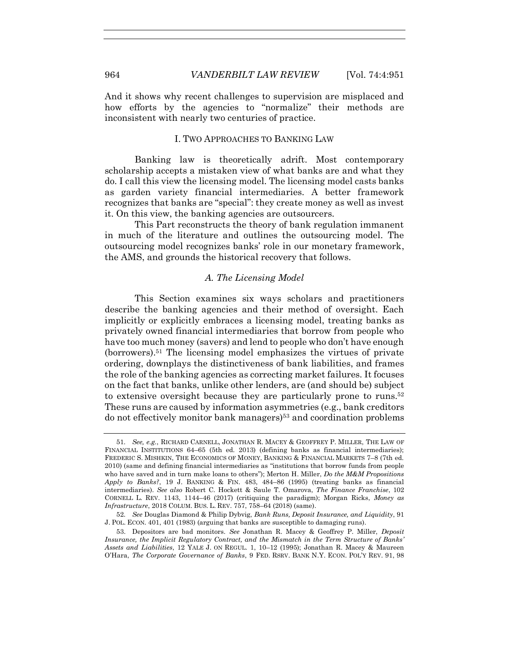And it shows why recent challenges to supervision are misplaced and how efforts by the agencies to "normalize" their methods are inconsistent with nearly two centuries of practice.

## I. TWO APPROACHES TO BANKING LAW

Banking law is theoretically adrift. Most contemporary scholarship accepts a mistaken view of what banks are and what they do. I call this view the licensing model. The licensing model casts banks as garden variety financial intermediaries. A better framework recognizes that banks are "special": they create money as well as invest it. On this view, the banking agencies are outsourcers.

This Part reconstructs the theory of bank regulation immanent in much of the literature and outlines the outsourcing model. The outsourcing model recognizes banks' role in our monetary framework, the AMS, and grounds the historical recovery that follows.

### <span id="page-14-0"></span>*A. The Licensing Model*

<span id="page-14-1"></span>This Section examines six ways scholars and practitioners describe the banking agencies and their method of oversight. Each implicitly or explicitly embraces a licensing model, treating banks as privately owned financial intermediaries that borrow from people who have too much money (savers) and lend to people who don't have enough (borrowers).<sup>51</sup> The licensing model emphasizes the virtues of private ordering, downplays the distinctiveness of bank liabilities, and frames the role of the banking agencies as correcting market failures. It focuses on the fact that banks, unlike other lenders, are (and should be) subject to extensive oversight because they are particularly prone to runs.<sup>52</sup> These runs are caused by information asymmetries (e.g., bank creditors do not effectively monitor bank managers)<sup>53</sup> and coordination problems

<sup>51</sup>*. See, e.g.*, RICHARD CARNELL, JONATHAN R. MACEY & GEOFFREY P. MILLER, THE LAW OF FINANCIAL INSTITUTIONS 64–65 (5th ed. 2013) (defining banks as financial intermediaries); FREDERIC S. MISHKIN, THE ECONOMICS OF MONEY, BANKING & FINANCIAL MARKETS 7–8 (7th ed. 2010) (same and defining financial intermediaries as "institutions that borrow funds from people who have saved and in turn make loans to others"); Merton H. Miller, *Do the M&M Propositions Apply to Banks?*, 19 J. BANKING & FIN. 483, 484–86 (1995) (treating banks as financial intermediaries). *See also* Robert C. Hockett & Saule T. Omarova, *The Finance Franchise*, 102 CORNELL L. REV. 1143, 1144–46 (2017) (critiquing the paradigm); Morgan Ricks, *Money as Infrastructure*, 2018 COLUM. BUS. L. REV. 757, 758–64 (2018) (same).

<sup>52</sup>*. See* Douglas Diamond & Philip Dybvig, *Bank Runs, Deposit Insurance, and Liquidity*, 91 J. POL. ECON. 401, 401 (1983) (arguing that banks are susceptible to damaging runs).

<sup>53.</sup> Depositors are bad monitors. *See* Jonathan R. Macey & Geoffrey P. Miller, *Deposit Insurance, the Implicit Regulatory Contract, and the Mismatch in the Term Structure of Banks' Assets and Liabilities*, 12 YALE J. ON REGUL. 1, 10–12 (1995); Jonathan R. Macey & Maureen O'Hara, *The Corporate Governance of Banks*, 9 FED. RSRV. BANK N.Y. ECON. POL'Y REV. 91, 98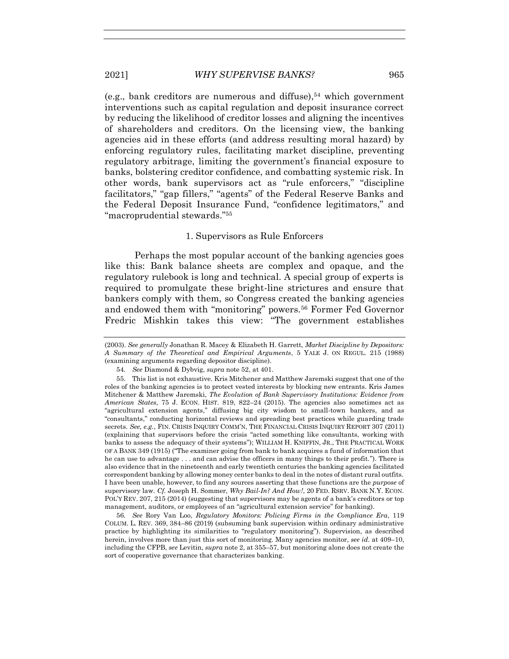(e.g., bank creditors are numerous and diffuse), $54$  which government interventions such as capital regulation and deposit insurance correct by reducing the likelihood of creditor losses and aligning the incentives of shareholders and creditors. On the licensing view, the banking agencies aid in these efforts (and address resulting moral hazard) by enforcing regulatory rules, facilitating market discipline, preventing regulatory arbitrage, limiting the government's financial exposure to banks, bolstering creditor confidence, and combatting systemic risk. In other words, bank supervisors act as "rule enforcers," "discipline facilitators," "gap fillers," "agents" of the Federal Reserve Banks and the Federal Deposit Insurance Fund, "confidence legitimators," and "macroprudential stewards."<sup>55</sup>

### <span id="page-15-1"></span><span id="page-15-0"></span>1. Supervisors as Rule Enforcers

Perhaps the most popular account of the banking agencies goes like this: Bank balance sheets are complex and opaque, and the regulatory rulebook is long and technical. A special group of experts is required to promulgate these bright-line strictures and ensure that bankers comply with them, so Congress created the banking agencies and endowed them with "monitoring" powers.<sup>56</sup> Former Fed Governor Fredric Mishkin takes this view: "The government establishes

56*. See* Rory Van Loo, *Regulatory Monitors: Policing Firms in the Compliance Era*, 119 COLUM. L. REV. 369, 384–86 (2019) (subsuming bank supervision within ordinary administrative practice by highlighting its similarities to "regulatory monitoring"). Supervision, as described herein, involves more than just this sort of monitoring. Many agencies monitor, *see id.* at 409–10, including the CFPB, *see* Levitin, *supra* not[e 2,](#page-3-1) at 355–57, but monitoring alone does not create the sort of cooperative governance that characterizes banking.

<sup>(2003).</sup> *See generally* Jonathan R. Macey & Elizabeth H. Garrett, *Market Discipline by Depositors: A Summary of the Theoretical and Empirical Arguments*, 5 YALE J. ON REGUL. 215 (1988) (examining arguments regarding depositor discipline).

<sup>54</sup>*. See* Diamond & Dybvig, *supra* not[e 52,](#page-14-0) at 401.

<sup>55.</sup> This list is not exhaustive. Kris Mitchener and Matthew Jaremski suggest that one of the roles of the banking agencies is to protect vested interests by blocking new entrants. Kris James Mitchener & Matthew Jaremski, *The Evolution of Bank Supervisory Institutions: Evidence from American States*, 75 J. ECON. HIST. 819, 822–24 (2015). The agencies also sometimes act as "agricultural extension agents," diffusing big city wisdom to small-town bankers, and as "consultants," conducting horizontal reviews and spreading best practices while guarding trade secrets. *See, e.g.*, FIN. CRISIS INQUIRY COMM'N, THE FINANCIAL CRISIS INQUIRY REPORT 307 (2011) (explaining that supervisors before the crisis "acted something like consultants, working with banks to assess the adequacy of their systems"); WILLIAM H. KNIFFIN, JR., THE PRACTICAL WORK OF A BANK 349 (1915) ("The examiner going from bank to bank acquires a fund of information that he can use to advantage . . . and can advise the officers in many things to their profit."). There is also evidence that in the nineteenth and early twentieth centuries the banking agencies facilitated correspondent banking by allowing money center banks to deal in the notes of distant rural outfits. I have been unable, however, to find any sources asserting that these functions are the *purpose* of supervisory law. *Cf.* Joseph H. Sommer, *Why Bail-In? And How!*, 20 FED. RSRV. BANK N.Y. ECON. POL'Y REV. 207, 215 (2014) (suggesting that supervisors may be agents of a bank's creditors or top management, auditors, or employees of an "agricultural extension service" for banking).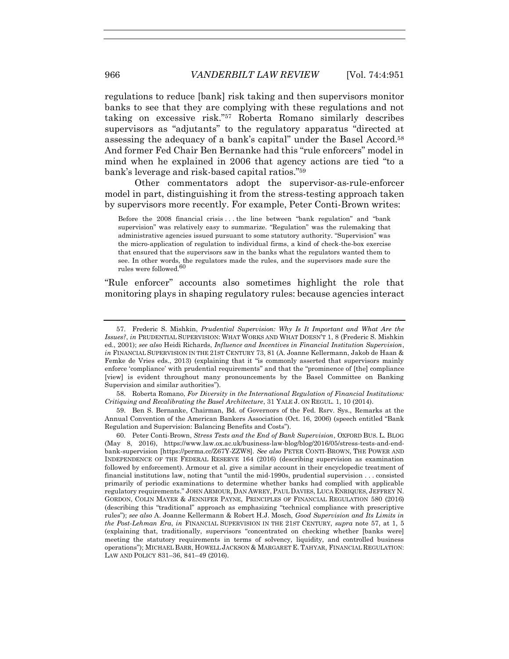<span id="page-16-0"></span>regulations to reduce [bank] risk taking and then supervisors monitor banks to see that they are complying with these regulations and not taking on excessive risk."<sup>57</sup> Roberta Romano similarly describes supervisors as "adjutants" to the regulatory apparatus "directed at assessing the adequacy of a bank's capital" under the Basel Accord.<sup>58</sup> And former Fed Chair Ben Bernanke had this "rule enforcers" model in mind when he explained in 2006 that agency actions are tied "to a bank's leverage and risk-based capital ratios."<sup>59</sup>

Other commentators adopt the supervisor-as-rule-enforcer model in part, distinguishing it from the stress-testing approach taken by supervisors more recently. For example, Peter Conti-Brown writes:

Before the 2008 financial crisis . . . the line between "bank regulation" and "bank supervision" was relatively easy to summarize. "Regulation" was the rulemaking that administrative agencies issued pursuant to some statutory authority. "Supervision" was the micro-application of regulation to individual firms, a kind of check-the-box exercise that ensured that the supervisors saw in the banks what the regulators wanted them to see. In other words, the regulators made the rules, and the supervisors made sure the rules were followed.<sup>60</sup>

<span id="page-16-1"></span>"Rule enforcer" accounts also sometimes highlight the role that monitoring plays in shaping regulatory rules: because agencies interact

<sup>57.</sup> Frederic S. Mishkin, *Prudential Supervision: Why Is It Important and What Are the Issues?*, *in* PRUDENTIAL SUPERVISION: WHAT WORKS AND WHAT DOESN'T 1, 8 (Frederic S. Mishkin ed., 2001); *see also* Heidi Richards, *Influence and Incentives in Financial Institution Supervision*, *in* FINANCIAL SUPERVISION IN THE 21ST CENTURY 73, 81 (A. Joanne Kellermann, Jakob de Haan & Femke de Vries eds., 2013) (explaining that it "is commonly asserted that supervisors mainly enforce 'compliance' with prudential requirements" and that the "prominence of [the] compliance [view] is evident throughout many pronouncements by the Basel Committee on Banking Supervision and similar authorities").

<sup>58.</sup> Roberta Romano, *For Diversity in the International Regulation of Financial Institutions: Critiquing and Recalibrating the Basel Architecture*, 31 YALE J. ON REGUL. 1, 10 (2014).

<sup>59.</sup> Ben S. Bernanke, Chairman, Bd. of Governors of the Fed. Rsrv. Sys., Remarks at the Annual Convention of the American Bankers Association (Oct. 16, 2006) (speech entitled "Bank Regulation and Supervision: Balancing Benefits and Costs").

<sup>60.</sup> Peter Conti-Brown, *Stress Tests and the End of Bank Supervision*, OXFORD BUS. L. BLOG (May 8, 2016), https://www.law.ox.ac.uk/business-law-blog/blog/2016/05/stress-tests-and-endbank-supervision [https://perma.cc/Z67Y-ZZW8]. *See also* PETER CONTI-BROWN, THE POWER AND INDEPENDENCE OF THE FEDERAL RESERVE 164 (2016) (describing supervision as examination followed by enforcement). Armour et al. give a similar account in their encyclopedic treatment of financial institutions law, noting that "until the mid-1990s, prudential supervision . . . consisted primarily of periodic examinations to determine whether banks had complied with applicable regulatory requirements." JOHN ARMOUR, DAN AWREY, PAUL DAVIES, LUCA ENRIQUES, JEFFREY N. GORDON, COLIN MAYER & JENNIFER PAYNE, PRINCIPLES OF FINANCIAL REGULATION 580 (2016) (describing this "traditional" approach as emphasizing "technical compliance with prescriptive rules"); *see also* A. Joanne Kellermann & Robert H.J. Mosch, *Good Supervision and Its Limits in the Post-Lehman Era*, *in* FINANCIAL SUPERVISION IN THE 21ST CENTURY, *supra* note [57,](#page-16-0) at 1, 5 (explaining that, traditionally, supervisors "concentrated on checking whether [banks were] meeting the statutory requirements in terms of solvency, liquidity, and controlled business operations"); MICHAEL BARR, HOWELL JACKSON & MARGARET E. TAHYAR, FINANCIAL REGULATION: LAW AND POLICY 831–36, 841–49 (2016).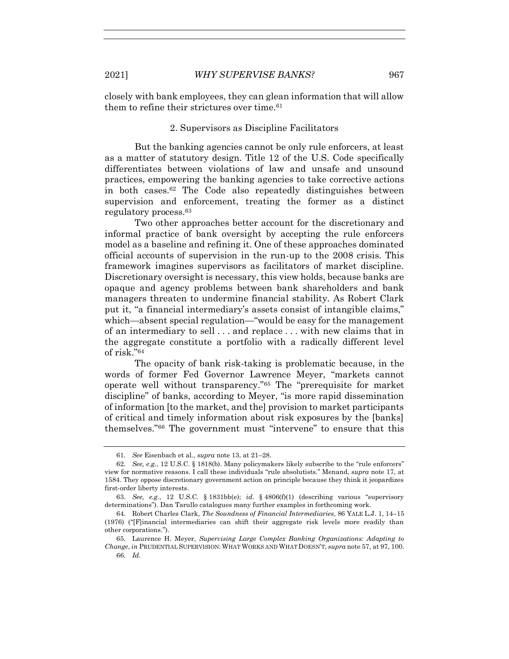closely with bank employees, they can glean information that will allow them to refine their strictures over time.<sup>61</sup>

# 2. Supervisors as Discipline Facilitators

But the banking agencies cannot be only rule enforcers, at least as a matter of statutory design. Title 12 of the U.S. Code specifically differentiates between violations of law and unsafe and unsound practices, empowering the banking agencies to take corrective actions in both cases.<sup>62</sup> The Code also repeatedly distinguishes between supervision and enforcement, treating the former as a distinct regulatory process. 63

Two other approaches better account for the discretionary and informal practice of bank oversight by accepting the rule enforcers model as a baseline and refining it. One of these approaches dominated official accounts of supervision in the run-up to the 2008 crisis. This framework imagines supervisors as facilitators of market discipline. Discretionary oversight is necessary, this view holds, because banks are opaque and agency problems between bank shareholders and bank managers threaten to undermine financial stability. As Robert Clark put it, "a financial intermediary's assets consist of intangible claims," which—absent special regulation—"would be easy for the management of an intermediary to sell . . . and replace . . . with new claims that in the aggregate constitute a portfolio with a radically different level of risk."<sup>64</sup>

The opacity of bank risk-taking is problematic because, in the words of former Fed Governor Lawrence Meyer, "markets cannot operate well without transparency."<sup>65</sup> The "prerequisite for market discipline" of banks, according to Meyer, "is more rapid dissemination of information [to the market, and the] provision to market participants of critical and timely information about risk exposures by the [banks] themselves."<sup>66</sup> The government must "intervene" to ensure that this

<sup>61</sup>*. See* Eisenbach et al., *supra* not[e 13,](#page-4-1) at 21–28.

<sup>62</sup>*. See, e.g.*, 12 U.S.C. § 1818(b). Many policymakers likely subscribe to the "rule enforcers" view for normative reasons. I call these individuals "rule absolutists." Menand, *supra* note [17,](#page-5-0) at 1584. They oppose discretionary government action on principle because they think it jeopardizes first-order liberty interests.

<sup>63.</sup> *See, e.g.*, 12 U.S.C. § 1831bb(e); *id*. § 4806(f)(1) (describing various "supervisory determinations"). Dan Tarullo catalogues many further examples in forthcoming work.

<sup>64.</sup> Robert Charles Clark, *The Soundness of Financial Intermediaries*, 86 YALE L.J. 1, 14–15 (1976) ("[F]inancial intermediaries can shift their aggregate risk levels more readily than other corporations.").

<sup>65.</sup> Laurence H. Meyer, *Supervising Large Complex Banking Organizations: Adapting to Change*, *in* PRUDENTIAL SUPERVISION:WHAT WORKS AND WHAT DOESN'T, *supra* not[e 57,](#page-16-0) at 97, 100. 66*. Id.*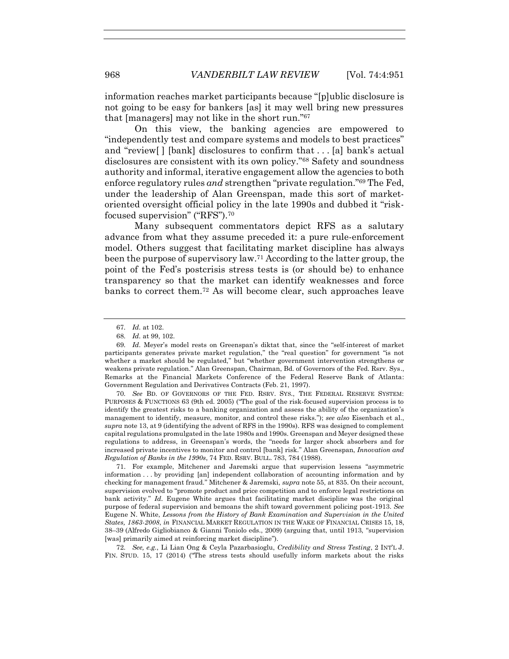information reaches market participants because "[p]ublic disclosure is not going to be easy for bankers [as] it may well bring new pressures that [managers] may not like in the short run."<sup>67</sup>

On this view, the banking agencies are empowered to "independently test and compare systems and models to best practices" and "review[ ] [bank] disclosures to confirm that . . . [a] bank's actual disclosures are consistent with its own policy."<sup>68</sup> Safety and soundness authority and informal, iterative engagement allow the agencies to both enforce regulatory rules *and* strengthen "private regulation."<sup>69</sup> The Fed, under the leadership of Alan Greenspan, made this sort of marketoriented oversight official policy in the late 1990s and dubbed it "riskfocused supervision" ("RFS").<sup>70</sup>

Many subsequent commentators depict RFS as a salutary advance from what they assume preceded it: a pure rule-enforcement model. Others suggest that facilitating market discipline has always been the purpose of supervisory law.<sup>71</sup> According to the latter group, the point of the Fed's postcrisis stress tests is (or should be) to enhance transparency so that the market can identify weaknesses and force banks to correct them.<sup>72</sup> As will become clear, such approaches leave

70*. See* BD. OF GOVERNORS OF THE FED. RSRV. SYS., THE FEDERAL RESERVE SYSTEM: PURPOSES & FUNCTIONS 63 (9th ed. 2005) ("The goal of the risk-focused supervision process is to identify the greatest risks to a banking organization and assess the ability of the organization's management to identify, measure, monitor, and control these risks."); *see also* Eisenbach et al., *supra* not[e 13,](#page-4-1) at 9 (identifying the advent of RFS in the 1990s). RFS was designed to complement capital regulations promulgated in the late 1980s and 1990s. Greenspan and Meyer designed these regulations to address, in Greenspan's words, the "needs for larger shock absorbers and for increased private incentives to monitor and control [bank] risk." Alan Greenspan, *Innovation and Regulation of Banks in the 1990s*, 74 FED. RSRV. BULL. 783, 784 (1988).

71. For example, Mitchener and Jaremski argue that supervision lessens "asymmetric information . . . by providing [an] independent collaboration of accounting information and by checking for management fraud." Mitchener & Jaremski, *supra* note [55,](#page-15-1) at 835. On their account, supervision evolved to "promote product and price competition and to enforce legal restrictions on bank activity." *Id.* Eugene White argues that facilitating market discipline was the original purpose of federal supervision and bemoans the shift toward government policing post-1913. *See* Eugene N. White, *Lessons from the History of Bank Examination and Supervision in the United States, 1863-2008*, *in* FINANCIAL MARKET REGULATION IN THE WAKE OF FINANCIAL CRISES 15, 18, 38–39 (Alfredo Gigliobianco & Gianni Toniolo eds., 2009) (arguing that, until 1913, "supervision [was] primarily aimed at reinforcing market discipline").

72*. See, e.g.*, Li Lian Ong & Ceyla Pazarbasioglu, *Credibility and Stress Testing*, 2 INT'L J. FIN. STUD. 15, 17 (2014) ("The stress tests should usefully inform markets about the risks

<span id="page-18-0"></span><sup>67</sup>*. Id.* at 102.

<sup>68</sup>*. Id.* at 99, 102.

<sup>69</sup>*. Id.* Meyer's model rests on Greenspan's diktat that, since the "self-interest of market participants generates private market regulation," the "real question" for government "is not whether a market should be regulated," but "whether government intervention strengthens or weakens private regulation." Alan Greenspan, Chairman, Bd. of Governors of the Fed. Rsrv. Sys., Remarks at the Financial Markets Conference of the Federal Reserve Bank of Atlanta: Government Regulation and Derivatives Contracts (Feb. 21, 1997).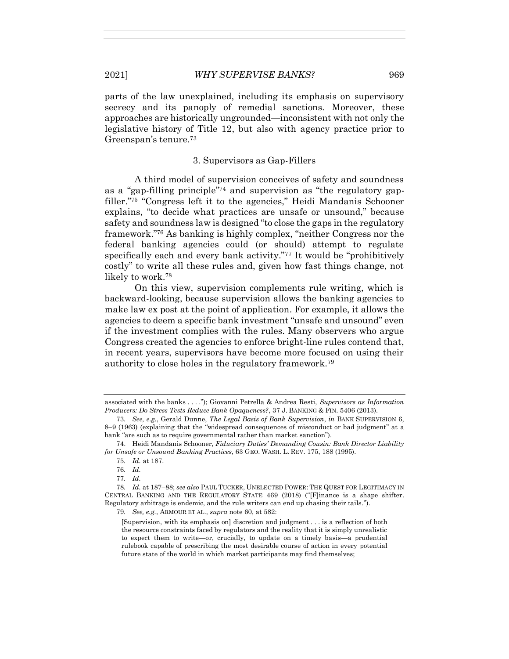parts of the law unexplained, including its emphasis on supervisory secrecy and its panoply of remedial sanctions. Moreover, these approaches are historically ungrounded—inconsistent with not only the legislative history of Title 12, but also with agency practice prior to Greenspan's tenure.<sup>73</sup>

# 3. Supervisors as Gap-Fillers

A third model of supervision conceives of safety and soundness as a "gap-filling principle"<sup>74</sup> and supervision as "the regulatory gapfiller."<sup>75</sup> "Congress left it to the agencies," Heidi Mandanis Schooner explains, "to decide what practices are unsafe or unsound," because safety and soundness law is designed "to close the gaps in the regulatory framework."<sup>76</sup> As banking is highly complex, "neither Congress nor the federal banking agencies could (or should) attempt to regulate specifically each and every bank activity."<sup>77</sup> It would be "prohibitively costly" to write all these rules and, given how fast things change, not likely to work.<sup>78</sup>

<span id="page-19-0"></span>On this view, supervision complements rule writing, which is backward-looking, because supervision allows the banking agencies to make law ex post at the point of application. For example, it allows the agencies to deem a specific bank investment "unsafe and unsound" even if the investment complies with the rules. Many observers who argue Congress created the agencies to enforce bright-line rules contend that, in recent years, supervisors have become more focused on using their authority to close holes in the regulatory framework.<sup>79</sup>

79*. See, e.g.*, ARMOUR ET AL., *supra* note [60,](#page-16-1) at 582:

associated with the banks . . . ."); Giovanni Petrella & Andrea Resti, *Supervisors as Information Producers: Do Stress Tests Reduce Bank Opaqueness?*, 37 J. BANKING & FIN. 5406 (2013).

<sup>73</sup>*. See, e.g.*, Gerald Dunne, *The Legal Basis of Bank Supervision*, *in* BANK SUPERVISION 6, 8–9 (1963) (explaining that the "widespread consequences of misconduct or bad judgment" at a bank "are such as to require governmental rather than market sanction").

<sup>74.</sup> Heidi Mandanis Schooner, *Fiduciary Duties' Demanding Cousin: Bank Director Liability for Unsafe or Unsound Banking Practices*, 63 GEO. WASH. L. REV. 175, 188 (1995).

<sup>75</sup>*. Id.* at 187.

<sup>76</sup>*. Id.*

<sup>77</sup>*. Id.*

<sup>78</sup>*. Id.* at 187–88; *see also* PAUL TUCKER, UNELECTED POWER: THE QUEST FOR LEGITIMACY IN CENTRAL BANKING AND THE REGULATORY STATE 469 (2018) ("[F]inance is a shape shifter. Regulatory arbitrage is endemic, and the rule writers can end up chasing their tails.").

<sup>[</sup>Supervision, with its emphasis on] discretion and judgment . . . is a reflection of both the resource constraints faced by regulators and the reality that it is simply unrealistic to expect them to write—or, crucially, to update on a timely basis—a prudential rulebook capable of prescribing the most desirable course of action in every potential future state of the world in which market participants may find themselves;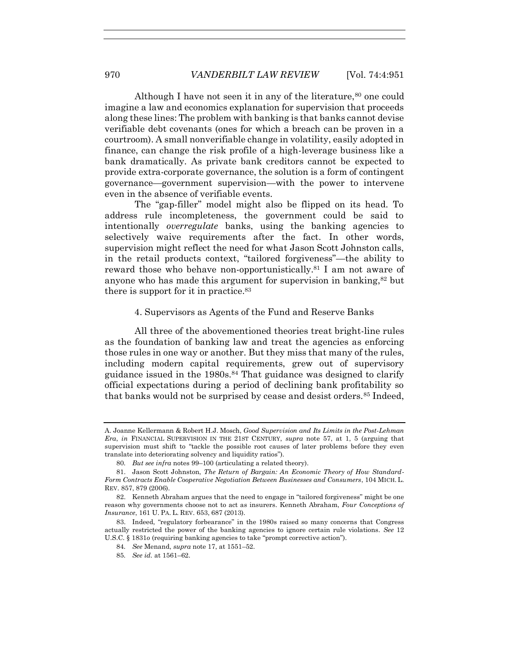Although I have not seen it in any of the literature,  $80$  one could imagine a law and economics explanation for supervision that proceeds along these lines: The problem with banking is that banks cannot devise verifiable debt covenants (ones for which a breach can be proven in a courtroom). A small nonverifiable change in volatility, easily adopted in finance, can change the risk profile of a high-leverage business like a bank dramatically. As private bank creditors cannot be expected to provide extra-corporate governance, the solution is a form of contingent governance—government supervision—with the power to intervene even in the absence of verifiable events.

The "gap-filler" model might also be flipped on its head. To address rule incompleteness, the government could be said to intentionally *overregulate* banks, using the banking agencies to selectively waive requirements after the fact. In other words, supervision might reflect the need for what Jason Scott Johnston calls, in the retail products context, "tailored forgiveness"—the ability to reward those who behave non-opportunistically.<sup>81</sup> I am not aware of anyone who has made this argument for supervision in banking,<sup>82</sup> but there is support for it in practice.<sup>83</sup>

## 4. Supervisors as Agents of the Fund and Reserve Banks

All three of the abovementioned theories treat bright-line rules as the foundation of banking law and treat the agencies as enforcing those rules in one way or another. But they miss that many of the rules, including modern capital requirements, grew out of supervisory guidance issued in the 1980s.<sup>84</sup> That guidance was designed to clarify official expectations during a period of declining bank profitability so that banks would not be surprised by cease and desist orders.<sup>85</sup> Indeed,

A. Joanne Kellermann & Robert H.J. Mosch, *Good Supervision and Its Limits in the Post-Lehman Era*, *in* FINANCIAL SUPERVISION IN THE 21ST CENTURY, *supra* note [57,](#page-16-0) at 1, 5 (arguing that supervision must shift to "tackle the possible root causes of later problems before they even translate into deteriorating solvency and liquidity ratios").

<sup>80</sup>*. But see infra* note[s 99](#page-24-0)–[100](#page-24-1) (articulating a related theory).

<sup>81.</sup> Jason Scott Johnston, *The Return of Bargain: An Economic Theory of How Standard-Form Contracts Enable Cooperative Negotiation Between Businesses and Consumers*, 104 MICH. L. REV. 857, 879 (2006).

<sup>82.</sup> Kenneth Abraham argues that the need to engage in "tailored forgiveness" might be one reason why governments choose not to act as insurers. Kenneth Abraham, *Four Conceptions of Insurance*, 161 U. PA. L. REV. 653, 687 (2013).

<sup>83.</sup> Indeed, "regulatory forbearance" in the 1980s raised so many concerns that Congress actually restricted the power of the banking agencies to ignore certain rule violations. *See* 12 U.S.C. § 1831*o* (requiring banking agencies to take "prompt corrective action").

<sup>84</sup>*. See* Menand, *supra* note [17,](#page-5-0) at 1551–52.

<sup>85</sup>*. See id.* at 1561–62.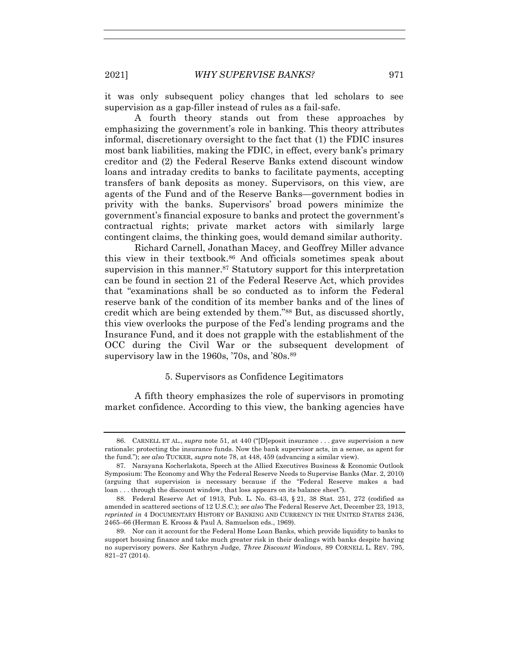it was only subsequent policy changes that led scholars to see supervision as a gap-filler instead of rules as a fail-safe.

A fourth theory stands out from these approaches by emphasizing the government's role in banking. This theory attributes informal, discretionary oversight to the fact that (1) the FDIC insures most bank liabilities, making the FDIC, in effect, every bank's primary creditor and (2) the Federal Reserve Banks extend discount window loans and intraday credits to banks to facilitate payments, accepting transfers of bank deposits as money. Supervisors, on this view, are agents of the Fund and of the Reserve Banks—government bodies in privity with the banks. Supervisors' broad powers minimize the government's financial exposure to banks and protect the government's contractual rights; private market actors with similarly large contingent claims, the thinking goes, would demand similar authority.

Richard Carnell, Jonathan Macey, and Geoffrey Miller advance this view in their textbook.<sup>86</sup> And officials sometimes speak about supervision in this manner.<sup>87</sup> Statutory support for this interpretation can be found in section 21 of the Federal Reserve Act, which provides that "examinations shall be so conducted as to inform the Federal reserve bank of the condition of its member banks and of the lines of credit which are being extended by them."<sup>88</sup> But, as discussed shortly, this view overlooks the purpose of the Fed's lending programs and the Insurance Fund, and it does not grapple with the establishment of the OCC during the Civil War or the subsequent development of supervisory law in the 1960s, '70s, and '80s.<sup>89</sup>

## <span id="page-21-0"></span>5. Supervisors as Confidence Legitimators

A fifth theory emphasizes the role of supervisors in promoting market confidence. According to this view, the banking agencies have

<sup>86.</sup> CARNELL ET AL., *supra* note [51,](#page-14-1) at 440 ("[D]eposit insurance . . . gave supervision a new rationale: protecting the insurance funds. Now the bank supervisor acts, in a sense, as agent for the fund."); *see also* TUCKER, *supra* not[e 78,](#page-19-0) at 448, 459 (advancing a similar view).

<sup>87.</sup> Narayana Kocherlakota, Speech at the Allied Executives Business & Economic Outlook Symposium: The Economy and Why the Federal Reserve Needs to Supervise Banks (Mar. 2, 2010) (arguing that supervision is necessary because if the "Federal Reserve makes a bad loan . . . through the discount window, that loss appears on its balance sheet").

<sup>88.</sup> Federal Reserve Act of 1913, Pub. L. No. 63-43, § 21, 38 Stat. 251, 272 (codified as amended in scattered sections of 12 U.S.C.); *see also* The Federal Reserve Act, December 23, 1913, *reprinted in* 4 DOCUMENTARY HISTORY OF BANKING AND CURRENCY IN THE UNITED STATES 2436, 2465–66 (Herman E. Krooss & Paul A. Samuelson eds., 1969).

<sup>89.</sup> Nor can it account for the Federal Home Loan Banks, which provide liquidity to banks to support housing finance and take much greater risk in their dealings with banks despite having no supervisory powers. *See* Kathryn Judge, *Three Discount Windows*, 89 CORNELL L. REV. 795, 821–27 (2014).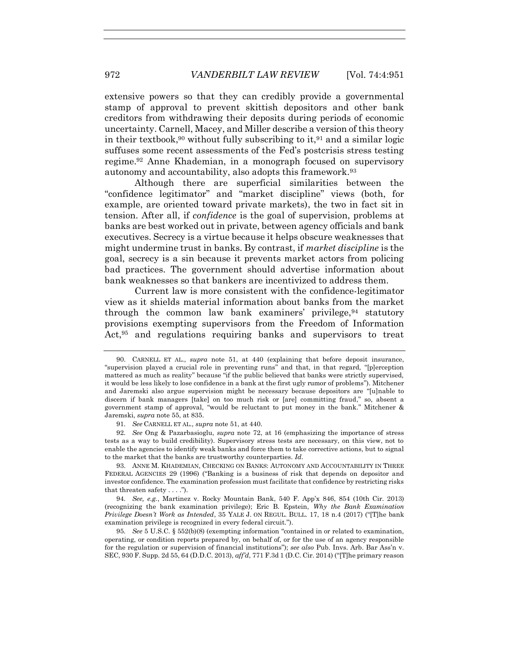extensive powers so that they can credibly provide a governmental stamp of approval to prevent skittish depositors and other bank creditors from withdrawing their deposits during periods of economic uncertainty. Carnell, Macey, and Miller describe a version of this theory in their textbook,  $90$  without fully subscribing to it,  $91$  and a similar logic suffuses some recent assessments of the Fed's postcrisis stress testing regime.<sup>92</sup> Anne Khademian, in a monograph focused on supervisory autonomy and accountability, also adopts this framework.<sup>93</sup>

Although there are superficial similarities between the "confidence legitimator" and "market discipline" views (both, for example, are oriented toward private markets), the two in fact sit in tension. After all, if *confidence* is the goal of supervision, problems at banks are best worked out in private, between agency officials and bank executives. Secrecy is a virtue because it helps obscure weaknesses that might undermine trust in banks. By contrast, if *market discipline* is the goal, secrecy is a sin because it prevents market actors from policing bad practices. The government should advertise information about bank weaknesses so that bankers are incentivized to address them.

Current law is more consistent with the confidence-legitimator view as it shields material information about banks from the market through the common law bank examiners' privilege,  $94$  statutory provisions exempting supervisors from the Freedom of Information Act,<sup>95</sup> and regulations requiring banks and supervisors to treat

<sup>90.</sup> CARNELL ET AL., *supra* note [51,](#page-14-1) at 440 (explaining that before deposit insurance, "supervision played a crucial role in preventing runs" and that, in that regard, "[p]erception mattered as much as reality" because "if the public believed that banks were strictly supervised, it would be less likely to lose confidence in a bank at the first ugly rumor of problems"). Mitchener and Jaremski also argue supervision might be necessary because depositors are "[u]nable to discern if bank managers [take] on too much risk or [are] committing fraud," so, absent a government stamp of approval, "would be reluctant to put money in the bank." Mitchener & Jaremski, *supra* not[e 55,](#page-15-1) at 835.

<sup>91</sup>*. See* CARNELL ET AL., *supra* note [51,](#page-14-1) at 440.

<sup>92</sup>*. See* Ong & Pazarbasioglu, *supra* note [72,](#page-18-0) at 16 (emphasizing the importance of stress tests as a way to build credibility). Supervisory stress tests are necessary, on this view, not to enable the agencies to identify weak banks and force them to take corrective actions, but to signal to the market that the banks are trustworthy counterparties. *Id.*

<sup>93.</sup> ANNE M. KHADEMIAN, CHECKING ON BANKS: AUTONOMY AND ACCOUNTABILITY IN THREE FEDERAL AGENCIES 29 (1996) ("Banking is a business of risk that depends on depositor and investor confidence. The examination profession must facilitate that confidence by restricting risks that threaten safety . . . .").

<sup>94</sup>*. See, e.g.*, Martinez v. Rocky Mountain Bank, 540 F. App'x 846, 854 (10th Cir. 2013) (recognizing the bank examination privilege); Eric B. Epstein, *Why the Bank Examination Privilege Doesn't Work as Intended*, 35 YALE J. ON REGUL. BULL. 17, 18 n.4 (2017) ("[T]he bank examination privilege is recognized in every federal circuit.").

<sup>95</sup>*. See* 5 U.S.C. § 552(b)(8) (exempting information "contained in or related to examination, operating, or condition reports prepared by, on behalf of, or for the use of an agency responsible for the regulation or supervision of financial institutions"); *see also* Pub. Invs. Arb. Bar Ass'n v. SEC, 930 F. Supp. 2d 55, 64 (D.D.C. 2013), *aff'd*, 771 F.3d 1 (D.C. Cir. 2014) ("[T]he primary reason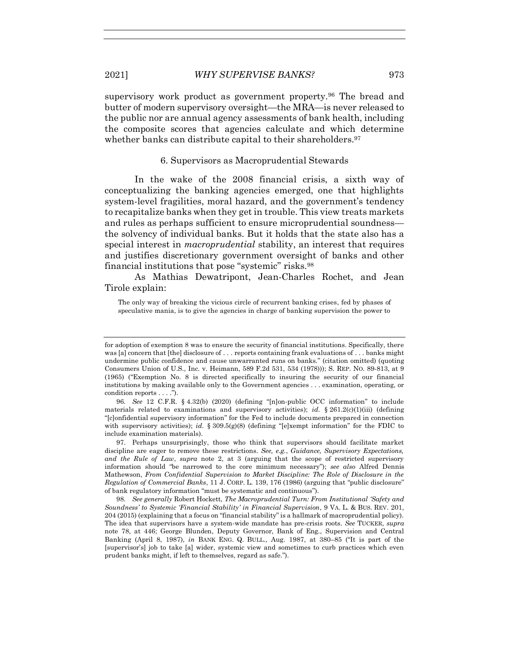supervisory work product as government property.<sup>96</sup> The bread and butter of modern supervisory oversight—the MRA—is never released to the public nor are annual agency assessments of bank health, including the composite scores that agencies calculate and which determine whether banks can distribute capital to their shareholders.<sup>97</sup>

## <span id="page-23-0"></span>6. Supervisors as Macroprudential Stewards

In the wake of the 2008 financial crisis, a sixth way of conceptualizing the banking agencies emerged, one that highlights system-level fragilities, moral hazard, and the government's tendency to recapitalize banks when they get in trouble. This view treats markets and rules as perhaps sufficient to ensure microprudential soundness the solvency of individual banks. But it holds that the state also has a special interest in *macroprudential* stability, an interest that requires and justifies discretionary government oversight of banks and other financial institutions that pose "systemic" risks.<sup>98</sup>

As Mathias Dewatripont, Jean-Charles Rochet, and Jean Tirole explain:

The only way of breaking the vicious circle of recurrent banking crises, fed by phases of speculative mania, is to give the agencies in charge of banking supervision the power to

for adoption of exemption 8 was to ensure the security of financial institutions. Specifically, there was [a] concern that [the] disclosure of . . . reports containing frank evaluations of . . . banks might undermine public confidence and cause unwarranted runs on banks." (citation omitted) (quoting Consumers Union of U.S., Inc. v. Heimann, 589 F.2d 531, 534 (1978))); S. REP. NO. 89-813, at 9 (1965) ("Exemption No. 8 is directed specifically to insuring the security of our financial institutions by making available only to the Government agencies . . . examination, operating, or condition reports . . . .").

<sup>96</sup>*. See* 12 C.F.R. § 4.32(b) (2020) (defining "[n]on-public OCC information" to include materials related to examinations and supervisory activities); *id.* § 261.2(c)(1)(iii) (defining "[c]onfidential supervisory information" for the Fed to include documents prepared in connection with supervisory activities); *id.*  $\S 309.5(g)(8)$  (defining "[e]xempt information" for the FDIC to include examination materials).

<sup>97.</sup> Perhaps unsurprisingly, those who think that supervisors should facilitate market discipline are eager to remove these restrictions. *See, e.g.*, *Guidance, Supervisory Expectations, and the Rule of Law*, *supra* note [2,](#page-3-1) at 3 (arguing that the scope of restricted supervisory information should "be narrowed to the core minimum necessary"); *see also* Alfred Dennis Mathewson, *From Confidential Supervision to Market Discipline: The Role of Disclosure in the Regulation of Commercial Banks*, 11 J. CORP. L. 139, 176 (1986) (arguing that "public disclosure" of bank regulatory information "must be systematic and continuous").

<sup>98</sup>*. See generally* Robert Hockett, *The Macroprudential Turn: From Institutional 'Safety and Soundness' to Systemic 'Financial Stability' in Financial Supervision*, 9 VA. L. & BUS. REV. 201, 204 (2015) (explaining that a focus on "financial stability" is a hallmark of macroprudential policy). The idea that supervisors have a system-wide mandate has pre-crisis roots. *See* TUCKER, *supra* note [78,](#page-19-0) at 446; George Blunden, Deputy Governor, Bank of Eng., Supervision and Central Banking (April 8, 1987), *in* BANK ENG. Q. BULL., Aug. 1987, at 380–85 ("It is part of the [supervisor's] job to take [a] wider, systemic view and sometimes to curb practices which even prudent banks might, if left to themselves, regard as safe.").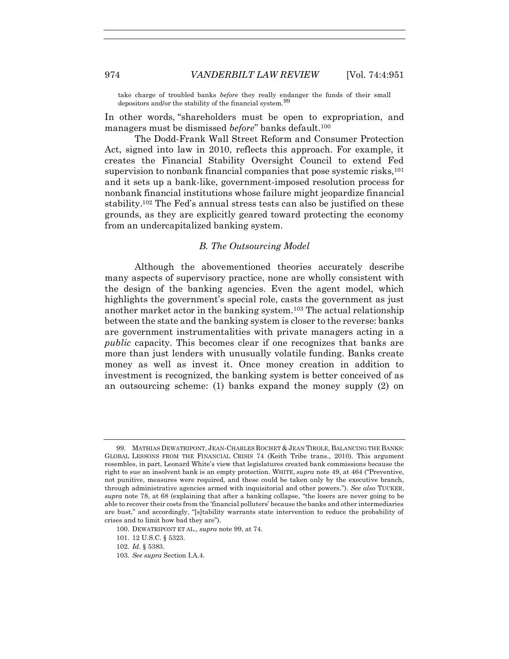<span id="page-24-0"></span>take charge of troubled banks *before* they really endanger the funds of their small depositors and/or the stability of the financial system.<sup>99</sup>

In other words, "shareholders must be open to expropriation, and managers must be dismissed *before*" banks default.<sup>100</sup>

The Dodd-Frank Wall Street Reform and Consumer Protection Act, signed into law in 2010, reflects this approach. For example, it creates the Financial Stability Oversight Council to extend Fed supervision to nonbank financial companies that pose systemic risks,<sup>101</sup> and it sets up a bank-like, government-imposed resolution process for nonbank financial institutions whose failure might jeopardize financial stability.<sup>102</sup> The Fed's annual stress tests can also be justified on these grounds, as they are explicitly geared toward protecting the economy from an undercapitalized banking system.

# <span id="page-24-1"></span>*B. The Outsourcing Model*

Although the abovementioned theories accurately describe many aspects of supervisory practice, none are wholly consistent with the design of the banking agencies. Even the agent model, which highlights the government's special role, casts the government as just another market actor in the banking system.<sup>103</sup> The actual relationship between the state and the banking system is closer to the reverse: banks are government instrumentalities with private managers acting in a *public* capacity. This becomes clear if one recognizes that banks are more than just lenders with unusually volatile funding. Banks create money as well as invest it. Once money creation in addition to investment is recognized, the banking system is better conceived of as an outsourcing scheme: (1) banks expand the money supply (2) on

<sup>99.</sup> MATHIAS DEWATRIPONT, JEAN-CHARLES ROCHET & JEAN TIROLE, BALANCING THE BANKS: GLOBAL LESSONS FROM THE FINANCIAL CRISIS 74 (Keith Tribe trans., 2010). This argument resembles, in part, Leonard White's view that legislatures created bank commissions because the right to sue an insolvent bank is an empty protection. WHITE, *supra* note [49,](#page-13-1) at 464 ("Preventive, not punitive, measures were required, and these could be taken only by the executive branch, through administrative agencies armed with inquisitorial and other powers."). *See also* TUCKER, *supra* note [78,](#page-19-0) at 68 (explaining that after a banking collapse, "the losers are never going to be able to recover their costs from the 'financial polluters' because the banks and other intermediaries are bust," and accordingly, "[s]tability warrants state intervention to reduce the probability of crises and to limit how bad they are").

<sup>100.</sup> DEWATRIPONT ET AL., *supra* not[e 99,](#page-24-0) at 74.

<sup>101.</sup> 12 U.S.C. § 5323.

<sup>102</sup>*. Id.* § 5383.

<sup>103</sup>*. See supra* Section I.A.4.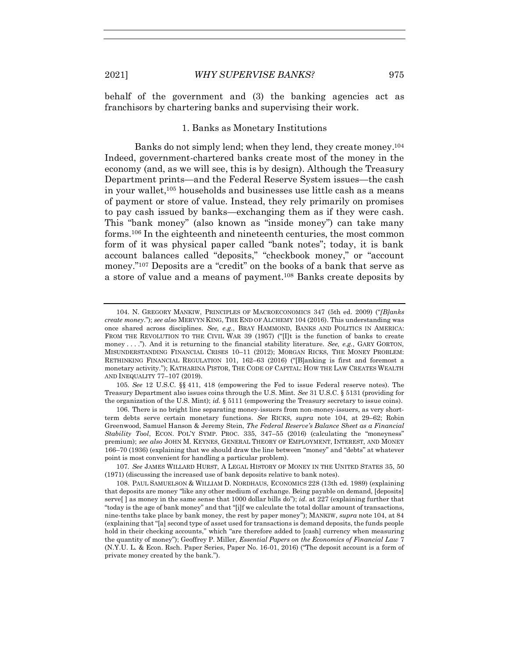behalf of the government and (3) the banking agencies act as franchisors by chartering banks and supervising their work.

### <span id="page-25-0"></span>1. Banks as Monetary Institutions

Banks do not simply lend; when they lend, they create money. 104 Indeed, government-chartered banks create most of the money in the economy (and, as we will see, this is by design). Although the Treasury Department prints—and the Federal Reserve System issues—the cash in your wallet,<sup>105</sup> households and businesses use little cash as a means of payment or store of value. Instead, they rely primarily on promises to pay cash issued by banks—exchanging them as if they were cash. This "bank money" (also known as "inside money") can take many forms.<sup>106</sup> In the eighteenth and nineteenth centuries, the most common form of it was physical paper called "bank notes"; today, it is bank account balances called "deposits," "checkbook money," or "account money."<sup>107</sup> Deposits are a "credit" on the books of a bank that serve as a store of value and a means of payment.<sup>108</sup> Banks create deposits by

105*. See* 12 U.S.C. §§ 411, 418 (empowering the Fed to issue Federal reserve notes). The Treasury Department also issues coins through the U.S. Mint. *See* 31 U.S.C. § 5131 (providing for the organization of the U.S. Mint); *id.* § 5111 (empowering the Treasury secretary to issue coins).

106. There is no bright line separating money-issuers from non-money-issuers, as very shortterm debts serve certain monetary functions. *See* RICKS, *supra* note [104,](#page-25-0) at 29–62; Robin Greenwood, Samuel Hanson & Jeremy Stein, *The Federal Reserve's Balance Sheet as a Financial Stability Tool*, ECON. POL'Y SYMP. PROC. 335, 347–55 (2016) (calculating the "moneyness" premium); *see also* JOHN M. KEYNES, GENERAL THEORY OF EMPLOYMENT, INTEREST, AND MONEY 166–70 (1936) (explaining that we should draw the line between "money" and "debts" at whatever point is most convenient for handling a particular problem).

107*. See* JAMES WILLARD HURST, A LEGAL HISTORY OF MONEY IN THE UNITED STATES 35, 50 (1971) (discussing the increased use of bank deposits relative to bank notes).

<span id="page-25-1"></span><sup>104.</sup> N. GREGORY MANKIW, PRINCIPLES OF MACROECONOMICS 347 (5th ed. 2009) ("*[B]anks create money*."); *see also* MERVYN KING, THE END OF ALCHEMY 104 (2016). This understanding was once shared across disciplines. *See, e.g.*, BRAY HAMMOND, BANKS AND POLITICS IN AMERICA: FROM THE REVOLUTION TO THE CIVIL WAR 39 (1957) ("[I]t is the function of banks to create money . . . ."). And it is returning to the financial stability literature. *See, e.g.*, GARY GORTON, MISUNDERSTANDING FINANCIAL CRISES 10–11 (2012); MORGAN RICKS, THE MONEY PROBLEM: RETHINKING FINANCIAL REGULATION 101, 162–63 (2016) ("[B]anking is first and foremost a monetary activity."); KATHARINA PISTOR, THE CODE OF CAPITAL: HOW THE LAW CREATES WEALTH AND INEQUALITY 77–107 (2019).

<sup>108.</sup> PAUL SAMUELSON & WILLIAM D. NORDHAUS, ECONOMICS 228 (13th ed. 1989) (explaining that deposits are money "like any other medium of exchange. Being payable on demand, [deposits] serve[ ] as money in the same sense that 1000 dollar bills do"); *id.* at 227 (explaining further that "today is the age of bank money" and that "[i]f we calculate the total dollar amount of transactions, nine-tenths take place by bank money, the rest by paper money"); MANKIW, *supra* note [104,](#page-25-0) at 84 (explaining that "[a] second type of asset used for transactions is demand deposits, the funds people hold in their checking accounts," which "are therefore added to [cash] currency when measuring the quantity of money"); Geoffrey P. Miller, *Essential Papers on the Economics of Financial Law* 7 (N.Y.U. L. & Econ. Rsch. Paper Series, Paper No. 16-01, 2016) ("The deposit account is a form of private money created by the bank.").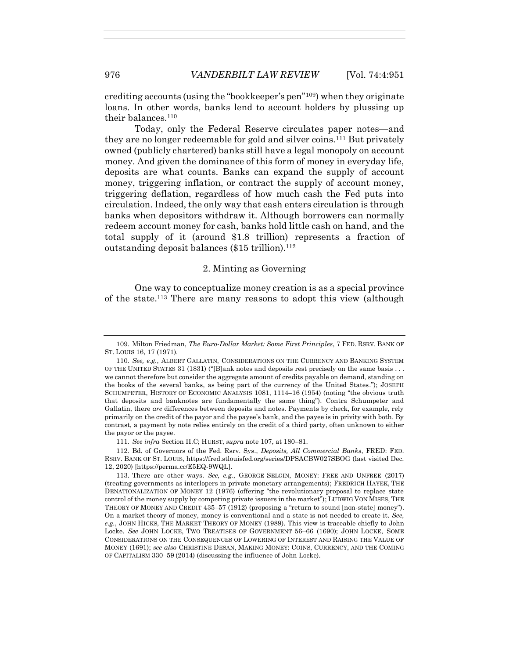crediting accounts (using the "bookkeeper's pen"109) when they originate loans. In other words, banks lend to account holders by plussing up their balances.<sup>110</sup>

Today, only the Federal Reserve circulates paper notes—and they are no longer redeemable for gold and silver coins.<sup>111</sup> But privately owned (publicly chartered) banks still have a legal monopoly on account money. And given the dominance of this form of money in everyday life, deposits are what counts. Banks can expand the supply of account money, triggering inflation, or contract the supply of account money, triggering deflation, regardless of how much cash the Fed puts into circulation. Indeed, the only way that cash enters circulation is through banks when depositors withdraw it. Although borrowers can normally redeem account money for cash, banks hold little cash on hand, and the total supply of it (around \$1.8 trillion) represents a fraction of outstanding deposit balances  $(\$15$  trillion).<sup>112</sup>

### 2. Minting as Governing

<span id="page-26-0"></span>One way to conceptualize money creation is as a special province of the state.<sup>113</sup> There are many reasons to adopt this view (although

<sup>109.</sup> Milton Friedman, *The Euro-Dollar Market: Some First Principles*, 7 FED. RSRV. BANK OF ST. LOUIS 16, 17 (1971).

<sup>110</sup>*. See, e.g.*, ALBERT GALLATIN, CONSIDERATIONS ON THE CURRENCY AND BANKING SYSTEM OF THE UNITED STATES 31 (1831) ("[B]ank notes and deposits rest precisely on the same basis . . . we cannot therefore but consider the aggregate amount of credits payable on demand, standing on the books of the several banks, as being part of the currency of the United States."); JOSEPH SCHUMPETER, HISTORY OF ECONOMIC ANALYSIS 1081, 1114–16 (1954) (noting "the obvious truth that deposits and banknotes are fundamentally the same thing"). Contra Schumpeter and Gallatin, there *are* differences between deposits and notes. Payments by check, for example, rely primarily on the credit of the payor and the payee's bank, and the payee is in privity with both. By contrast, a payment by note relies entirely on the credit of a third party, often unknown to either the payor or the payee.

<sup>111</sup>*. See infra* Section II.C; HURST, *supra* not[e 107,](#page-25-1) at 180–81.

<sup>112</sup>*.* Bd. of Governors of the Fed. Rsrv. Sys., *Deposits, All Commercial Banks*, FRED: FED. RSRV. BANK OF ST. LOUIS, https://fred.stlouisfed.org/series/DPSACBW027SBOG (last visited Dec. 12, 2020) [https://perma.cc/E5EQ-9WQL].

<sup>113.</sup> There are other ways. *See, e.g.*, GEORGE SELGIN, MONEY: FREE AND UNFREE (2017) (treating governments as interlopers in private monetary arrangements); FREDRICH HAYEK, THE DENATIONALIZATION OF MONEY 12 (1976) (offering "the revolutionary proposal to replace state control of the money supply by competing private issuers in the market"); LUDWIG VON MISES, THE THEORY OF MONEY AND CREDIT 435–57 (1912) (proposing a "return to sound [non-state] money"). On a market theory of money, money is conventional and a state is not needed to create it. *See, e.g.*, JOHN HICKS, THE MARKET THEORY OF MONEY (1989). This view is traceable chiefly to John Locke. *See* JOHN LOCKE, TWO TREATISES OF GOVERNMENT 56–66 (1690); JOHN LOCKE, SOME CONSIDERATIONS ON THE CONSEQUENCES OF LOWERING OF INTEREST AND RAISING THE VALUE OF MONEY (1691); *see also* CHRISTINE DESAN, MAKING MONEY: COINS, CURRENCY, AND THE COMING OF CAPITALISM 330–59 (2014) (discussing the influence of John Locke).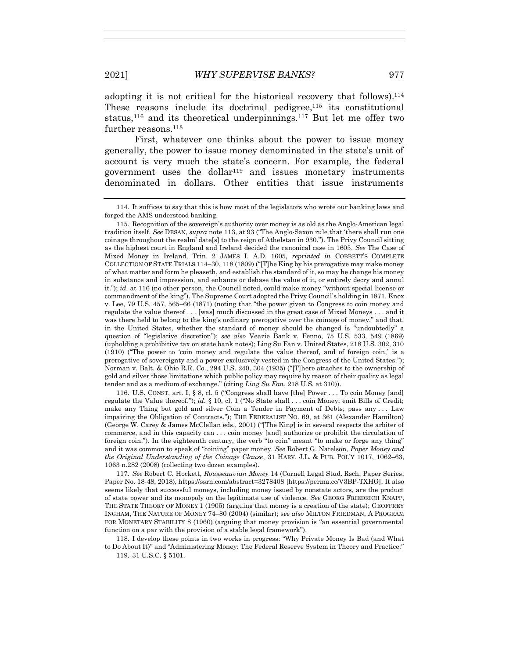adopting it is not critical for the historical recovery that follows). 114 These reasons include its doctrinal pedigree, $115$  its constitutional status,<sup>116</sup> and its theoretical underpinnings.<sup>117</sup> But let me offer two further reasons.<sup>118</sup>

First, whatever one thinks about the power to issue money generally, the power to issue money denominated in the state's unit of account is very much the state's concern. For example, the federal government uses the dollar<sup>119</sup> and issues monetary instruments denominated in dollars. Other entities that issue instruments

115. Recognition of the sovereign's authority over money is as old as the Anglo-American legal tradition itself. *See* DESAN, *supra* not[e 113,](#page-26-0) at 93 ("The Anglo-Saxon rule that 'there shall run one coinage throughout the realm' date[s] to the reign of Athelstan in 930."). The Privy Council sitting as the highest court in England and Ireland decided the canonical case in 1605. *See* The Case of Mixed Money in Ireland, Trin. 2 JAMES I. A.D. 1605, *reprinted in* COBBETT'S COMPLETE COLLECTION OF STATE TRIALS 114–30, 118 (1809) ("[T]he King by his prerogative may make money of what matter and form he pleaseth, and establish the standard of it, so may he change his money in substance and impression, and enhance or debase the value of it, or entirely decry and annul it."); *id.* at 116 (no other person, the Council noted, could make money "without special license or commandment of the king"). The Supreme Court adopted the Privy Council's holding in 1871. Knox v. Lee, 79 U.S. 457, 565–66 (1871) (noting that "the power given to Congress to coin money and regulate the value thereof . . . [was] much discussed in the great case of Mixed Moneys . . . and it was there held to belong to the king's ordinary prerogative over the coinage of money," and that, in the United States, whether the standard of money should be changed is "undoubtedly" a question of "legislative discretion"); *see also* Veazie Bank v. Fenno, 75 U.S. 533, 549 (1869) (upholding a prohibitive tax on state bank notes); Ling Su Fan v. United States, 218 U.S. 302, 310 (1910) ("The power to 'coin money and regulate the value thereof, and of foreign coin,' is a prerogative of sovereignty and a power exclusively vested in the Congress of the United States."); Norman v. Balt. & Ohio R.R. Co., 294 U.S. 240, 304 (1935) ("[T]here attaches to the ownership of gold and silver those limitations which public policy may require by reason of their quality as legal tender and as a medium of exchange." (citing *Ling Su Fan*, 218 U.S. at 310)).

116. U.S. CONST. art. I, § 8, cl. 5 ("Congress shall have [the] Power . . . To coin Money [and] regulate the Value thereof."); *id.* § 10, cl. 1 ("No State shall . . . coin Money; emit Bills of Credit; make any Thing but gold and silver Coin a Tender in Payment of Debts; pass any . . . Law impairing the Obligation of Contracts."); THE FEDERALIST NO. 69, at 361 (Alexander Hamilton) (George W. Carey & James McClellan eds., 2001) ("[The King] is in several respects the arbiter of commerce, and in this capacity can . . . coin money [and] authorize or prohibit the circulation of foreign coin."). In the eighteenth century, the verb "to coin" meant "to make or forge any thing" and it was common to speak of "coining" paper money. *See* Robert G. Natelson, *Paper Money and the Original Understanding of the Coinage Clause*, 31 HARV. J.L. & PUB. POL'Y 1017, 1062–63, 1063 n.282 (2008) (collecting two dozen examples).

117*. See* Robert C. Hockett, *Rousseauvian Money* 14 (Cornell Legal Stud. Rsch. Paper Series, Paper No. 18-48, 2018), https://ssrn.com/abstract=3278408 [https://perma.cc/V3BP-TXHG]. It also seems likely that successful moneys, including money issued by nonstate actors, are the product of state power and its monopoly on the legitimate use of violence. *See* GEORG FRIEDRICH KNAPP, THE STATE THEORY OF MONEY 1 (1905) (arguing that money is a creation of the state); GEOFFREY INGHAM, THE NATURE OF MONEY 74–80 (2004) (similar); s*ee also* MILTON FRIEDMAN, A PROGRAM FOR MONETARY STABILITY 8 (1960) (arguing that money provision is "an essential governmental function on a par with the provision of a stable legal framework").

118. I develop these points in two works in progress: "Why Private Money Is Bad (and What to Do About It)" and "Administering Money: The Federal Reserve System in Theory and Practice."

119. 31 U.S.C. § 5101.

<sup>114.</sup> It suffices to say that this is how most of the legislators who wrote our banking laws and forged the AMS understood banking.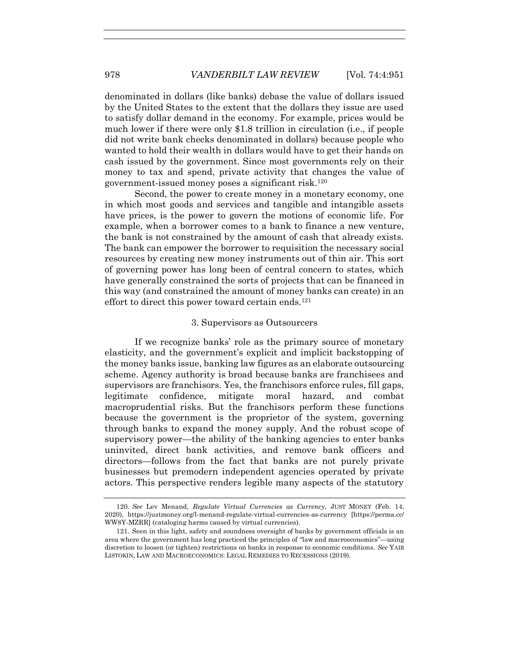denominated in dollars (like banks) debase the value of dollars issued by the United States to the extent that the dollars they issue are used to satisfy dollar demand in the economy. For example, prices would be much lower if there were only \$1.8 trillion in circulation (i.e., if people did not write bank checks denominated in dollars) because people who wanted to hold their wealth in dollars would have to get their hands on cash issued by the government. Since most governments rely on their money to tax and spend, private activity that changes the value of government-issued money poses a significant risk.<sup>120</sup>

Second, the power to create money in a monetary economy, one in which most goods and services and tangible and intangible assets have prices, is the power to govern the motions of economic life. For example, when a borrower comes to a bank to finance a new venture, the bank is not constrained by the amount of cash that already exists. The bank can empower the borrower to requisition the necessary social resources by creating new money instruments out of thin air. This sort of governing power has long been of central concern to states, which have generally constrained the sorts of projects that can be financed in this way (and constrained the amount of money banks can create) in an effort to direct this power toward certain ends.<sup>121</sup>

# 3. Supervisors as Outsourcers

If we recognize banks' role as the primary source of monetary elasticity, and the government's explicit and implicit backstopping of the money banks issue, banking law figures as an elaborate outsourcing scheme. Agency authority is broad because banks are franchisees and supervisors are franchisors. Yes, the franchisors enforce rules, fill gaps, legitimate confidence, mitigate moral hazard, and combat macroprudential risks. But the franchisors perform these functions because the government is the proprietor of the system, governing through banks to expand the money supply. And the robust scope of supervisory power—the ability of the banking agencies to enter banks uninvited, direct bank activities, and remove bank officers and directors—follows from the fact that banks are not purely private businesses but premodern independent agencies operated by private actors. This perspective renders legible many aspects of the statutory

<sup>120</sup>*. See* Lev Menand, *Regulate Virtual Currencies as Currency*, JUST MONEY (Feb. 14, 2020), https://justmoney.org/l-menand-regulate-virtual-currencies-as-currency [https://perma.cc/ WW8Y-MZRR] (cataloging harms caused by virtual currencies).

<sup>121.</sup> Seen in this light, safety and soundness oversight of banks by government officials is an area where the government has long practiced the principles of "law and macroeconomics"—using discretion to loosen (or tighten) restrictions on banks in response to economic conditions. *See* YAIR LISTOKIN, LAW AND MACROECONOMICS: LEGAL REMEDIES TO RECESSIONS (2019).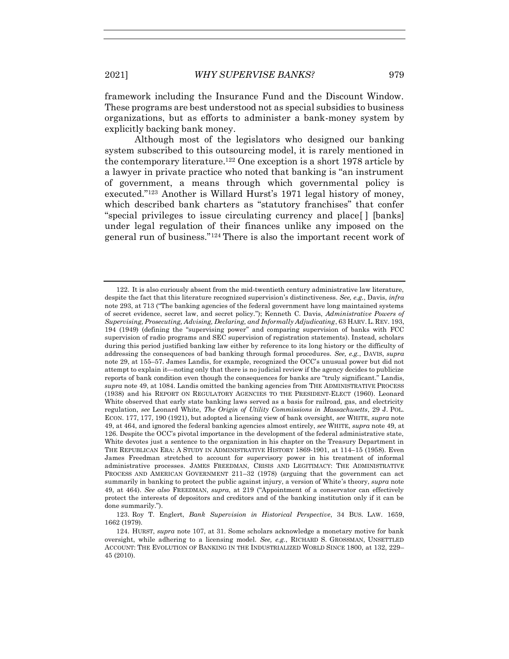framework including the Insurance Fund and the Discount Window. These programs are best understood not as special subsidies to business organizations, but as efforts to administer a bank-money system by explicitly backing bank money.

<span id="page-29-0"></span>Although most of the legislators who designed our banking system subscribed to this outsourcing model, it is rarely mentioned in the contemporary literature.<sup>122</sup> One exception is a short 1978 article by a lawyer in private practice who noted that banking is "an instrument of government, a means through which governmental policy is executed."<sup>123</sup> Another is Willard Hurst's 1971 legal history of money, which described bank charters as "statutory franchises" that confer "special privileges to issue circulating currency and place[ ] [banks] under legal regulation of their finances unlike any imposed on the general run of business."<sup>124</sup> There is also the important recent work of

<sup>122.</sup> It is also curiously absent from the mid-twentieth century administrative law literature, despite the fact that this literature recognized supervision's distinctiveness. *See, e.g.*, Davis, *infra* not[e 293,](#page-60-0) at 713 ("The banking agencies of the federal government have long maintained systems of secret evidence, secret law, and secret policy."); Kenneth C. Davis, *Administrative Powers of Supervising, Prosecuting, Advising, Declaring, and Informally Adjudicating*, 63 HARV.L. REV. 193, 194 (1949) (defining the "supervising power" and comparing supervision of banks with FCC supervision of radio programs and SEC supervision of registration statements). Instead, scholars during this period justified banking law either by reference to its long history or the difficulty of addressing the consequences of bad banking through formal procedures. *See, e.g.*, DAVIS, *supra* not[e 29,](#page-7-0) at 155–57. James Landis, for example, recognized the OCC's unusual power but did not attempt to explain it—noting only that there is no judicial review if the agency decides to publicize reports of bank condition even though the consequences for banks are "truly significant." Landis, *supra* note [49,](#page-13-1) at 1084. Landis omitted the banking agencies from THE ADMINISTRATIVE PROCESS (1938) and his REPORT ON REGULATORY AGENCIES TO THE PRESIDENT-ELECT (1960). Leonard White observed that early state banking laws served as a basis for railroad, gas, and electricity regulation, *see* Leonard White, *The Origin of Utility Commissions in Massachusetts*, 29 J. POL. ECON. 177, 177, 190 (1921), but adopted a licensing view of bank oversight, *see* WHITE, *supra* note [49,](#page-13-1) at 464, and ignored the federal banking agencies almost entirely, *see* WHITE, *supra* not[e 49,](#page-13-1) at 126. Despite the OCC's pivotal importance in the development of the federal administrative state, White devotes just a sentence to the organization in his chapter on the Treasury Department in THE REPUBLICAN ERA: A STUDY IN ADMINISTRATIVE HISTORY 1869-1901, at 114–15 (1958). Even James Freedman stretched to account for supervisory power in his treatment of informal administrative processes. JAMES FREEDMAN, CRISIS AND LEGITIMACY: THE ADMINISTRATIVE PROCESS AND AMERICAN GOVERNMENT 211–32 (1978) (arguing that the government can act summarily in banking to protect the public against injury, a version of White's theory, *supra* note [49,](#page-13-1) at 464). *See also* FREEDMAN, *supra*, at 219 ("Appointment of a conservator can effectively protect the interests of depositors and creditors and of the banking institution only if it can be done summarily.").

<sup>123.</sup> Roy T. Englert, *Bank Supervision in Historical Perspective*, 34 BUS. LAW. 1659, 1662 (1979).

<sup>124.</sup> HURST, *supra* note [107,](#page-25-1) at 31. Some scholars acknowledge a monetary motive for bank oversight, while adhering to a licensing model. *See, e.g.*, RICHARD S. GROSSMAN, UNSETTLED ACCOUNT: THE EVOLUTION OF BANKING IN THE INDUSTRIALIZED WORLD SINCE 1800, at 132, 229– 45 (2010).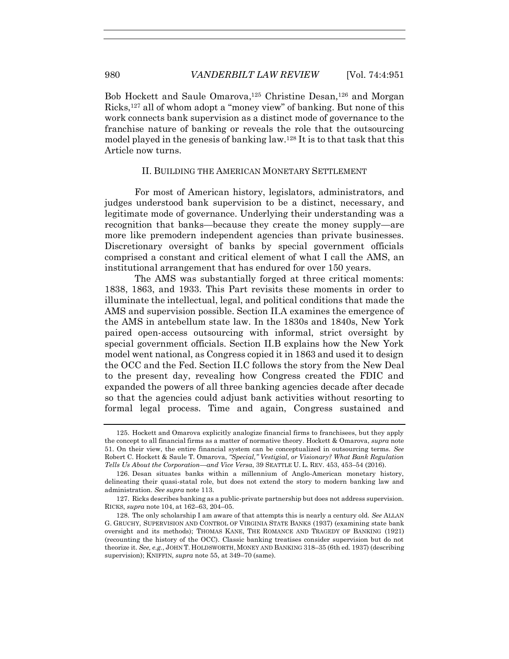<span id="page-30-1"></span>Bob Hockett and Saule Omarova,<sup>125</sup> Christine Desan,<sup>126</sup> and Morgan Ricks,<sup>127</sup> all of whom adopt a "money view" of banking. But none of this work connects bank supervision as a distinct mode of governance to the franchise nature of banking or reveals the role that the outsourcing model played in the genesis of banking law.<sup>128</sup> It is to that task that this Article now turns.

### <span id="page-30-2"></span><span id="page-30-0"></span>II. BUILDING THE AMERICAN MONETARY SETTLEMENT

For most of American history, legislators, administrators, and judges understood bank supervision to be a distinct, necessary, and legitimate mode of governance. Underlying their understanding was a recognition that banks—because they create the money supply—are more like premodern independent agencies than private businesses. Discretionary oversight of banks by special government officials comprised a constant and critical element of what I call the AMS, an institutional arrangement that has endured for over 150 years.

The AMS was substantially forged at three critical moments: 1838, 1863, and 1933. This Part revisits these moments in order to illuminate the intellectual, legal, and political conditions that made the AMS and supervision possible. Section II.A examines the emergence of the AMS in antebellum state law. In the 1830s and 1840s, New York paired open-access outsourcing with informal, strict oversight by special government officials. Section II.B explains how the New York model went national, as Congress copied it in 1863 and used it to design the OCC and the Fed. Section II.C follows the story from the New Deal to the present day, revealing how Congress created the FDIC and expanded the powers of all three banking agencies decade after decade so that the agencies could adjust bank activities without resorting to formal legal process. Time and again, Congress sustained and

<sup>125.</sup> Hockett and Omarova explicitly analogize financial firms to franchisees, but they apply the concept to all financial firms as a matter of normative theory. Hockett & Omarova, *supra* note [51.](#page-14-1) On their view, the entire financial system can be conceptualized in outsourcing terms. *See*  Robert C. Hockett & Saule T. Omarova, *"Special," Vestigial, or Visionary? What Bank Regulation Tells Us About the Corporation—and Vice Versa*, 39 SEATTLE U. L. REV. 453, 453–54 (2016).

<sup>126.</sup> Desan situates banks within a millennium of Anglo-American monetary history, delineating their quasi-statal role, but does not extend the story to modern banking law and administration. *See supra* note [113.](#page-26-0)

<sup>127.</sup> Ricks describes banking as a public-private partnership but does not address supervision. RICKS, *supra* note [104,](#page-25-0) at 162–63, 204–05.

<sup>128.</sup> The only scholarship I am aware of that attempts this is nearly a century old. *See* ALLAN G. GRUCHY, SUPERVISION AND CONTROL OF VIRGINIA STATE BANKS (1937) (examining state bank oversight and its methods); THOMAS KANE, THE ROMANCE AND TRAGEDY OF BANKING (1921) (recounting the history of the OCC). Classic banking treatises consider supervision but do not theorize it. *See, e.g.*, JOHN T. HOLDSWORTH, MONEY AND BANKING 318–35 (6th ed. 1937) (describing supervision); KNIFFIN, *supra* not[e 55,](#page-15-1) at 349–70 (same).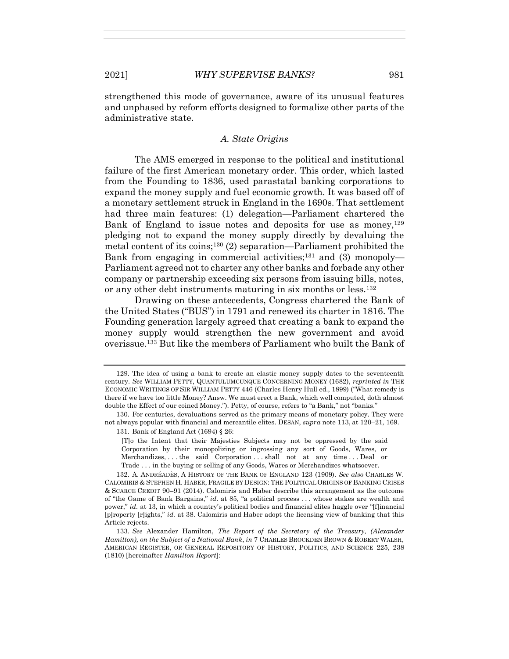strengthened this mode of governance, aware of its unusual features and unphased by reform efforts designed to formalize other parts of the administrative state.

# *A. State Origins*

The AMS emerged in response to the political and institutional failure of the first American monetary order. This order, which lasted from the Founding to 1836, used parastatal banking corporations to expand the money supply and fuel economic growth. It was based off of a monetary settlement struck in England in the 1690s. That settlement had three main features: (1) delegation—Parliament chartered the Bank of England to issue notes and deposits for use as money, $129$ pledging not to expand the money supply directly by devaluing the metal content of its coins;<sup>130</sup> (2) separation—Parliament prohibited the Bank from engaging in commercial activities;<sup>131</sup> and (3) monopoly— Parliament agreed not to charter any other banks and forbade any other company or partnership exceeding six persons from issuing bills, notes, or any other debt instruments maturing in six months or less.<sup>132</sup>

Drawing on these antecedents, Congress chartered the Bank of the United States ("BUS") in 1791 and renewed its charter in 1816. The Founding generation largely agreed that creating a bank to expand the money supply would strengthen the new government and avoid overissue.<sup>133</sup> But like the members of Parliament who built the Bank of

<span id="page-31-0"></span><sup>129.</sup> The idea of using a bank to create an elastic money supply dates to the seventeenth century. *See* WILLIAM PETTY, QUANTULUMCUNQUE CONCERNING MONEY (1682), *reprinted in* THE ECONOMIC WRITINGS OF SIR WILLIAM PETTY 446 (Charles Henry Hull ed., 1899) ("What remedy is there if we have too little Money? Answ. We must erect a Bank, which well computed, doth almost double the Effect of our coined Money."). Petty, of course, refers to "a Bank," not "banks."

<sup>130.</sup> For centuries, devaluations served as the primary means of monetary policy. They were not always popular with financial and mercantile elites. DESAN, *supra* note [113,](#page-26-0) at 120–21, 169.

<sup>131.</sup> Bank of England Act (1694) § 26:

<sup>[</sup>T]o the Intent that their Majesties Subjects may not be oppressed by the said Corporation by their monopolizing or ingrossing any sort of Goods, Wares, or Merchandizes, ... the said Corporation ... shall not at any time ... Deal or Trade . . . in the buying or selling of any Goods, Wares or Merchandizes whatsoever.

<sup>132.</sup> A. ANDRÉADÈS, A HISTORY OF THE BANK OF ENGLAND 123 (1909). *See also* CHARLES W. CALOMIRIS & STEPHEN H. HABER, FRAGILE BY DESIGN: THE POLITICAL ORIGINS OF BANKING CRISES & SCARCE CREDIT 90–91 (2014). Calomiris and Haber describe this arrangement as the outcome of "the Game of Bank Bargains," *id.* at 85, "a political process . . . whose stakes are wealth and power," *id.* at 13, in which a country's political bodies and financial elites haggle over "[f|inancial [p]roperty [r]ights," *id.* at 38. Calomiris and Haber adopt the licensing view of banking that this Article rejects.

<sup>133</sup>*. See* Alexander Hamilton, *The Report of the Secretary of the Treasury, (Alexander Hamilton), on the Subject of a National Bank*, *in* 7 CHARLES BROCKDEN BROWN & ROBERT WALSH, AMERICAN REGISTER, OR GENERAL REPOSITORY OF HISTORY, POLITICS, AND SCIENCE 225, 238 (1810) [hereinafter *Hamilton Report*]: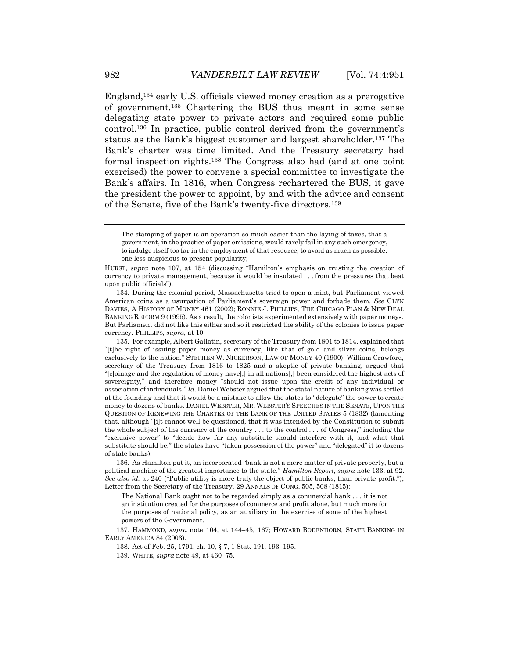<span id="page-32-0"></span>England, <sup>134</sup> early U.S. officials viewed money creation as a prerogative of government.<sup>135</sup> Chartering the BUS thus meant in some sense delegating state power to private actors and required some public control.<sup>136</sup> In practice, public control derived from the government's status as the Bank's biggest customer and largest shareholder.<sup>137</sup> The Bank's charter was time limited. And the Treasury secretary had formal inspection rights.<sup>138</sup> The Congress also had (and at one point exercised) the power to convene a special committee to investigate the Bank's affairs. In 1816, when Congress rechartered the BUS, it gave the president the power to appoint, by and with the advice and consent of the Senate, five of the Bank's twenty-five directors.<sup>139</sup>

134. During the colonial period, Massachusetts tried to open a mint, but Parliament viewed American coins as a usurpation of Parliament's sovereign power and forbade them. *See* GLYN DAVIES, A HISTORY OF MONEY 461 (2002); RONNIE J. PHILLIPS, THE CHICAGO PLAN & NEW DEAL BANKING REFORM 9 (1995). As a result, the colonists experimented extensively with paper moneys. But Parliament did not like this either and so it restricted the ability of the colonies to issue paper currency. PHILLIPS, *supra*, at 10.

135. For example, Albert Gallatin, secretary of the Treasury from 1801 to 1814, explained that "[t]he right of issuing paper money as currency, like that of gold and silver coins, belongs exclusively to the nation." STEPHEN W. NICKERSON, LAW OF MONEY 40 (1900). William Crawford, secretary of the Treasury from 1816 to 1825 and a skeptic of private banking, argued that "[c]oinage and the regulation of money have[,] in all nations[,] been considered the highest acts of sovereignty," and therefore money "should not issue upon the credit of any individual or association of individuals." *Id.* Daniel Webster argued that the statal nature of banking was settled at the founding and that it would be a mistake to allow the states to "delegate" the power to create money to dozens of banks. DANIEL WEBSTER, MR. WEBSTER'S SPEECHES IN THE SENATE, UPON THE QUESTION OF RENEWING THE CHARTER OF THE BANK OF THE UNITED STATES 5 (1832) (lamenting that, although "[i]t cannot well be questioned, that it was intended by the Constitution to submit the whole subject of the currency of the country . . . to the control . . . of Congress," including the "exclusive power" to "decide how far any substitute should interfere with it, and what that substitute should be," the states have "taken possession of the power" and "delegated" it to dozens of state banks).

136. As Hamilton put it, an incorporated "bank is not a mere matter of private property, but a political machine of the greatest importance to the state." *Hamilton Report*, *supra* not[e 133,](#page-31-0) at 92. *See also id.* at 240 ("Public utility is more truly the object of public banks, than private profit."); Letter from the Secretary of the Treasury, 29 ANNALS OF CONG. 505, 508 (1815):

The National Bank ought not to be regarded simply as a commercial bank . . . it is not an institution created for the purposes of commerce and profit alone, but much more for the purposes of national policy, as an auxiliary in the exercise of some of the highest powers of the Government.

137. HAMMOND, *supra* note [104,](#page-25-0) at 144–45, 167; HOWARD BODENHORN, STATE BANKING IN EARLY AMERICA 84 (2003).

138. Act of Feb. 25, 1791, ch. 10, § 7, 1 Stat. 191, 193–195.

139. WHITE, *supra* note [49,](#page-13-1) at 460–75.

The stamping of paper is an operation so much easier than the laying of taxes, that a government, in the practice of paper emissions, would rarely fail in any such emergency, to indulge itself too far in the employment of that resource, to avoid as much as possible, one less auspicious to present popularity;

HURST, *supra* note [107,](#page-25-1) at 154 (discussing "Hamilton's emphasis on trusting the creation of currency to private management, because it would be insulated . . . from the pressures that beat upon public officials").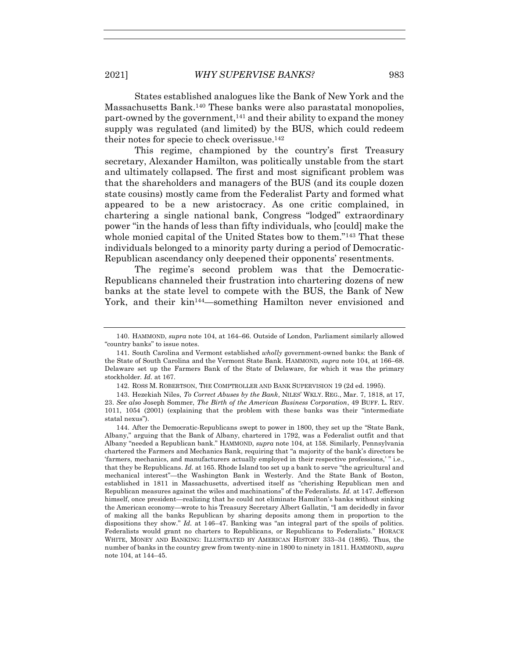States established analogues like the Bank of New York and the Massachusetts Bank.<sup>140</sup> These banks were also parastatal monopolies, part-owned by the government,  $141$  and their ability to expand the money supply was regulated (and limited) by the BUS, which could redeem their notes for specie to check overissue. 142

This regime, championed by the country's first Treasury secretary, Alexander Hamilton, was politically unstable from the start and ultimately collapsed. The first and most significant problem was that the shareholders and managers of the BUS (and its couple dozen state cousins) mostly came from the Federalist Party and formed what appeared to be a new aristocracy. As one critic complained, in chartering a single national bank, Congress "lodged" extraordinary power "in the hands of less than fifty individuals, who [could] make the whole monied capital of the United States bow to them.<sup>"143</sup> That these individuals belonged to a minority party during a period of Democratic-Republican ascendancy only deepened their opponents' resentments.

<span id="page-33-0"></span>The regime's second problem was that the Democratic-Republicans channeled their frustration into chartering dozens of new banks at the state level to compete with the BUS, the Bank of New York, and their kin<sup>144</sup>—something Hamilton never envisioned and

<sup>140.</sup> HAMMOND, *supra* note [104,](#page-25-0) at 164–66. Outside of London, Parliament similarly allowed "country banks" to issue notes.

<sup>141.</sup> South Carolina and Vermont established *wholly* government-owned banks: the Bank of the State of South Carolina and the Vermont State Bank. HAMMOND, *supra* note [104,](#page-25-0) at 166–68. Delaware set up the Farmers Bank of the State of Delaware, for which it was the primary stockholder. *Id.* at 167.

<sup>142.</sup> ROSS M. ROBERTSON, THE COMPTROLLER AND BANK SUPERVISION 19 (2d ed. 1995).

<sup>143.</sup> Hezekiah Niles, *To Correct Abuses by the Bank*, NILES' WKLY. REG., Mar. 7, 1818, at 17, 23. *See also* Joseph Sommer, *The Birth of the American Business Corporation*, 49 BUFF. L. REV. 1011, 1054 (2001) (explaining that the problem with these banks was their "intermediate statal nexus").

<sup>144.</sup> After the Democratic-Republicans swept to power in 1800, they set up the "State Bank, Albany," arguing that the Bank of Albany, chartered in 1792, was a Federalist outfit and that Albany "needed a Republican bank." HAMMOND, *supra* note [104,](#page-25-0) at 158. Similarly, Pennsylvania chartered the Farmers and Mechanics Bank, requiring that "a majority of the bank's directors be 'farmers, mechanics, and manufacturers actually employed in their respective professions,' " i.e., that they be Republicans. *Id.* at 165. Rhode Island too set up a bank to serve "the agricultural and mechanical interest"—the Washington Bank in Westerly. And the State Bank of Boston, established in 1811 in Massachusetts, advertised itself as "cherishing Republican men and Republican measures against the wiles and machinations" of the Federalists. *Id.* at 147. Jefferson himself, once president—realizing that he could not eliminate Hamilton's banks without sinking the American economy—wrote to his Treasury Secretary Albert Gallatin, "I am decidedly in favor of making all the banks Republican by sharing deposits among them in proportion to the dispositions they show." *Id.* at 146–47. Banking was "an integral part of the spoils of politics. Federalists would grant no charters to Republicans, or Republicans to Federalists." HORACE WHITE, MONEY AND BANKING: ILLUSTRATED BY AMERICAN HISTORY 333–34 (1895). Thus, the number of banks in the country grew from twenty-nine in 1800 to ninety in 1811. HAMMOND, *supra* not[e 104,](#page-25-0) at 144–45.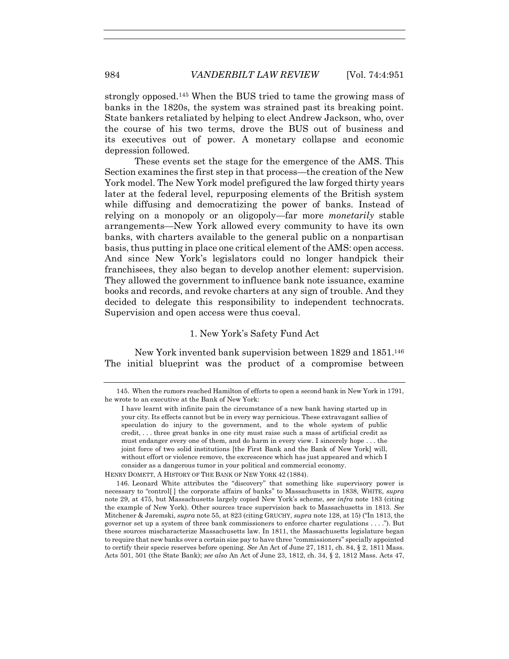strongly opposed.<sup>145</sup> When the BUS tried to tame the growing mass of banks in the 1820s, the system was strained past its breaking point. State bankers retaliated by helping to elect Andrew Jackson, who, over the course of his two terms, drove the BUS out of business and its executives out of power. A monetary collapse and economic depression followed.

These events set the stage for the emergence of the AMS. This Section examines the first step in that process—the creation of the New York model. The New York model prefigured the law forged thirty years later at the federal level, repurposing elements of the British system while diffusing and democratizing the power of banks. Instead of relying on a monopoly or an oligopoly—far more *monetarily* stable arrangements—New York allowed every community to have its own banks, with charters available to the general public on a nonpartisan basis, thus putting in place one critical element of the AMS: open access. And since New York's legislators could no longer handpick their franchisees, they also began to develop another element: supervision. They allowed the government to influence bank note issuance, examine books and records, and revoke charters at any sign of trouble. And they decided to delegate this responsibility to independent technocrats. Supervision and open access were thus coeval.

# 1. New York's Safety Fund Act

New York invented bank supervision between 1829 and 1851.<sup>146</sup> The initial blueprint was the product of a compromise between

HENRY DOMETT, A HISTORY OF THE BANK OF NEW YORK 42 (1884).

<sup>145.</sup> When the rumors reached Hamilton of efforts to open a second bank in New York in 1791, he wrote to an executive at the Bank of New York:

I have learnt with infinite pain the circumstance of a new bank having started up in your city. Its effects cannot but be in every way pernicious. These extravagant sallies of speculation do injury to the government, and to the whole system of public credit, . . . three great banks in one city must raise such a mass of artificial credit as must endanger every one of them, and do harm in every view. I sincerely hope . . . the joint force of two solid institutions [the First Bank and the Bank of New York] will, without effort or violence remove, the excrescence which has just appeared and which I consider as a dangerous tumor in your political and commercial economy.

<sup>146.</sup> Leonard White attributes the "discovery" that something like supervisory power is necessary to "control[ ] the corporate affairs of banks" to Massachusetts in 1838, WHITE, *supra* note [29,](#page-7-0) at 475, but Massachusetts largely copied New York's scheme, *see infra* note [183](#page-41-1) (citing the example of New York). Other sources trace supervision back to Massachusetts in 1813. *See*  Mitchener & Jaremski, *supra* note [55,](#page-15-1) at 823 (citing GRUCHY, *supra* not[e 128,](#page-30-2) at 15) ("In 1813, the governor set up a system of three bank commissioners to enforce charter regulations . . . ."). But these sources mischaracterize Massachusetts law. In 1811, the Massachusetts legislature began to require that new banks over a certain size pay to have three "commissioners" specially appointed to certify their specie reserves before opening. *See* An Act of June 27, 1811, ch. 84, § 2, 1811 Mass. Acts 501, 501 (the State Bank); *see also* An Act of June 23, 1812, ch. 34, § 2, 1812 Mass. Acts 47,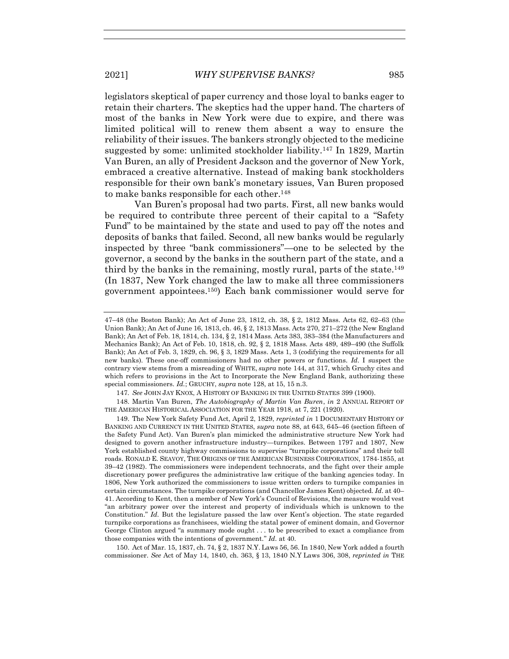legislators skeptical of paper currency and those loyal to banks eager to retain their charters. The skeptics had the upper hand. The charters of most of the banks in New York were due to expire, and there was limited political will to renew them absent a way to ensure the reliability of their issues. The bankers strongly objected to the medicine suggested by some: unlimited stockholder liability.<sup>147</sup> In 1829, Martin Van Buren, an ally of President Jackson and the governor of New York, embraced a creative alternative. Instead of making bank stockholders responsible for their own bank's monetary issues, Van Buren proposed to make banks responsible for each other.<sup>148</sup>

Van Buren's proposal had two parts. First, all new banks would be required to contribute three percent of their capital to a "Safety Fund" to be maintained by the state and used to pay off the notes and deposits of banks that failed. Second, all new banks would be regularly inspected by three "bank commissioners"—one to be selected by the governor, a second by the banks in the southern part of the state, and a third by the banks in the remaining, mostly rural, parts of the state. 149 (In 1837, New York changed the law to make all three commissioners government appointees. <sup>150</sup>) Each bank commissioner would serve for

147*. See* JOHN JAY KNOX, A HISTORY OF BANKING IN THE UNITED STATES 399 (1900).

148. Martin Van Buren, *The Autobiography of Martin Van Buren*, *in* 2 ANNUAL REPORT OF THE AMERICAN HISTORICAL ASSOCIATION FOR THE YEAR 1918, at 7, 221 (1920).

149. The New York Safety Fund Act, April 2, 1829, *reprinted in* 1 DOCUMENTARY HISTORY OF BANKING AND CURRENCY IN THE UNITED STATES, *supra* note [88,](#page-21-0) at 643, 645–46 (section fifteen of the Safety Fund Act). Van Buren's plan mimicked the administrative structure New York had designed to govern another infrastructure industry—turnpikes. Between 1797 and 1807, New York established county highway commissions to supervise "turnpike corporations" and their toll roads. RONALD E. SEAVOY, THE ORIGINS OF THE AMERICAN BUSINESS CORPORATION, 1784-1855, at 39–42 (1982). The commissioners were independent technocrats, and the fight over their ample discretionary power prefigures the administrative law critique of the banking agencies today. In 1806, New York authorized the commissioners to issue written orders to turnpike companies in certain circumstances. The turnpike corporations (and Chancellor James Kent) objected. *Id.* at 40– 41. According to Kent, then a member of New York's Council of Revisions, the measure would vest "an arbitrary power over the interest and property of individuals which is unknown to the Constitution." *Id.* But the legislature passed the law over Kent's objection. The state regarded turnpike corporations as franchisees, wielding the statal power of eminent domain, and Governor George Clinton argued "a summary mode ought . . . to be prescribed to exact a compliance from those companies with the intentions of government." *Id.* at 40.

150. Act of Mar. 15, 1837, ch. 74, § 2, 1837 N.Y. Laws 56, 56. In 1840, New York added a fourth commissioner. *See* Act of May 14, 1840, ch. 363, § 13, 1840 N.Y Laws 306, 308, *reprinted in* THE

<sup>47</sup>–48 (the Boston Bank); An Act of June 23, 1812, ch. 38, § 2, 1812 Mass. Acts 62, 62–63 (the Union Bank); An Act of June 16, 1813, ch. 46, § 2, 1813 Mass. Acts 270, 271–272 (the New England Bank); An Act of Feb. 18, 1814, ch. 134, § 2, 1814 Mass. Acts 383, 383–384 (the Manufacturers and Mechanics Bank); An Act of Feb. 10, 1818, ch. 92, § 2, 1818 Mass. Acts 489, 489–490 (the Suffolk Bank); An Act of Feb. 3, 1829, ch. 96, § 3, 1829 Mass. Acts 1, 3 (codifying the requirements for all new banks). These one-off commissioners had no other powers or functions. *Id.* I suspect the contrary view stems from a misreading of WHITE, *supra* note [144,](#page-33-0) at 317, which Gruchy cites and which refers to provisions in the Act to Incorporate the New England Bank, authorizing these special commissioners. *Id.*; GRUCHY, *supra* not[e 128,](#page-30-2) at 15, 15 n.3.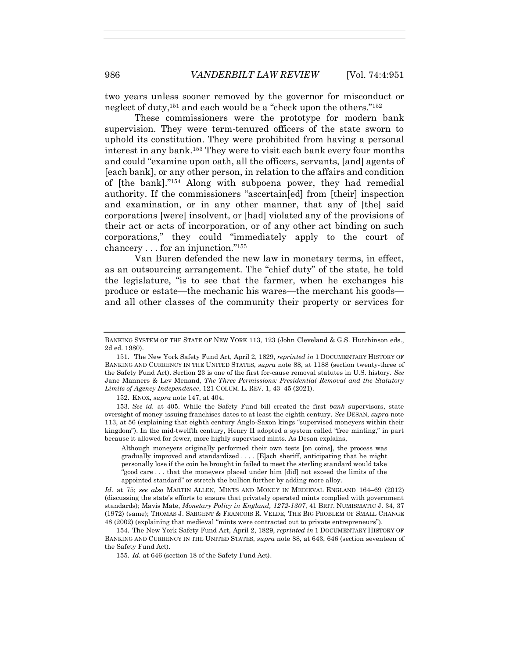<span id="page-36-0"></span>two years unless sooner removed by the governor for misconduct or neglect of duty, <sup>151</sup> and each would be a "check upon the others."<sup>152</sup>

These commissioners were the prototype for modern bank supervision. They were term-tenured officers of the state sworn to uphold its constitution. They were prohibited from having a personal interest in any bank.<sup>153</sup> They were to visit each bank every four months and could "examine upon oath, all the officers, servants, [and] agents of [each bank], or any other person, in relation to the affairs and condition of [the bank]."<sup>154</sup> Along with subpoena power, they had remedial authority. If the commissioners "ascertain[ed] from [their] inspection and examination, or in any other manner, that any of [the] said corporations [were] insolvent, or [had] violated any of the provisions of their act or acts of incorporation, or of any other act binding on such corporations," they could "immediately apply to the court of chancery . . . for an injunction."<sup>155</sup>

Van Buren defended the new law in monetary terms, in effect, as an outsourcing arrangement. The "chief duty" of the state, he told the legislature, "is to see that the farmer, when he exchanges his produce or estate—the mechanic his wares—the merchant his goods and all other classes of the community their property or services for

152. KNOX, *supra* note [147,](#page-35-0) at 404.

153*. See id.* at 405. While the Safety Fund bill created the first *bank* supervisors, state oversight of money-issuing franchises dates to at least the eighth century. *See* DESAN, *supra* note [113,](#page-26-0) at 56 (explaining that eighth century Anglo-Saxon kings "supervised moneyers within their kingdom"). In the mid-twelfth century, Henry II adopted a system called "free minting," in part because it allowed for fewer, more highly supervised mints. As Desan explains,

Although moneyers originally performed their own tests [on coins], the process was gradually improved and standardized . . . . [E]ach sheriff, anticipating that he might personally lose if the coin he brought in failed to meet the sterling standard would take "good care . . . that the moneyers placed under him [did] not exceed the limits of the appointed standard" or stretch the bullion further by adding more alloy.

*Id.* at 75; *see also* MARTIN ALLEN, MINTS AND MONEY IN MEDIEVAL ENGLAND 164–69 (2012) (discussing the state's efforts to ensure that privately operated mints complied with government standards); Mavis Mate, *Monetary Policy in England, 1272-1307*, 41 BRIT. NUMISMATIC J. 34, 37 (1972) (same); THOMAS J. SARGENT & FRANCOIS R. VELDE, THE BIG PROBLEM OF SMALL CHANGE 48 (2002) (explaining that medieval "mints were contracted out to private entrepreneurs").

154. The New York Safety Fund Act, April 2, 1829, *reprinted in* 1 DOCUMENTARY HISTORY OF BANKING AND CURRENCY IN THE UNITED STATES, *supra* not[e 88,](#page-21-0) at 643, 646 (section seventeen of the Safety Fund Act).

155*. Id.* at 646 (section 18 of the Safety Fund Act).

BANKING SYSTEM OF THE STATE OF NEW YORK 113, 123 (John Cleveland & G.S. Hutchinson eds., 2d ed. 1980).

<sup>151.</sup> The New York Safety Fund Act, April 2, 1829, *reprinted in* 1 DOCUMENTARY HISTORY OF BANKING AND CURRENCY IN THE UNITED STATES, *supra* note [88,](#page-21-0) at 1188 (section twenty-three of the Safety Fund Act). Section 23 is one of the first for-cause removal statutes in U.S. history. *See* Jane Manners & Lev Menand, *The Three Permissions: Presidential Removal and the Statutory Limits of Agency Independence*, 121 COLUM. L. REV. 1, 43–45 (2021).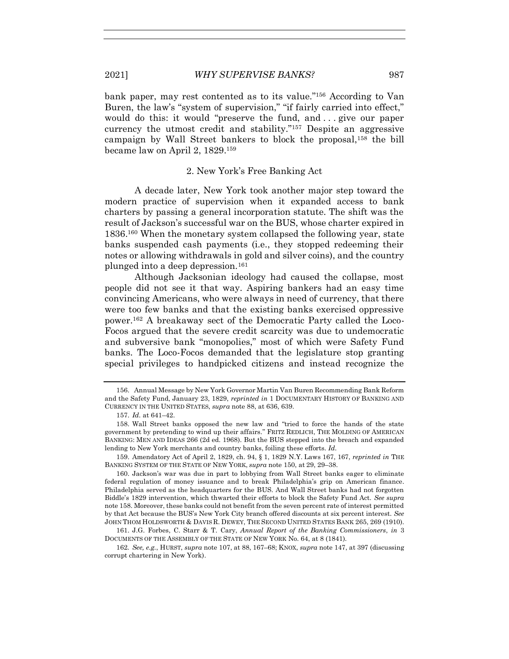bank paper, may rest contented as to its value."<sup>156</sup> According to Van Buren, the law's "system of supervision," "if fairly carried into effect," would do this: it would "preserve the fund, and ... give our paper currency the utmost credit and stability. $157$  Despite an aggressive campaign by Wall Street bankers to block the proposal, <sup>158</sup> the bill became law on April 2, 1829.<sup>159</sup>

#### <span id="page-37-1"></span><span id="page-37-0"></span>2. New York's Free Banking Act

A decade later, New York took another major step toward the modern practice of supervision when it expanded access to bank charters by passing a general incorporation statute. The shift was the result of Jackson's successful war on the BUS, whose charter expired in 1836.<sup>160</sup> When the monetary system collapsed the following year, state banks suspended cash payments (i.e., they stopped redeeming their notes or allowing withdrawals in gold and silver coins), and the country plunged into a deep depression.<sup>161</sup>

Although Jacksonian ideology had caused the collapse, most people did not see it that way. Aspiring bankers had an easy time convincing Americans, who were always in need of currency, that there were too few banks and that the existing banks exercised oppressive power.<sup>162</sup> A breakaway sect of the Democratic Party called the Loco-Focos argued that the severe credit scarcity was due to undemocratic and subversive bank "monopolies," most of which were Safety Fund banks. The Loco-Focos demanded that the legislature stop granting special privileges to handpicked citizens and instead recognize the

161. J.G. Forbes, C. Starr & T. Cary, *Annual Report of the Banking Commissioners*, *in* 3 DOCUMENTS OF THE ASSEMBLY OF THE STATE OF NEW YORK No. 64, at 8 (1841).

162*. See, e.g.*, HURST, *supra* not[e 107,](#page-25-0) at 88, 167–68; KNOX, *supra* not[e 147,](#page-35-0) at 397 (discussing corrupt chartering in New York).

<sup>156.</sup> Annual Message by New York Governor Martin Van Buren Recommending Bank Reform and the Safety Fund, January 23, 1829, *reprinted in* 1 DOCUMENTARY HISTORY OF BANKING AND CURRENCY IN THE UNITED STATES, *supra* note [88,](#page-21-0) at 636, 639.

<sup>157.</sup> *Id.* at 641–42.

<sup>158.</sup> Wall Street banks opposed the new law and "tried to force the hands of the state government by pretending to wind up their affairs." FRITZ REDLICH, THE MOLDING OF AMERICAN BANKING: MEN AND IDEAS 266 (2d ed. 1968). But the BUS stepped into the breach and expanded lending to New York merchants and country banks, foiling these efforts. *Id.*

<sup>159.</sup> Amendatory Act of April 2, 1829, ch. 94, § 1, 1829 N.Y. Laws 167, 167, *reprinted in* THE BANKING SYSTEM OF THE STATE OF NEW YORK, *supra* not[e 150,](#page-35-1) at 29, 29–38.

<sup>160.</sup> Jackson's war was due in part to lobbying from Wall Street banks eager to eliminate federal regulation of money issuance and to break Philadelphia's grip on American finance. Philadelphia served as the headquarters for the BUS. And Wall Street banks had not forgotten Biddle's 1829 intervention, which thwarted their efforts to block the Safety Fund Act. *See supra* not[e 158.](#page-37-0) Moreover, these banks could not benefit from the seven percent rate of interest permitted by that Act because the BUS's New York City branch offered discounts at six percent interest. *See* JOHN THOM HOLDSWORTH & DAVIS R. DEWEY, THE SECOND UNITED STATES BANK 265, 269 (1910).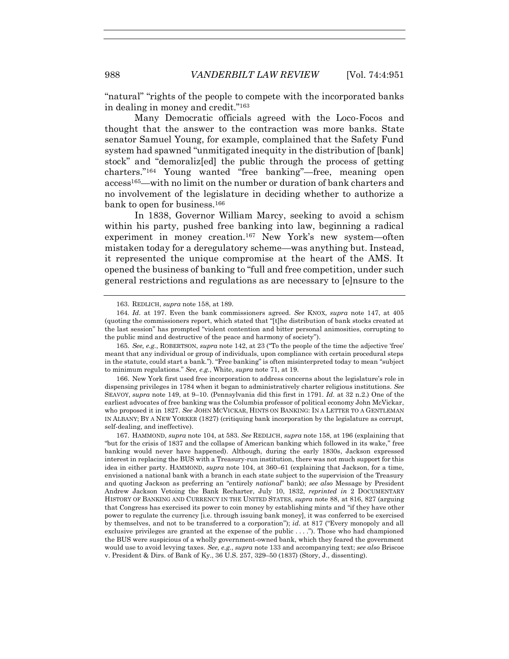"natural" "rights of the people to compete with the incorporated banks in dealing in money and credit."<sup>163</sup>

Many Democratic officials agreed with the Loco-Focos and thought that the answer to the contraction was more banks. State senator Samuel Young, for example, complained that the Safety Fund system had spawned "unmitigated inequity in the distribution of [bank] stock" and "demoraliz[ed] the public through the process of getting charters."<sup>164</sup> Young wanted "free banking"—free, meaning open access165—with no limit on the number or duration of bank charters and no involvement of the legislature in deciding whether to authorize a bank to open for business.<sup>166</sup>

In 1838, Governor William Marcy, seeking to avoid a schism within his party, pushed free banking into law, beginning a radical experiment in money creation.<sup>167</sup> New York's new system—often mistaken today for a deregulatory scheme—was anything but. Instead, it represented the unique compromise at the heart of the AMS. It opened the business of banking to "full and free competition, under such general restrictions and regulations as are necessary to [e]nsure to the

166. New York first used free incorporation to address concerns about the legislature's role in dispensing privileges in 1784 when it began to administratively charter religious institutions. *See* SEAVOY, *supra* note [149,](#page-35-2) at 9–10. (Pennsylvania did this first in 1791. *Id.* at 32 n.2.) One of the earliest advocates of free banking was the Columbia professor of political economy John McVickar, who proposed it in 1827. *See* JOHN MCVICKAR, HINTS ON BANKING: IN A LETTER TO A GENTLEMAN IN ALBANY; BY A NEW YORKER (1827) (critiquing bank incorporation by the legislature as corrupt, self-dealing, and ineffective).

167. HAMMOND, *supra* not[e 104,](#page-25-1) at 583. *See* REDLICH, *supra* not[e 158,](#page-37-0) at 196 (explaining that "but for the crisis of 1837 and the collapse of American banking which followed in its wake," free banking would never have happened). Although, during the early 1830s, Jackson expressed interest in replacing the BUS with a Treasury-run institution, there was not much support for this idea in either party. HAMMOND, *supra* note [104,](#page-25-1) at 360–61 (explaining that Jackson, for a time, envisioned a national bank with a branch in each state subject to the supervision of the Treasury and quoting Jackson as preferring an "entirely *national*" bank); *see also* Message by President Andrew Jackson Vetoing the Bank Recharter, July 10, 1832, *reprinted in* 2 DOCUMENTARY HISTORY OF BANKING AND CURRENCY IN THE UNITED STATES, *supra* note [88,](#page-21-0) at 816, 827 (arguing that Congress has exercised its power to coin money by establishing mints and "if they have other power to regulate the currency [i.e. through issuing bank money], it was conferred to be exercised by themselves, and not to be transferred to a corporation"); *id.* at 817 ("Every monopoly and all exclusive privileges are granted at the expense of the public  $\dots$ "). Those who had championed the BUS were suspicious of a wholly government-owned bank, which they feared the government would use to avoid levying taxes. *See, e.g.*, *supra* not[e 133](#page-31-0) and accompanying text; *see also* Briscoe v. President & Dirs. of Bank of Ky., 36 U.S. 257, 329–50 (1837) (Story, J., dissenting).

<sup>163.</sup> REDLICH, *supra* not[e 158,](#page-37-0) at 189.

<sup>164</sup>*. Id.* at 197. Even the bank commissioners agreed. *See* KNOX, *supra* note [147,](#page-35-0) at 405 (quoting the commissioners report, which stated that "[t]he distribution of bank stocks created at the last session" has prompted "violent contention and bitter personal animosities, corrupting to the public mind and destructive of the peace and harmony of society").

<sup>165</sup>*. See, e.g.*, ROBERTSON, *supra* note [142,](#page-33-0) at 23 ("To the people of the time the adjective 'free' meant that any individual or group of individuals, upon compliance with certain procedural steps in the statute, could start a bank."). "Free banking" is often misinterpreted today to mean "subject to minimum regulations." *See, e.g.*, White, *supra* note [71,](#page-18-0) at 19.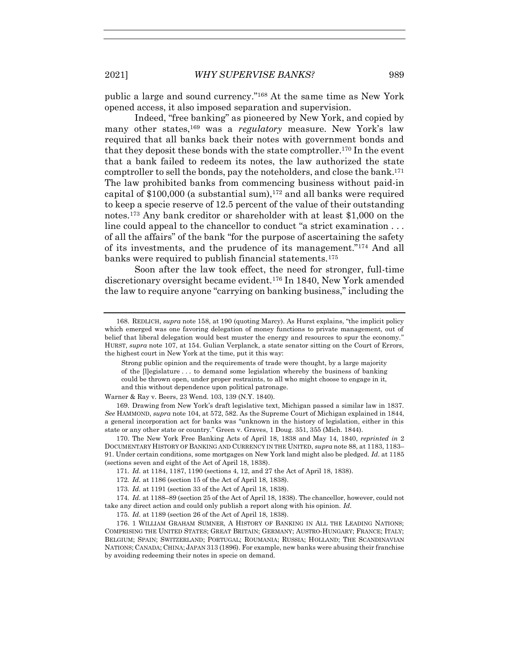public a large and sound currency."<sup>168</sup> At the same time as New York opened access, it also imposed separation and supervision.

Indeed, "free banking" as pioneered by New York, and copied by many other states,<sup>169</sup> was a *regulatory* measure. New York's law required that all banks back their notes with government bonds and that they deposit these bonds with the state comptroller.<sup>170</sup> In the event that a bank failed to redeem its notes, the law authorized the state comptroller to sell the bonds, pay the noteholders, and close the bank.<sup>171</sup> The law prohibited banks from commencing business without paid-in capital of  $$100,000$  (a substantial sum),<sup>172</sup> and all banks were required to keep a specie reserve of 12.5 percent of the value of their outstanding notes.<sup>173</sup> Any bank creditor or shareholder with at least \$1,000 on the line could appeal to the chancellor to conduct "a strict examination . . . of all the affairs" of the bank "for the purpose of ascertaining the safety of its investments, and the prudence of its management."<sup>174</sup> And all banks were required to publish financial statements.<sup>175</sup>

Soon after the law took effect, the need for stronger, full-time discretionary oversight became evident.<sup>176</sup> In 1840, New York amended the law to require anyone "carrying on banking business," including the

Warner & Ray v. Beers, 23 Wend. 103, 139 (N.Y. 1840).

169. Drawing from New York's draft legislative text, Michigan passed a similar law in 1837. *See* HAMMOND, *supra* not[e 104,](#page-25-1) at 572, 582. As the Supreme Court of Michigan explained in 1844, a general incorporation act for banks was "unknown in the history of legislation, either in this state or any other state or country." Green v. Graves, 1 Doug. 351, 355 (Mich. 1844).

170. The New York Free Banking Acts of April 18, 1838 and May 14, 1840, *reprinted in* 2 DOCUMENTARY HISTORY OF BANKING AND CURRENCY IN THE UNITED, *supra* not[e 88,](#page-21-0) at 1183, 1183– 91. Under certain conditions, some mortgages on New York land might also be pledged. *Id.* at 1185 (sections seven and eight of the Act of April 18, 1838).

171*. Id.* at 1184, 1187, 1190 (sections 4, 12, and 27 the Act of April 18, 1838).

172*. Id.* at 1186 (section 15 of the Act of April 18, 1838).

173*. Id.* at 1191 (section 33 of the Act of April 18, 1838).

174*. Id.* at 1188–89 (section 25 of the Act of April 18, 1838). The chancellor, however, could not take any direct action and could only publish a report along with his opinion. *Id.*

175*. Id.* at 1189 (section 26 of the Act of April 18, 1838).

176. 1 WILLIAM GRAHAM SUMNER, A HISTORY OF BANKING IN ALL THE LEADING NATIONS; COMPRISING THE UNITED STATES; GREAT BRITAIN; GERMANY; AUSTRO-HUNGARY; FRANCE; ITALY; BELGIUM; SPAIN; SWITZERLAND; PORTUGAL; ROUMANIA; RUSSIA; HOLLAND; THE SCANDINAVIAN NATIONS; CANADA; CHINA; JAPAN 313 (1896). For example, new banks were abusing their franchise by avoiding redeeming their notes in specie on demand.

<sup>168.</sup> REDLICH, *supra* note [158,](#page-37-0) at 190 (quoting Marcy). As Hurst explains, "the implicit policy which emerged was one favoring delegation of money functions to private management, out of belief that liberal delegation would best muster the energy and resources to spur the economy." HURST, *supra* note [107,](#page-25-0) at 154. Gulian Verplanck, a state senator sitting on the Court of Errors, the highest court in New York at the time, put it this way:

Strong public opinion and the requirements of trade were thought, by a large majority of the [l]egislature . . . to demand some legislation whereby the business of banking could be thrown open, under proper restraints, to all who might choose to engage in it, and this without dependence upon political patronage.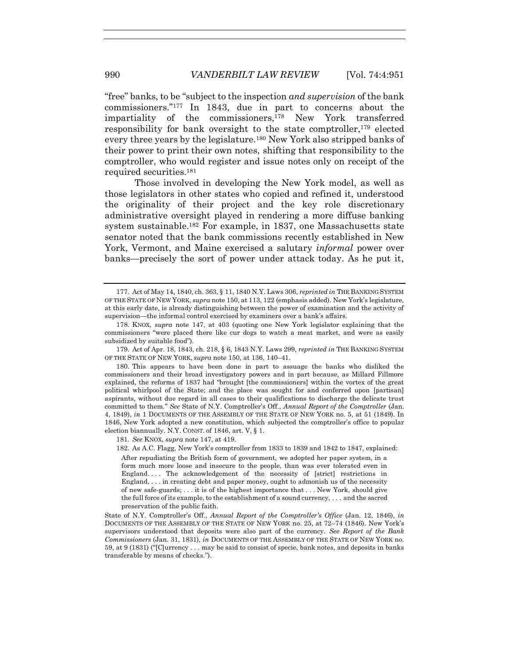<span id="page-40-1"></span>"free" banks, to be "subject to the inspection *and supervision* of the bank commissioners."<sup>177</sup> In 1843, due in part to concerns about the impartiality of the commissioners, <sup>178</sup> New York transferred responsibility for bank oversight to the state comptroller,  $179$  elected every three years by the legislature.<sup>180</sup> New York also stripped banks of their power to print their own notes, shifting that responsibility to the comptroller, who would register and issue notes only on receipt of the required securities.<sup>181</sup>

<span id="page-40-0"></span>Those involved in developing the New York model, as well as those legislators in other states who copied and refined it, understood the originality of their project and the key role discretionary administrative oversight played in rendering a more diffuse banking system sustainable.<sup>182</sup> For example, in 1837, one Massachusetts state senator noted that the bank commissions recently established in New York, Vermont, and Maine exercised a salutary *informal* power over banks—precisely the sort of power under attack today. As he put it,

180. This appears to have been done in part to assuage the banks who disliked the commissioners and their broad investigatory powers and in part because, as Millard Fillmore explained, the reforms of 1837 had "brought [the commissioners] within the vortex of the great political whirlpool of the State; and the place was sought for and conferred upon [partisan] aspirants, without due regard in all cases to their qualifications to discharge the delicate trust committed to them." *See* State of N.Y. Comptroller's Off., *Annual Report of the Comptroller* (Jan. 4, 1849), *in* 1 DOCUMENTS OF THE ASSEMBLY OF THE STATE OF NEW YORK no. 5, at 51 (1849). In 1846, New York adopted a new constitution, which subjected the comptroller's office to popular election biannually. N.Y. CONST. of 1846, art. V, § 1.

181*. See* KNOX, *supra* note [147,](#page-35-0) at 419.

182. As A.C. Flagg, New York's comptroller from 1833 to 1839 and 1842 to 1847, explained:

After repudiating the British form of government, we adopted her paper system, in a form much more loose and insecure to the people, than was ever tolerated even in England.... The acknowledgement of the necessity of [strict] restrictions in England, . . . in creating debt and paper money, ought to admonish us of the necessity of new safe-guards; . . . it is of the highest importance that . . . New York, should give the full force of its example, to the establishment of a sound currency, . . . and the sacred preservation of the public faith.

State of N.Y. Comptroller's Off., *Annual Report of the Comptroller's Office* (Jan. 12, 1846), *in*  DOCUMENTS OF THE ASSEMBLY OF THE STATE OF NEW YORK no. 25, at 72–74 (1846). New York's supervisors understood that deposits were also part of the currency. *See Report of the Bank Commissioners* (Jan. 31, 1831), *in* DOCUMENTS OF THE ASSEMBLY OF THE STATE OF NEW YORK no. 59, at 9 (1831) ("[C]urrency . . . may be said to consist of specie, bank notes, and deposits in banks transferable by means of checks.").

<sup>177.</sup> Act of May 14, 1840, ch. 363, § 11, 1840 N.Y. Laws 306, *reprinted in* THE BANKING SYSTEM OF THE STATE OF NEW YORK, *supra* not[e 150,](#page-35-1) at 113, 122 (emphasis added). New York's legislature, at this early date, is already distinguishing between the power of examination and the activity of supervision—the informal control exercised by examiners over a bank's affairs.

<sup>178.</sup> KNOX, *supra* note [147,](#page-35-0) at 403 (quoting one New York legislator explaining that the commissioners "were placed there like cur dogs to watch a meat market, and were as easily subsidized by suitable food").

<sup>179.</sup> Act of Apr. 18, 1843, ch. 218, § 6, 1843 N.Y. Laws 299, *reprinted in* THE BANKING SYSTEM OF THE STATE OF NEW YORK, *supra* note [150,](#page-35-1) at 136, 140–41.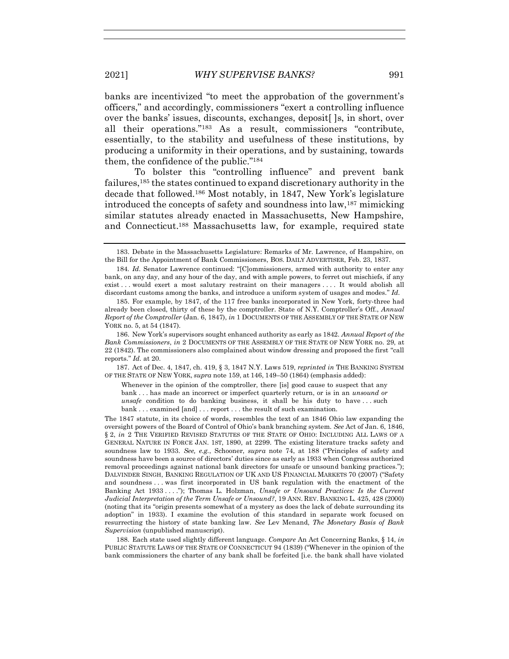banks are incentivized "to meet the approbation of the government's officers," and accordingly, commissioners "exert a controlling influence over the banks' issues, discounts, exchanges, deposit[ ]s, in short, over all their operations."<sup>183</sup> As a result, commissioners "contribute, essentially, to the stability and usefulness of these institutions, by producing a uniformity in their operations, and by sustaining, towards them, the confidence of the public."<sup>184</sup>

To bolster this "controlling influence" and prevent bank failures,<sup>185</sup> the states continued to expand discretionary authority in the decade that followed.<sup>186</sup> Most notably, in 1847, New York's legislature introduced the concepts of safety and soundness into law,<sup>187</sup> mimicking similar statutes already enacted in Massachusetts, New Hampshire, and Connecticut.<sup>188</sup> Massachusetts law, for example, required state

187. Act of Dec. 4, 1847, ch. 419, § 3, 1847 N.Y. Laws 519, *reprinted in* THE BANKING SYSTEM OF THE STATE OF NEW YORK, *supra* note [159,](#page-37-1) at 146, 149–50 (1864) (emphasis added):

Whenever in the opinion of the comptroller, there [is] good cause to suspect that any bank . . . has made an incorrect or imperfect quarterly return, or is in an *unsound or unsafe* condition to do banking business, it shall be his duty to have ... such bank . . . examined [and] . . . report . . . the result of such examination.

The 1847 statute, in its choice of words, resembles the text of an 1846 Ohio law expanding the oversight powers of the Board of Control of Ohio's bank branching system. *See* Act of Jan. 6, 1846, § 2, *in* 2 THE VERIFIED REVISED STATUTES OF THE STATE OF OHIO: INCLUDING ALL LAWS OF A GENERAL NATURE IN FORCE JAN. 1ST, 1890, at 2299. The existing literature tracks safety and soundness law to 1933. *See, e.g.*, Schooner, *supra* note [74,](#page-19-0) at 188 ("Principles of safety and soundness have been a source of directors' duties since as early as 1933 when Congress authorized removal proceedings against national bank directors for unsafe or unsound banking practices."); DALVINDER SINGH, BANKING REGULATION OF UK AND US FINANCIAL MARKETS 70 (2007) ("Safety and soundness . . . was first incorporated in US bank regulation with the enactment of the Banking Act 1933 . . . ."); Thomas L. Holzman, *Unsafe or Unsound Practices: Is the Current Judicial Interpretation of the Term Unsafe or Unsound?*, 19 ANN. REV. BANKING L. 425, 428 (2000) (noting that its "origin presents somewhat of a mystery as does the lack of debate surrounding its adoption" in 1933). I examine the evolution of this standard in separate work focused on resurrecting the history of state banking law. *See* Lev Menand, *The Monetary Basis of Bank Supervision* (unpublished manuscript).

188. Each state used slightly different language. *Compare* An Act Concerning Banks, § 14, *in* PUBLIC STATUTE LAWS OF THE STATE OF CONNECTICUT 94 (1839) ("Whenever in the opinion of the bank commissioners the charter of any bank shall be forfeited [i.e. the bank shall have violated

<sup>183.</sup> Debate in the Massachusetts Legislature: Remarks of Mr. Lawrence, of Hampshire, on the Bill for the Appointment of Bank Commissioners, BOS. DAILY ADVERTISER, Feb. 23, 1837.

<sup>184</sup>*. Id.* Senator Lawrence continued: "[C]ommissioners, armed with authority to enter any bank, on any day, and any hour of the day, and with ample powers, to ferret out mischiefs, if any exist . . . would exert a most salutary restraint on their managers . . . . It would abolish all discordant customs among the banks, and introduce a uniform system of usages and modes." *Id.*

<sup>185.</sup> For example, by 1847, of the 117 free banks incorporated in New York, forty-three had already been closed, thirty of these by the comptroller. State of N.Y. Comptroller's Off., *Annual Report of the Comptroller* (Jan. 6, 1847), *in* 1 DOCUMENTS OF THE ASSEMBLY OF THE STATE OF NEW YORK no. 5, at 54 (1847).

<sup>186.</sup> New York's supervisors sought enhanced authority as early as 1842. *Annual Report of the Bank Commissioners*, *in* 2 DOCUMENTS OF THE ASSEMBLY OF THE STATE OF NEW YORK no. 29, at 22 (1842). The commissioners also complained about window dressing and proposed the first "call reports." *Id.* at 20.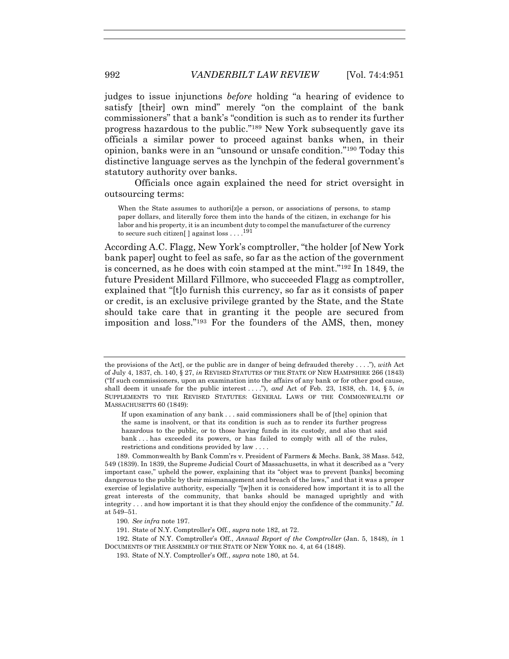judges to issue injunctions *before* holding "a hearing of evidence to satisfy [their] own mind" merely "on the complaint of the bank commissioners" that a bank's "condition is such as to render its further progress hazardous to the public."<sup>189</sup> New York subsequently gave its officials a similar power to proceed against banks when, in their opinion, banks were in an "unsound or unsafe condition."<sup>190</sup> Today this distinctive language serves as the lynchpin of the federal government's statutory authority over banks.

Officials once again explained the need for strict oversight in outsourcing terms:

When the State assumes to authori $[z]$ e a person, or associations of persons, to stamp paper dollars, and literally force them into the hands of the citizen, in exchange for his labor and his property, it is an incumbent duty to compel the manufacturer of the currency to secure such citizen[ ] against loss . . . . 191

According A.C. Flagg, New York's comptroller, "the holder [of New York bank paper] ought to feel as safe, so far as the action of the government is concerned, as he does with coin stamped at the mint."<sup>192</sup> In 1849, the future President Millard Fillmore, who succeeded Flagg as comptroller, explained that "[t]o furnish this currency, so far as it consists of paper or credit, is an exclusive privilege granted by the State, and the State should take care that in granting it the people are secured from imposition and loss."<sup>193</sup> For the founders of the AMS, then, money

190*. See infra* note [197.](#page-43-0)

the provisions of the Act], or the public are in danger of being defrauded thereby . . . ."), *with* Act of July 4, 1837, ch. 140, § 27, *in* REVISED STATUTES OF THE STATE OF NEW HAMPSHIRE 266 (1843) ("If such commissioners, upon an examination into the affairs of any bank or for other good cause, shall deem it unsafe for the public interest . . . ."), *and* Act of Feb. 23, 1838, ch. 14, § 5, *in* SUPPLEMENTS TO THE REVISED STATUTES: GENERAL LAWS OF THE COMMONWEALTH OF MASSACHUSETTS 60 (1849):

If upon examination of any bank . . . said commissioners shall be of [the] opinion that the same is insolvent, or that its condition is such as to render its further progress hazardous to the public, or to those having funds in its custody, and also that said bank . . . has exceeded its powers, or has failed to comply with all of the rules, restrictions and conditions provided by law . . . .

<sup>189.</sup> Commonwealth by Bank Comm'rs v. President of Farmers & Mechs. Bank, 38 Mass. 542, 549 (1839). In 1839, the Supreme Judicial Court of Massachusetts, in what it described as a "very important case," upheld the power, explaining that its "object was to prevent [banks] becoming dangerous to the public by their mismanagement and breach of the laws," and that it was a proper exercise of legislative authority, especially "[w]hen it is considered how important it is to all the great interests of the community, that banks should be managed uprightly and with integrity . . . and how important it is that they should enjoy the confidence of the community." *Id.*  at 549–51.

<sup>191.</sup> State of N.Y. Comptroller's Off., *supra* note [182,](#page-40-0) at 72.

<sup>192.</sup> State of N.Y. Comptroller's Off., *Annual Report of the Comptroller* (Jan. 5, 1848), *in* 1 DOCUMENTS OF THE ASSEMBLY OF THE STATE OF NEW YORK no. 4, at 64 (1848).

<sup>193.</sup> State of N.Y. Comptroller's Off., *supra* note [180,](#page-40-1) at 54.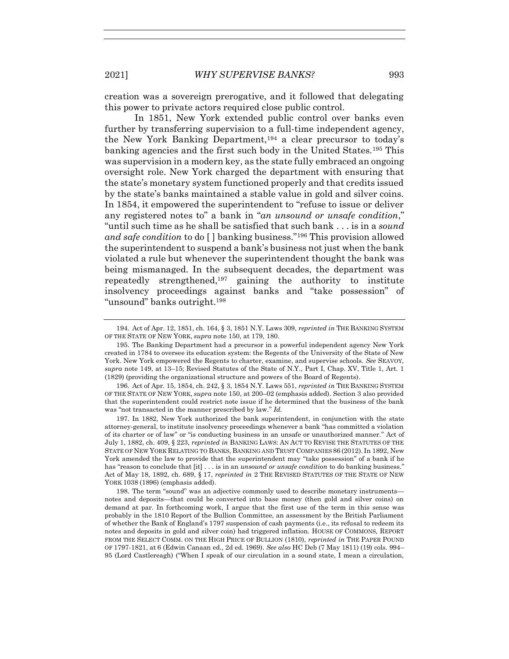creation was a sovereign prerogative, and it followed that delegating this power to private actors required close public control.

In 1851, New York extended public control over banks even further by transferring supervision to a full-time independent agency, the New York Banking Department,<sup>194</sup> a clear precursor to today's banking agencies and the first such body in the United States.<sup>195</sup> This was supervision in a modern key, as the state fully embraced an ongoing oversight role. New York charged the department with ensuring that the state's monetary system functioned properly and that credits issued by the state's banks maintained a stable value in gold and silver coins. In 1854, it empowered the superintendent to "refuse to issue or deliver any registered notes to" a bank in "*an unsound or unsafe condition*," "until such time as he shall be satisfied that such bank . . . is in a *sound and safe condition* to do [ ] banking business."<sup>196</sup> This provision allowed the superintendent to suspend a bank's business not just when the bank violated a rule but whenever the superintendent thought the bank was being mismanaged. In the subsequent decades, the department was repeatedly strengthened,<sup>197</sup> gaining the authority to institute insolvency proceedings against banks and "take possession" of "unsound" banks outright.<sup>198</sup>

196. Act of Apr. 15, 1854, ch. 242, § 3, 1854 N.Y. Laws 551, *reprinted in* THE BANKING SYSTEM OF THE STATE OF NEW YORK, *supra* note [150,](#page-35-1) at 200–02 (emphasis added). Section 3 also provided that the superintendent could restrict note issue if he determined that the business of the bank was "not transacted in the manner prescribed by law." *Id.*

197. In 1882, New York authorized the bank superintendent, in conjunction with the state attorney-general, to institute insolvency proceedings whenever a bank "has committed a violation of its charter or of law" or "is conducting business in an unsafe or unauthorized manner." Act of July 1, 1882, ch. 409, § 223, *reprinted in* BANKING LAWS: AN ACT TO REVISE THE STATUTES OF THE STATE OF NEW YORK RELATING TO BANKS, BANKING AND TRUST COMPANIES 86 (2012). In 1892, New York amended the law to provide that the superintendent may "take possession" of a bank if he has "reason to conclude that [it] . . . is in an *unsound or unsafe condition* to do banking business." Act of May 18, 1892, ch. 689, § 17, *reprinted in* 2 THE REVISED STATUTES OF THE STATE OF NEW YORK 1038 (1896) (emphasis added).

198. The term "sound" was an adjective commonly used to describe monetary instruments notes and deposits—that could be converted into base money (then gold and silver coins) on demand at par. In forthcoming work, I argue that the first use of the term in this sense was probably in the 1810 Report of the Bullion Committee, an assessment by the British Parliament of whether the Bank of England's 1797 suspension of cash payments (i.e., its refusal to redeem its notes and deposits in gold and silver coin) had triggered inflation. HOUSE OF COMMONS, REPORT FROM THE SELECT COMM. ON THE HIGH PRICE OF BULLION (1810), *reprinted in* THE PAPER POUND OF 1797-1821, at 6 (Edwin Canaan ed., 2d ed. 1969). *See also* HC Deb (7 May 1811) (19) cols. 994– 95 (Lord Castlereagh) ("When I speak of our circulation in a sound state, I mean a circulation,

<span id="page-43-0"></span><sup>194.</sup> Act of Apr. 12, 1851, ch. 164, § 3, 1851 N.Y. Laws 309, *reprinted in* THE BANKING SYSTEM OF THE STATE OF NEW YORK, *supra* note [150,](#page-35-1) at 179, 180.

<sup>195.</sup> The Banking Department had a precursor in a powerful independent agency New York created in 1784 to oversee its education system: the Regents of the University of the State of New York. New York empowered the Regents to charter, examine, and supervise schools. *See* SEAVOY, *supra* note [149,](#page-35-2) at 13–15; Revised Statutes of the State of N.Y., Part I, Chap. XV, Title 1, Art. 1 (1829) (providing the organizational structure and powers of the Board of Regents).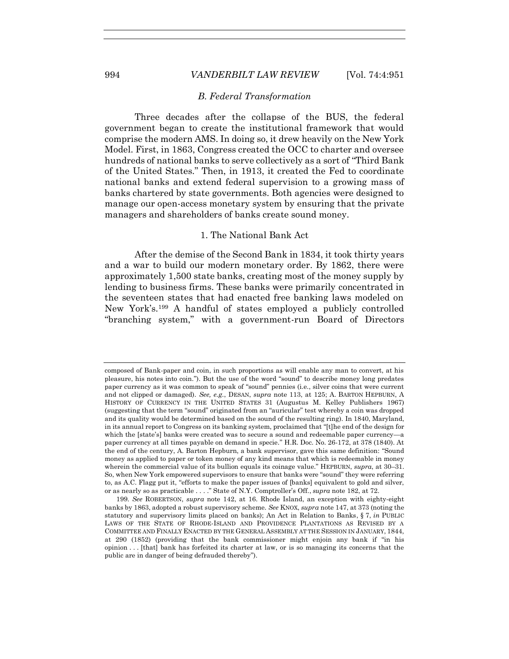#### *B. Federal Transformation*

Three decades after the collapse of the BUS, the federal government began to create the institutional framework that would comprise the modern AMS. In doing so, it drew heavily on the New York Model. First, in 1863, Congress created the OCC to charter and oversee hundreds of national banks to serve collectively as a sort of "Third Bank of the United States." Then, in 1913, it created the Fed to coordinate national banks and extend federal supervision to a growing mass of banks chartered by state governments. Both agencies were designed to manage our open-access monetary system by ensuring that the private managers and shareholders of banks create sound money.

#### 1. The National Bank Act

After the demise of the Second Bank in 1834, it took thirty years and a war to build our modern monetary order. By 1862, there were approximately 1,500 state banks, creating most of the money supply by lending to business firms. These banks were primarily concentrated in the seventeen states that had enacted free banking laws modeled on New York's.<sup>199</sup> A handful of states employed a publicly controlled "branching system," with a government-run Board of Directors

composed of Bank-paper and coin, in such proportions as will enable any man to convert, at his pleasure, his notes into coin."). But the use of the word "sound" to describe money long predates paper currency as it was common to speak of "sound" pennies (i.e., silver coins that were current and not clipped or damaged). *See, e.g.*, DESAN, *supra* note [113,](#page-26-0) at 125; A. BARTON HEPBURN, A HISTORY OF CURRENCY IN THE UNITED STATES 31 (Augustus M. Kelley Publishers 1967) (suggesting that the term "sound" originated from an "auricular" test whereby a coin was dropped and its quality would be determined based on the sound of the resulting ring). In 1840, Maryland, in its annual report to Congress on its banking system, proclaimed that "[t]he end of the design for which the [state's] banks were created was to secure a sound and redeemable paper currency—a paper currency at all times payable on demand in specie." H.R. Doc. No. 26-172, at 378 (1840). At the end of the century, A. Barton Hepburn, a bank supervisor, gave this same definition: "Sound money as applied to paper or token money of any kind means that which is redeemable in money wherein the commercial value of its bullion equals its coinage value." HEPBURN, *supra*, at 30–31. So, when New York empowered supervisors to ensure that banks were "sound" they were referring to, as A.C. Flagg put it, "efforts to make the paper issues of [banks] equivalent to gold and silver, or as nearly so as practicable . . . ." State of N.Y. Comptroller's Off., *supra* not[e 182,](#page-40-0) at 72.

<sup>199</sup>*. See* ROBERTSON, *supra* note [142,](#page-33-0) at 16. Rhode Island, an exception with eighty-eight banks by 1863, adopted a robust supervisory scheme. *See* KNOX, *supra* not[e 147,](#page-35-0) at 373 (noting the statutory and supervisory limits placed on banks); An Act in Relation to Banks, § 7, *in* PUBLIC LAWS OF THE STATE OF RHODE-ISLAND AND PROVIDENCE PLANTATIONS AS REVISED BY A COMMITTEE AND FINALLY ENACTED BY THE GENERAL ASSEMBLY AT THE SESSION IN JANUARY, 1844, at 290 (1852) (providing that the bank commissioner might enjoin any bank if "in his opinion . . . [that] bank has forfeited its charter at law, or is so managing its concerns that the public are in danger of being defrauded thereby").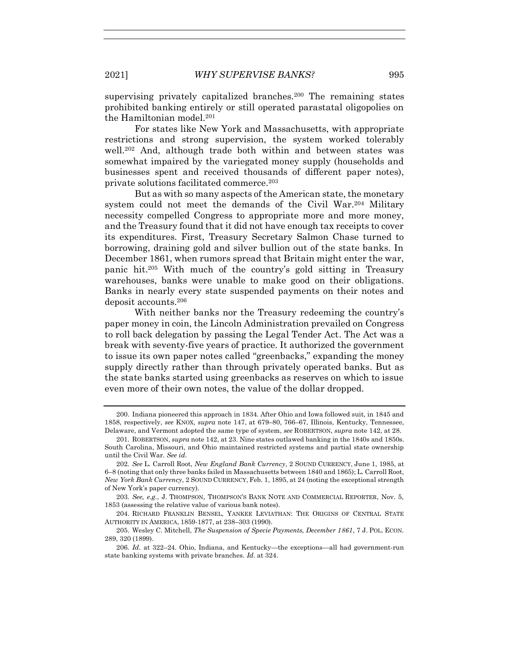supervising privately capitalized branches.<sup>200</sup> The remaining states prohibited banking entirely or still operated parastatal oligopolies on the Hamiltonian model.<sup>201</sup>

For states like New York and Massachusetts, with appropriate restrictions and strong supervision, the system worked tolerably well.<sup>202</sup> And, although trade both within and between states was somewhat impaired by the variegated money supply (households and businesses spent and received thousands of different paper notes), private solutions facilitated commerce.<sup>203</sup>

But as with so many aspects of the American state, the monetary system could not meet the demands of the Civil War.<sup>204</sup> Military necessity compelled Congress to appropriate more and more money, and the Treasury found that it did not have enough tax receipts to cover its expenditures. First, Treasury Secretary Salmon Chase turned to borrowing, draining gold and silver bullion out of the state banks. In December 1861, when rumors spread that Britain might enter the war, panic hit.<sup>205</sup> With much of the country's gold sitting in Treasury warehouses, banks were unable to make good on their obligations. Banks in nearly every state suspended payments on their notes and deposit accounts.<sup>206</sup>

With neither banks nor the Treasury redeeming the country's paper money in coin, the Lincoln Administration prevailed on Congress to roll back delegation by passing the Legal Tender Act. The Act was a break with seventy-five years of practice. It authorized the government to issue its own paper notes called "greenbacks," expanding the money supply directly rather than through privately operated banks. But as the state banks started using greenbacks as reserves on which to issue even more of their own notes, the value of the dollar dropped.

<sup>200.</sup> Indiana pioneered this approach in 1834. After Ohio and Iowa followed suit, in 1845 and 1858, respectively, *see* KNOX, *supra* note [147,](#page-35-0) at 679–80, 766–67, Illinois, Kentucky, Tennessee, Delaware, and Vermont adopted the same type of system, *see* ROBERTSON, *supra* note [142,](#page-33-0) at 28.

<sup>201.</sup> ROBERTSON, *supra* note [142,](#page-33-0) at 23. Nine states outlawed banking in the 1840s and 1850s. South Carolina, Missouri, and Ohio maintained restricted systems and partial state ownership until the Civil War. *See id.*

<sup>202</sup>*. See* L. Carroll Root, *New England Bank Currency*, 2 SOUND CURRENCY, June 1, 1985, at 6–8 (noting that only three banks failed in Massachusetts between 1840 and 1865); L. Carroll Root, *New York Bank Currency*, 2 SOUND CURRENCY, Feb. 1, 1895, at 24 (noting the exceptional strength of New York's paper currency).

<sup>203</sup>*. See, e.g.*, J. THOMPSON, THOMPSON'S BANK NOTE AND COMMERCIAL REPORTER, Nov. 5, 1853 (assessing the relative value of various bank notes).

<sup>204.</sup> RICHARD FRANKLIN BENSEL, YANKEE LEVIATHAN: THE ORIGINS OF CENTRAL STATE AUTHORITY IN AMERICA, 1859-1877, at 238–303 (1990).

<sup>205.</sup> Wesley C. Mitchell, *The Suspension of Specie Payments, December 1861*, 7 J. POL. ECON. 289, 320 (1899).

<sup>206</sup>*. Id.* at 322–24. Ohio, Indiana, and Kentucky—the exceptions—all had government-run state banking systems with private branches. *Id.* at 324.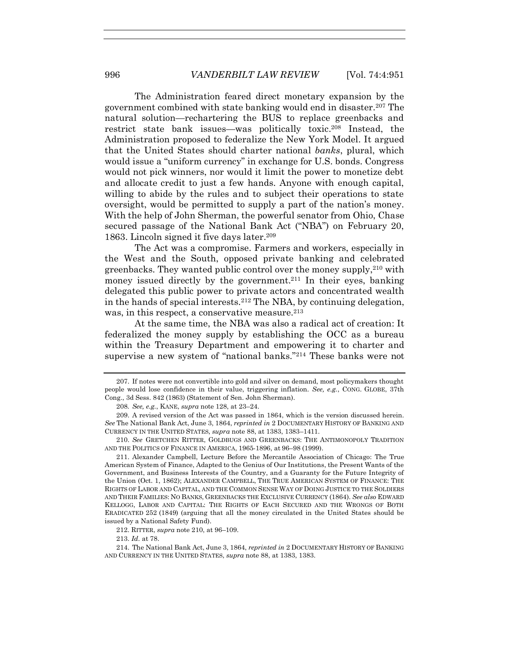The Administration feared direct monetary expansion by the government combined with state banking would end in disaster.<sup>207</sup> The natural solution—rechartering the BUS to replace greenbacks and restrict state bank issues—was politically toxic.<sup>208</sup> Instead, the Administration proposed to federalize the New York Model. It argued that the United States should charter national *banks*, plural, which would issue a "uniform currency" in exchange for U.S. bonds. Congress would not pick winners, nor would it limit the power to monetize debt and allocate credit to just a few hands. Anyone with enough capital, willing to abide by the rules and to subject their operations to state oversight, would be permitted to supply a part of the nation's money. With the help of John Sherman, the powerful senator from Ohio, Chase secured passage of the National Bank Act ("NBA") on February 20, 1863. Lincoln signed it five days later.<sup>209</sup>

<span id="page-46-0"></span>The Act was a compromise. Farmers and workers, especially in the West and the South, opposed private banking and celebrated greenbacks. They wanted public control over the money supply,<sup>210</sup> with money issued directly by the government. <sup>211</sup> In their eyes, banking delegated this public power to private actors and concentrated wealth in the hands of special interests.<sup>212</sup> The NBA, by continuing delegation, was, in this respect, a conservative measure.<sup>213</sup>

At the same time, the NBA was also a radical act of creation: It federalized the money supply by establishing the OCC as a bureau within the Treasury Department and empowering it to charter and supervise a new system of "national banks."<sup>214</sup> These banks were not

211. Alexander Campbell, Lecture Before the Mercantile Association of Chicago: The True American System of Finance, Adapted to the Genius of Our Institutions, the Present Wants of the Government, and Business Interests of the Country, and a Guaranty for the Future Integrity of the Union (Oct. 1, 1862); ALEXANDER CAMPBELL, THE TRUE AMERICAN SYSTEM OF FINANCE: THE RIGHTS OF LABOR AND CAPITAL, AND THE COMMON SENSE WAY OF DOING JUSTICE TO THE SOLDIERS AND THEIR FAMILIES: NO BANKS, GREENBACKS THE EXCLUSIVE CURRENCY (1864). *See also* EDWARD KELLOGG, LABOR AND CAPITAL: THE RIGHTS OF EACH SECURED AND THE WRONGS OF BOTH ERADICATED 252 (1849) (arguing that all the money circulated in the United States should be issued by a National Safety Fund).

212. RITTER, *supra* not[e 210,](#page-46-0) at 96–109.

213. *Id.* at 78.

214. The National Bank Act, June 3, 1864, *reprinted in* 2 DOCUMENTARY HISTORY OF BANKING AND CURRENCY IN THE UNITED STATES, *supra* note [88,](#page-21-0) at 1383, 1383.

<sup>207.</sup> If notes were not convertible into gold and silver on demand, most policymakers thought people would lose confidence in their value, triggering inflation. *See, e.g.*, CONG. GLOBE, 37th Cong., 3d Sess. 842 (1863) (Statement of Sen. John Sherman).

<sup>208</sup>*. See, e.g.*, KANE, *supra* not[e 128,](#page-30-0) at 23–24.

<sup>209.</sup> A revised version of the Act was passed in 1864, which is the version discussed herein. *See* The National Bank Act, June 3, 1864, *reprinted in* 2 DOCUMENTARY HISTORY OF BANKING AND CURRENCY IN THE UNITED STATES, *supra* note [88,](#page-21-0) at 1383, 1383–1411.

<sup>210.</sup> *See* GRETCHEN RITTER, GOLDBUGS AND GREENBACKS: THE ANTIMONOPOLY TRADITION AND THE POLITICS OF FINANCE IN AMERICA, 1965-1896, at 96–98 (1999).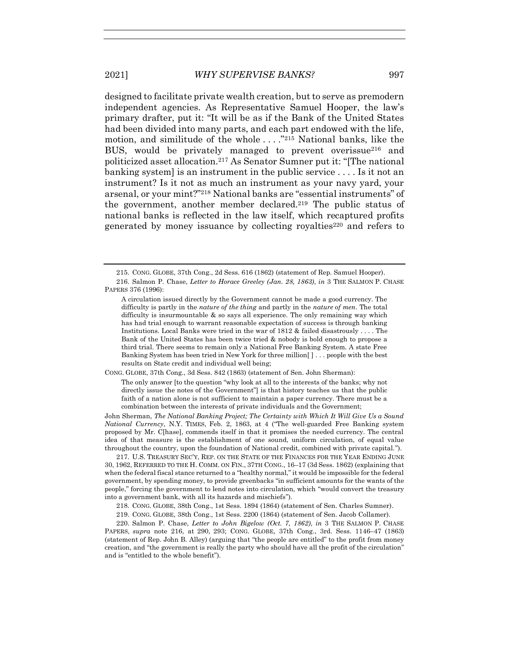<span id="page-47-0"></span>designed to facilitate private wealth creation, but to serve as premodern independent agencies. As Representative Samuel Hooper, the law's primary drafter, put it: "It will be as if the Bank of the United States had been divided into many parts, and each part endowed with the life, motion, and similitude of the whole . . . ."<sup>215</sup> National banks, like the BUS, would be privately managed to prevent overissue<sup>216</sup> and politicized asset allocation.<sup>217</sup> As Senator Sumner put it: "[The national banking system] is an instrument in the public service . . . . Is it not an instrument? Is it not as much an instrument as your navy yard, your arsenal, or your mint?"<sup>218</sup> National banks are "essential instruments" of the government, another member declared.<sup>219</sup> The public status of national banks is reflected in the law itself, which recaptured profits generated by money issuance by collecting royalties<sup>220</sup> and refers to

CONG. GLOBE, 37th Cong., 3d Sess. 842 (1863) (statement of Sen. John Sherman):

The only answer [to the question "why look at all to the interests of the banks; why not directly issue the notes of the Government"] is that history teaches us that the public faith of a nation alone is not sufficient to maintain a paper currency. There must be a combination between the interests of private individuals and the Government;

John Sherman, *The National Banking Project; The Certainty with Which It Will Give Us a Sound National Currency*, N.Y. TIMES, Feb. 2, 1863, at 4 ("The well-guarded Free Banking system proposed by Mr. C[hase], commends itself in that it promises the needed currency. The central idea of that measure is the establishment of one sound, uniform circulation, of equal value throughout the country, upon the foundation of National credit, combined with private capital.").

217. U.S. TREASURY SEC'Y, REP. ON THE STATE OF THE FINANCES FOR THE YEAR ENDING JUNE 30, 1962, REFERRED TO THE H. COMM. ON FIN., 37TH CONG., 16–17 (3d Sess. 1862) (explaining that when the federal fiscal stance returned to a "healthy normal," it would be impossible for the federal government, by spending money, to provide greenbacks "in sufficient amounts for the wants of the people," forcing the government to lend notes into circulation, which "would convert the treasury into a government bank, with all its hazards and mischiefs").

218. CONG. GLOBE, 38th Cong., 1st Sess. 1894 (1864) (statement of Sen. Charles Sumner).

219. CONG. GLOBE, 38th Cong., 1st Sess. 2200 (1864) (statement of Sen. Jacob Collamer).

220. Salmon P. Chase, *Letter to John Bigelow (Oct. 7, 1862)*, *in* 3 THE SALMON P. CHASE PAPERS, *supra* note [216,](#page-47-0) at 290, 293; CONG. GLOBE, 37th Cong., 3rd. Sess. 1146–47 (1863) (statement of Rep. John B. Alley) (arguing that "the people are entitled" to the profit from money creation, and "the government is really the party who should have all the profit of the circulation" and is "entitled to the whole benefit").

<sup>215.</sup> CONG. GLOBE, 37th Cong., 2d Sess. 616 (1862) (statement of Rep. Samuel Hooper).

<sup>216.</sup> Salmon P. Chase, *Letter to Horace Greeley (Jan. 28, 1863)*, *in* 3 THE SALMON P. CHASE PAPERS 376 (1996):

A circulation issued directly by the Government cannot be made a good currency. The difficulty is partly in the *nature of the thing* and partly in the *nature of men*. The total difficulty is insurmountable & so says all experience. The only remaining way which has had trial enough to warrant reasonable expectation of success is through banking Institutions. Local Banks were tried in the war of 1812 & failed disastrously . . . . The Bank of the United States has been twice tried & nobody is bold enough to propose a third trial. There seems to remain only a National Free Banking System. A state Free Banking System has been tried in New York for three million[ ] . . . people with the best results on State credit and individual well being;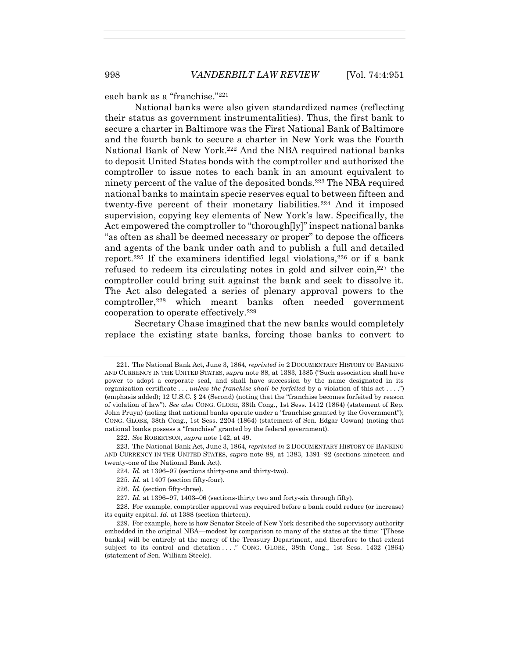each bank as a "franchise."<sup>221</sup>

National banks were also given standardized names (reflecting their status as government instrumentalities). Thus, the first bank to secure a charter in Baltimore was the First National Bank of Baltimore and the fourth bank to secure a charter in New York was the Fourth National Bank of New York.<sup>222</sup> And the NBA required national banks to deposit United States bonds with the comptroller and authorized the comptroller to issue notes to each bank in an amount equivalent to ninety percent of the value of the deposited bonds.<sup>223</sup> The NBA required national banks to maintain specie reserves equal to between fifteen and twenty-five percent of their monetary liabilities.<sup>224</sup> And it imposed supervision, copying key elements of New York's law. Specifically, the Act empowered the comptroller to "thorough[ly]" inspect national banks "as often as shall be deemed necessary or proper" to depose the officers and agents of the bank under oath and to publish a full and detailed report.<sup>225</sup> If the examiners identified legal violations, <sup>226</sup> or if a bank refused to redeem its circulating notes in gold and silver coin,<sup>227</sup> the comptroller could bring suit against the bank and seek to dissolve it. The Act also delegated a series of plenary approval powers to the comptroller,<sup>228</sup> which meant banks often needed government cooperation to operate effectively.<sup>229</sup>

<span id="page-48-0"></span>Secretary Chase imagined that the new banks would completely replace the existing state banks, forcing those banks to convert to

<sup>221.</sup> The National Bank Act, June 3, 1864, *reprinted in* 2 DOCUMENTARY HISTORY OF BANKING AND CURRENCY IN THE UNITED STATES, *supra* not[e 88,](#page-21-0) at 1383, 1385 ("Such association shall have power to adopt a corporate seal, and shall have succession by the name designated in its organization certificate . . . *unless the franchise shall be forfeited* by a violation of this act . . . .") (emphasis added); 12 U.S.C. § 24 (Second) (noting that the "franchise becomes forfeited by reason of violation of law"). *See also* CONG. GLOBE, 38th Cong., 1st Sess. 1412 (1864) (statement of Rep. John Pruyn) (noting that national banks operate under a "franchise granted by the Government"); CONG. GLOBE, 38th Cong., 1st Sess. 2204 (1864) (statement of Sen. Edgar Cowan) (noting that national banks possess a "franchise" granted by the federal government).

<sup>222</sup>*. See* ROBERTSON, *supra* not[e 142,](#page-33-0) at 49.

<sup>223.</sup> The National Bank Act, June 3, 1864, *reprinted in* 2 DOCUMENTARY HISTORY OF BANKING AND CURRENCY IN THE UNITED STATES, *supra* note [88,](#page-21-0) at 1383, 1391–92 (sections nineteen and twenty-one of the National Bank Act).

<sup>224</sup>*. Id.* at 1396–97 (sections thirty-one and thirty-two).

<sup>225</sup>*. Id.* at 1407 (section fifty-four).

<sup>226</sup>*. Id.* (section fifty-three).

<sup>227</sup>*. Id.* at 1396–97, 1403–06 (sections-thirty two and forty-six through fifty).

<sup>228.</sup> For example, comptroller approval was required before a bank could reduce (or increase) its equity capital. *Id.* at 1388 (section thirteen).

<sup>229.</sup> For example, here is how Senator Steele of New York described the supervisory authority embedded in the original NBA—modest by comparison to many of the states at the time: "[These banks] will be entirely at the mercy of the Treasury Department, and therefore to that extent subject to its control and dictation ...." CONG. GLOBE, 38th Cong., 1st Sess. 1432 (1864) (statement of Sen. William Steele).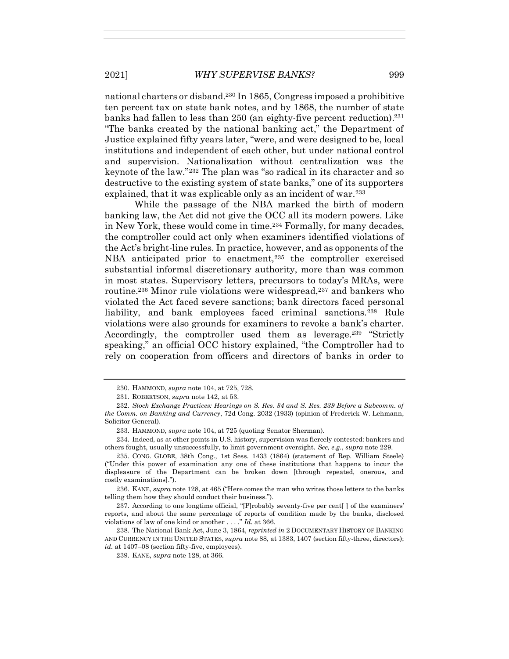national charters or disband.<sup>230</sup> In 1865, Congress imposed a prohibitive ten percent tax on state bank notes, and by 1868, the number of state banks had fallen to less than 250 (an eighty-five percent reduction).<sup>231</sup> "The banks created by the national banking act," the Department of Justice explained fifty years later, "were, and were designed to be, local institutions and independent of each other, but under national control and supervision. Nationalization without centralization was the keynote of the law."<sup>232</sup> The plan was "so radical in its character and so destructive to the existing system of state banks," one of its supporters explained, that it was explicable only as an incident of war.<sup>233</sup>

While the passage of the NBA marked the birth of modern banking law, the Act did not give the OCC all its modern powers. Like in New York, these would come in time.<sup>234</sup> Formally, for many decades, the comptroller could act only when examiners identified violations of the Act's bright-line rules. In practice, however, and as opponents of the NBA anticipated prior to enactment,<sup>235</sup> the comptroller exercised substantial informal discretionary authority, more than was common in most states. Supervisory letters, precursors to today's MRAs, were routine.<sup>236</sup> Minor rule violations were widespread,<sup>237</sup> and bankers who violated the Act faced severe sanctions; bank directors faced personal liability, and bank employees faced criminal sanctions.<sup>238</sup> Rule violations were also grounds for examiners to revoke a bank's charter. Accordingly, the comptroller used them as leverage.<sup>239</sup> "Strictly speaking," an official OCC history explained, "the Comptroller had to rely on cooperation from officers and directors of banks in order to

239. KANE, *supra* note [128,](#page-30-0) at 366.

<sup>230.</sup> HAMMOND, *supra* not[e 104,](#page-25-1) at 725, 728.

<sup>231.</sup> ROBERTSON, *supra* note [142,](#page-33-0) at 53.

<sup>232</sup>*. Stock Exchange Practices: Hearings on S. Res. 84 and S. Res. 239 Before a Subcomm. of the Comm. on Banking and Currency*, 72d Cong. 2032 (1933) (opinion of Frederick W. Lehmann, Solicitor General).

<sup>233.</sup> HAMMOND, *supra* not[e 104,](#page-25-1) at 725 (quoting Senator Sherman).

<sup>234.</sup> Indeed, as at other points in U.S. history, supervision was fiercely contested: bankers and others fought, usually unsuccessfully, to limit government oversight. *See, e.g.*, *supra* note [229.](#page-48-0)

<sup>235.</sup> CONG. GLOBE, 38th Cong., 1st Sess. 1433 (1864) (statement of Rep. William Steele) ("Under this power of examination any one of these institutions that happens to incur the displeasure of the Department can be broken down [through repeated, onerous, and costly examinations].").

<sup>236.</sup> KANE, *supra* not[e 128,](#page-30-0) at 465 ("Here comes the man who writes those letters to the banks telling them how they should conduct their business.").

<sup>237.</sup> According to one longtime official, "[P]robably seventy-five per cent[ ] of the examiners' reports, and about the same percentage of reports of condition made by the banks, disclosed violations of law of one kind or another . . . ." *Id.* at 366.

<sup>238</sup>*.* The National Bank Act, June 3, 1864, *reprinted in* 2 DOCUMENTARY HISTORY OF BANKING AND CURRENCY IN THE UNITED STATES, *supra* not[e 88,](#page-21-0) at 1383, 1407 (section fifty-three, directors); *id.* at 1407–08 (section fifty-five, employees).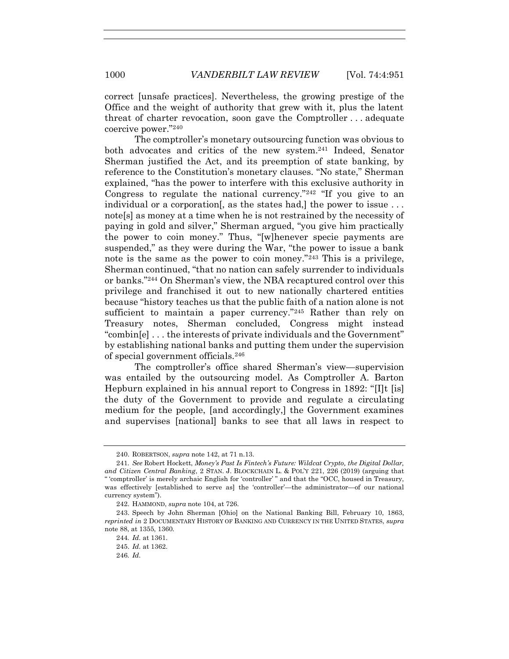correct [unsafe practices]. Nevertheless, the growing prestige of the Office and the weight of authority that grew with it, plus the latent threat of charter revocation, soon gave the Comptroller . . . adequate coercive power."<sup>240</sup>

The comptroller's monetary outsourcing function was obvious to both advocates and critics of the new system.<sup>241</sup> Indeed, Senator Sherman justified the Act, and its preemption of state banking, by reference to the Constitution's monetary clauses. "No state," Sherman explained, "has the power to interfere with this exclusive authority in Congress to regulate the national currency."<sup>242</sup> "If you give to an individual or a corporation. as the states had, the power to issue  $\dots$ note[s] as money at a time when he is not restrained by the necessity of paying in gold and silver," Sherman argued, "you give him practically the power to coin money." Thus, "[w]henever specie payments are suspended," as they were during the War, "the power to issue a bank note is the same as the power to coin money."<sup>243</sup> This is a privilege, Sherman continued, "that no nation can safely surrender to individuals or banks."<sup>244</sup> On Sherman's view, the NBA recaptured control over this privilege and franchised it out to new nationally chartered entities because "history teaches us that the public faith of a nation alone is not sufficient to maintain a paper currency."<sup>245</sup> Rather than rely on Treasury notes, Sherman concluded, Congress might instead "combin[e] . . . the interests of private individuals and the Government" by establishing national banks and putting them under the supervision of special government officials.<sup>246</sup>

The comptroller's office shared Sherman's view—supervision was entailed by the outsourcing model. As Comptroller A. Barton Hepburn explained in his annual report to Congress in 1892: "[I]t [is] the duty of the Government to provide and regulate a circulating medium for the people, [and accordingly,] the Government examines and supervises [national] banks to see that all laws in respect to

<sup>240.</sup> ROBERTSON, *supra* note [142,](#page-33-0) at 71 n.13.

<sup>241</sup>*. See* Robert Hockett, *Money's Past Is Fintech's Future: Wildcat Crypto, the Digital Dollar, and Citizen Central Banking*, 2 STAN. J. BLOCKCHAIN L. & POL'Y 221, 226 (2019) (arguing that " 'comptroller' is merely archaic English for 'controller' " and that the "OCC, housed in Treasury, was effectively [established to serve as] the 'controller'—the administrator—of our national currency system").

<sup>242.</sup> HAMMOND, *supra* not[e 104,](#page-25-1) at 726.

<sup>243.</sup> Speech by John Sherman [Ohio] on the National Banking Bill, February 10, 1863, *reprinted in* 2 DOCUMENTARY HISTORY OF BANKING AND CURRENCY IN THE UNITED STATES, *supra* not[e 88,](#page-21-0) at 1355, 1360.

<sup>244</sup>*. Id.* at 1361.

<sup>245.</sup> *Id.* at 1362.

<sup>246</sup>*. Id.*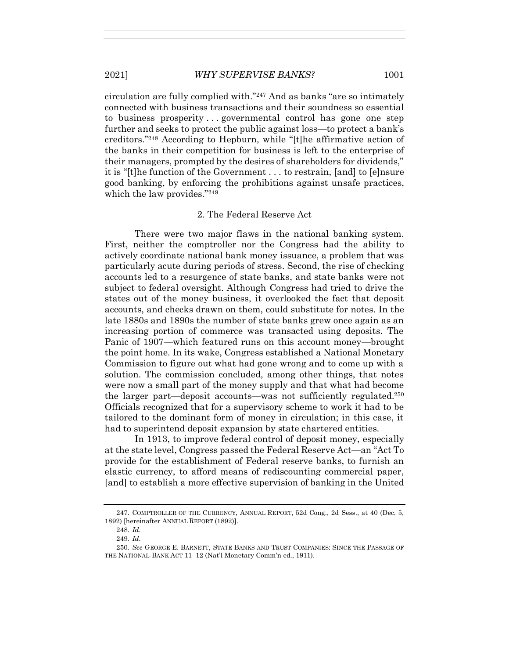circulation are fully complied with."<sup>247</sup> And as banks "are so intimately connected with business transactions and their soundness so essential to business prosperity . . . governmental control has gone one step further and seeks to protect the public against loss—to protect a bank's creditors."<sup>248</sup> According to Hepburn, while "[t]he affirmative action of the banks in their competition for business is left to the enterprise of their managers, prompted by the desires of shareholders for dividends," it is "[t]he function of the Government . . . to restrain, [and] to [e]nsure good banking, by enforcing the prohibitions against unsafe practices, which the law provides."249

### <span id="page-51-0"></span>2. The Federal Reserve Act

There were two major flaws in the national banking system. First, neither the comptroller nor the Congress had the ability to actively coordinate national bank money issuance, a problem that was particularly acute during periods of stress. Second, the rise of checking accounts led to a resurgence of state banks, and state banks were not subject to federal oversight. Although Congress had tried to drive the states out of the money business, it overlooked the fact that deposit accounts, and checks drawn on them, could substitute for notes. In the late 1880s and 1890s the number of state banks grew once again as an increasing portion of commerce was transacted using deposits. The Panic of 1907—which featured runs on this account money—brought the point home. In its wake, Congress established a National Monetary Commission to figure out what had gone wrong and to come up with a solution. The commission concluded, among other things, that notes were now a small part of the money supply and that what had become the larger part—deposit accounts—was not sufficiently regulated. 250 Officials recognized that for a supervisory scheme to work it had to be tailored to the dominant form of money in circulation; in this case, it had to superintend deposit expansion by state chartered entities.

In 1913, to improve federal control of deposit money, especially at the state level, Congress passed the Federal Reserve Act—an "Act To provide for the establishment of Federal reserve banks, to furnish an elastic currency, to afford means of rediscounting commercial paper, [and] to establish a more effective supervision of banking in the United

<sup>247.</sup> COMPTROLLER OF THE CURRENCY, ANNUAL REPORT, 52d Cong., 2d Sess., at 40 (Dec. 5, 1892) [hereinafter ANNUAL REPORT (1892)].

<sup>248</sup>*. Id.*

<sup>249</sup>*. Id.*

<sup>250</sup>*. See* GEORGE E. BARNETT, STATE BANKS AND TRUST COMPANIES: SINCE THE PASSAGE OF THE NATIONAL-BANK ACT 11–12 (Nat'l Monetary Comm'n ed., 1911).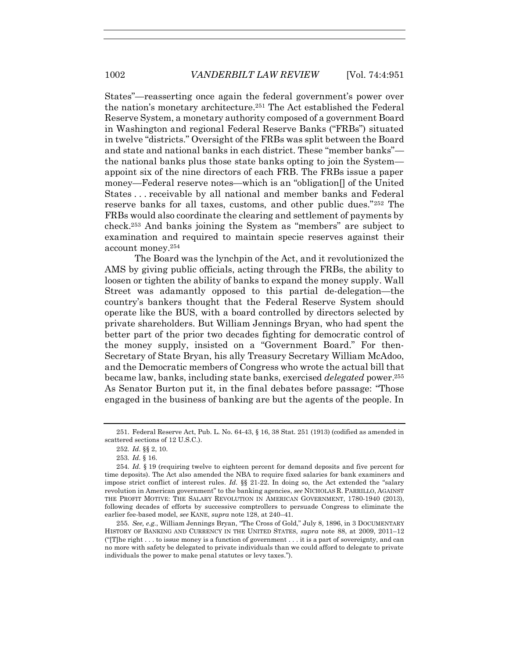States"—reasserting once again the federal government's power over the nation's monetary architecture.<sup>251</sup> The Act established the Federal Reserve System, a monetary authority composed of a government Board in Washington and regional Federal Reserve Banks ("FRBs") situated in twelve "districts." Oversight of the FRBs was split between the Board and state and national banks in each district. These "member banks" the national banks plus those state banks opting to join the System appoint six of the nine directors of each FRB. The FRBs issue a paper money—Federal reserve notes—which is an "obligation[] of the United States . . . receivable by all national and member banks and Federal reserve banks for all taxes, customs, and other public dues."<sup>252</sup> The FRBs would also coordinate the clearing and settlement of payments by check.<sup>253</sup> And banks joining the System as "members" are subject to examination and required to maintain specie reserves against their account money.<sup>254</sup>

The Board was the lynchpin of the Act, and it revolutionized the AMS by giving public officials, acting through the FRBs, the ability to loosen or tighten the ability of banks to expand the money supply. Wall Street was adamantly opposed to this partial de-delegation—the country's bankers thought that the Federal Reserve System should operate like the BUS, with a board controlled by directors selected by private shareholders. But William Jennings Bryan, who had spent the better part of the prior two decades fighting for democratic control of the money supply, insisted on a "Government Board." For then-Secretary of State Bryan, his ally Treasury Secretary William McAdoo, and the Democratic members of Congress who wrote the actual bill that became law, banks, including state banks, exercised *delegated* power.<sup>255</sup> As Senator Burton put it, in the final debates before passage: "Those engaged in the business of banking are but the agents of the people. In

255*. See, e.g.*, William Jennings Bryan, "The Cross of Gold," July 8, 1896, in 3 DOCUMENTARY HISTORY OF BANKING AND CURRENCY IN THE UNITED STATES, *supra* note [88,](#page-21-0) at 2009, 2011–12 ("The right  $\dots$  to issue money is a function of government  $\dots$  it is a part of sovereignty, and can no more with safety be delegated to private individuals than we could afford to delegate to private individuals the power to make penal statutes or levy taxes.").

<sup>251.</sup> Federal Reserve Act, Pub. L. No. 64-43, § 16, 38 Stat. 251 (1913) (codified as amended in scattered sections of 12 U.S.C.).

<sup>252</sup>*. Id.* §§ 2, 10.

<sup>253</sup>*. Id.* § 16.

<sup>254</sup>*. Id.* § 19 (requiring twelve to eighteen percent for demand deposits and five percent for time deposits). The Act also amended the NBA to require fixed salaries for bank examiners and impose strict conflict of interest rules. *Id.* §§ 21-22. In doing so, the Act extended the "salary revolution in American government" to the banking agencies, *see* NICHOLAS R. PARRILLO, AGAINST THE PROFIT MOTIVE: THE SALARY REVOLUTION IN AMERICAN GOVERNMENT, 1780-1940 (2013), following decades of efforts by successive comptrollers to persuade Congress to eliminate the earlier fee-based model, *see* KANE, *supra* note [128,](#page-30-0) at 240–41.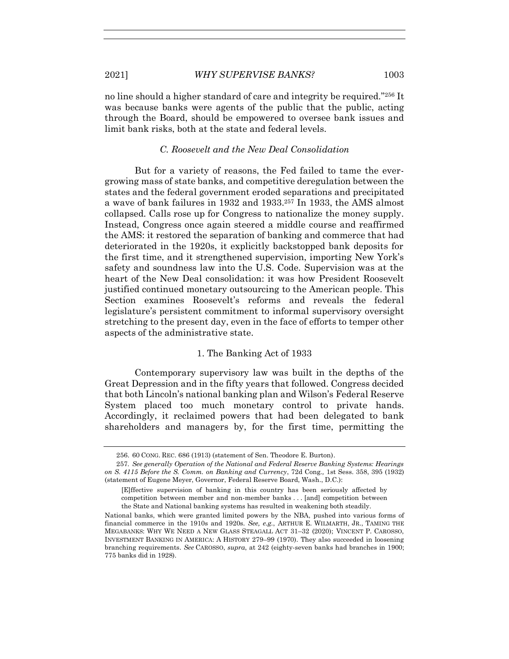no line should a higher standard of care and integrity be required." <sup>256</sup> It was because banks were agents of the public that the public, acting through the Board, should be empowered to oversee bank issues and limit bank risks, both at the state and federal levels.

# *C. Roosevelt and the New Deal Consolidation*

But for a variety of reasons, the Fed failed to tame the evergrowing mass of state banks, and competitive deregulation between the states and the federal government eroded separations and precipitated a wave of bank failures in 1932 and 1933.<sup>257</sup> In 1933, the AMS almost collapsed. Calls rose up for Congress to nationalize the money supply. Instead, Congress once again steered a middle course and reaffirmed the AMS: it restored the separation of banking and commerce that had deteriorated in the 1920s, it explicitly backstopped bank deposits for the first time, and it strengthened supervision, importing New York's safety and soundness law into the U.S. Code. Supervision was at the heart of the New Deal consolidation: it was how President Roosevelt justified continued monetary outsourcing to the American people. This Section examines Roosevelt's reforms and reveals the federal legislature's persistent commitment to informal supervisory oversight stretching to the present day, even in the face of efforts to temper other aspects of the administrative state.

# 1. The Banking Act of 1933

Contemporary supervisory law was built in the depths of the Great Depression and in the fifty years that followed. Congress decided that both Lincoln's national banking plan and Wilson's Federal Reserve System placed too much monetary control to private hands. Accordingly, it reclaimed powers that had been delegated to bank shareholders and managers by, for the first time, permitting the

<sup>256.</sup> 60 CONG. REC. 686 (1913) (statement of Sen. Theodore E. Burton).

<sup>257</sup>*. See generally Operation of the National and Federal Reserve Banking Systems: Hearings on S. 4115 Before the S. Comm. on Banking and Currency*, 72d Cong*.,* 1st Sess. 358, 395 (1932) (statement of Eugene Meyer, Governor, Federal Reserve Board, Wash., D.C.):

<sup>[</sup>E]ffective supervision of banking in this country has been seriously affected by competition between member and non-member banks . . . [and] competition between the State and National banking systems has resulted in weakening both steadily.

National banks, which were granted limited powers by the NBA, pushed into various forms of financial commerce in the 1910s and 1920s. *See, e.g.*, ARTHUR E. WILMARTH, JR., TAMING THE MEGABANKS: WHY WE NEED A NEW GLASS STEAGALL ACT 31–32 (2020); VINCENT P. CAROSSO, INVESTMENT BANKING IN AMERICA: A HISTORY 279–99 (1970). They also succeeded in loosening branching requirements. *See* CAROSSO, *supra*, at 242 (eighty-seven banks had branches in 1900; 775 banks did in 1928).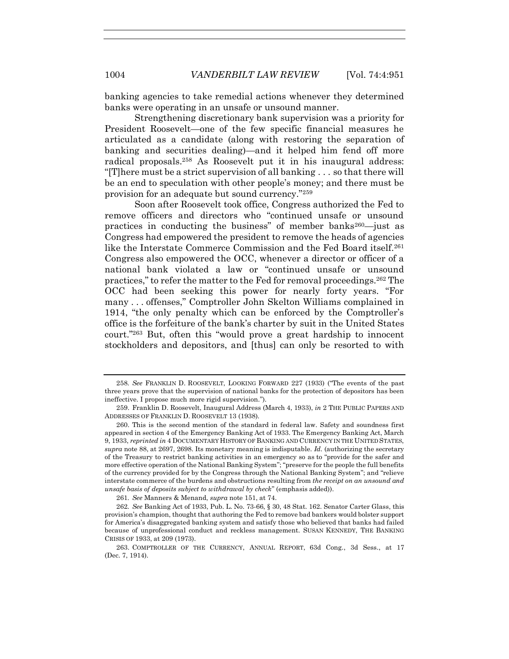banking agencies to take remedial actions whenever they determined banks were operating in an unsafe or unsound manner.

Strengthening discretionary bank supervision was a priority for President Roosevelt—one of the few specific financial measures he articulated as a candidate (along with restoring the separation of banking and securities dealing)—and it helped him fend off more radical proposals. <sup>258</sup> As Roosevelt put it in his inaugural address: "[T]here must be a strict supervision of all banking . . . so that there will be an end to speculation with other people's money; and there must be provision for an adequate but sound currency."<sup>259</sup>

<span id="page-54-0"></span>Soon after Roosevelt took office, Congress authorized the Fed to remove officers and directors who "continued unsafe or unsound practices in conducting the business" of member banks260—just as Congress had empowered the president to remove the heads of agencies like the Interstate Commerce Commission and the Fed Board itself.<sup>261</sup> Congress also empowered the OCC, whenever a director or officer of a national bank violated a law or "continued unsafe or unsound practices," to refer the matter to the Fed for removal proceedings.<sup>262</sup> The OCC had been seeking this power for nearly forty years. "For many . . . offenses," Comptroller John Skelton Williams complained in 1914, "the only penalty which can be enforced by the Comptroller's office is the forfeiture of the bank's charter by suit in the United States court."<sup>263</sup> But, often this "would prove a great hardship to innocent stockholders and depositors, and [thus] can only be resorted to with

261*. See* Manners & Menand, *supra* not[e 151,](#page-36-0) at 74.

<sup>258</sup>*. See* FRANKLIN D. ROOSEVELT, LOOKING FORWARD 227 (1933) ("The events of the past three years prove that the supervision of national banks for the protection of depositors has been ineffective. I propose much more rigid supervision.").

<sup>259.</sup> Franklin D. Roosevelt, Inaugural Address (March 4, 1933), *in* 2 THE PUBLIC PAPERS AND ADDRESSES OF FRANKLIN D. ROOSEVELT 13 (1938).

<sup>260.</sup> This is the second mention of the standard in federal law. Safety and soundness first appeared in section 4 of the Emergency Banking Act of 1933. The Emergency Banking Act, March 9, 1933, *reprinted in* 4 DOCUMENTARY HISTORY OF BANKING AND CURRENCY IN THE UNITED STATES, *supra* not[e 88,](#page-21-0) at 2697, 2698. Its monetary meaning is indisputable. *Id.* (authorizing the secretary of the Treasury to restrict banking activities in an emergency so as to "provide for the safer and more effective operation of the National Banking System"; "preserve for the people the full benefits of the currency provided for by the Congress through the National Banking System"; and "relieve interstate commerce of the burdens and obstructions resulting from *the receipt on an unsound and unsafe basis of deposits subject to withdrawal by check*" (emphasis added)).

<sup>262</sup>*. See* Banking Act of 1933, Pub. L. No. 73-66, § 30, 48 Stat. 162. Senator Carter Glass, this provision's champion, thought that authoring the Fed to remove bad bankers would bolster support for America's disaggregated banking system and satisfy those who believed that banks had failed because of unprofessional conduct and reckless management. SUSAN KENNEDY, THE BANKING CRISIS OF 1933, at 209 (1973).

<sup>263.</sup> COMPTROLLER OF THE CURRENCY, ANNUAL REPORT, 63d Cong., 3d Sess., at 17 (Dec. 7, 1914).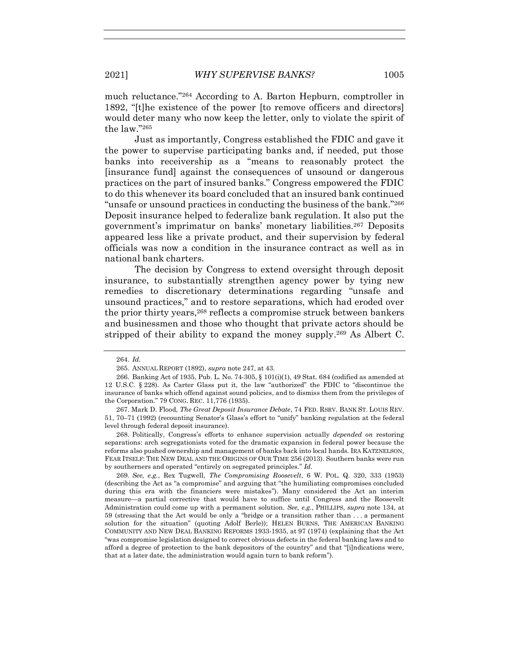much reluctance."<sup>264</sup> According to A. Barton Hepburn, comptroller in 1892, "[t]he existence of the power [to remove officers and directors] would deter many who now keep the letter, only to violate the spirit of the law."<sup>265</sup>

Just as importantly, Congress established the FDIC and gave it the power to supervise participating banks and, if needed, put those banks into receivership as a "means to reasonably protect the [insurance fund] against the consequences of unsound or dangerous practices on the part of insured banks." Congress empowered the FDIC to do this whenever its board concluded that an insured bank continued "unsafe or unsound practices in conducting the business of the bank."<sup>266</sup> Deposit insurance helped to federalize bank regulation. It also put the government's imprimatur on banks' monetary liabilities.<sup>267</sup> Deposits appeared less like a private product, and their supervision by federal officials was now a condition in the insurance contract as well as in national bank charters.

The decision by Congress to extend oversight through deposit insurance, to substantially strengthen agency power by tying new remedies to discretionary determinations regarding "unsafe and unsound practices," and to restore separations, which had eroded over the prior thirty years, <sup>268</sup> reflects a compromise struck between bankers and businessmen and those who thought that private actors should be stripped of their ability to expand the money supply.<sup>269</sup> As Albert C.

268. Politically, Congress's efforts to enhance supervision actually *depended on* restoring separations: arch segregationists voted for the dramatic expansion in federal power because the reforms also pushed ownership and management of banks back into local hands. IRA KATZNELSON, FEAR ITSELF: THE NEW DEAL AND THE ORIGINS OF OUR TIME 256 (2013). Southern banks were run by southerners and operated "entirely on segregated principles." *Id.*

269*. See, e.g.*, Rex Tugwell, *The Compromising Roosevelt*, 6 W. POL. Q. 320, 333 (1953) (describing the Act as "a compromise" and arguing that "the humiliating compromises concluded during this era with the financiers were mistakes"). Many considered the Act an interim measure—a partial corrective that would have to suffice until Congress and the Roosevelt Administration could come up with a permanent solution. *See, e.g.*, PHILLIPS, *supra* note [134,](#page-32-0) at 59 (stressing that the Act would be only a "bridge or a transition rather than . . . a permanent solution for the situation" (quoting Adolf Berle)); HELEN BURNS, THE AMERICAN BANKING COMMUNITY AND NEW DEAL BANKING REFORMS 1933-1935, at 97 (1974) (explaining that the Act "was compromise legislation designed to correct obvious defects in the federal banking laws and to afford a degree of protection to the bank depositors of the country" and that "[i]ndications were, that at a later date, the administration would again turn to bank reform").

<span id="page-55-0"></span><sup>264.</sup> *Id.*

<sup>265.</sup> ANNUAL REPORT (1892), *supra* note [247,](#page-51-0) at 43.

<sup>266.</sup> Banking Act of 1935, Pub. L. No. 74-305, § 101(i)(1), 49 Stat. 684 (codified as amended at 12 U.S.C. § 228). As Carter Glass put it, the law "authorized" the FDIC to "discontinue the insurance of banks which offend against sound policies, and to dismiss them from the privileges of the Corporation." 79 CONG. REC. 11,776 (1935).

<sup>267.</sup> Mark D. Flood, *The Great Deposit Insurance Debate*, 74 FED. RSRV. BANK ST. LOUIS REV. 51, 70–71 (1992) (recounting Senator's Glass's effort to "unify" banking regulation at the federal level through federal deposit insurance).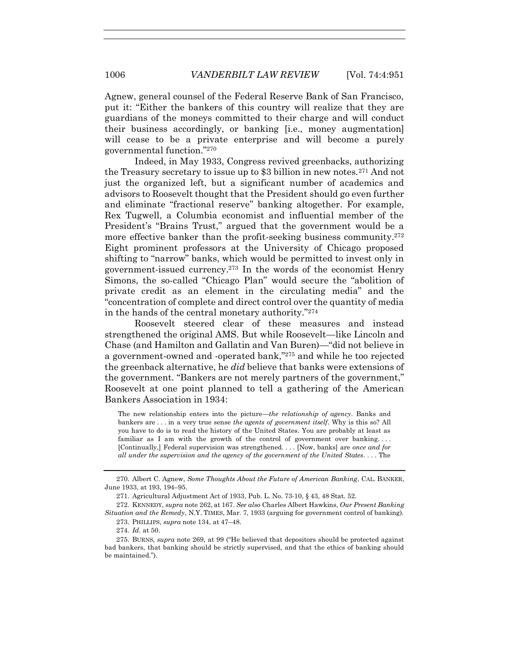Agnew, general counsel of the Federal Reserve Bank of San Francisco, put it: "Either the bankers of this country will realize that they are guardians of the moneys committed to their charge and will conduct their business accordingly, or banking [i.e., money augmentation] will cease to be a private enterprise and will become a purely governmental function."<sup>270</sup>

Indeed, in May 1933, Congress revived greenbacks, authorizing the Treasury secretary to issue up to \$3 billion in new notes.<sup>271</sup> And not just the organized left, but a significant number of academics and advisors to Roosevelt thought that the President should go even further and eliminate "fractional reserve" banking altogether. For example, Rex Tugwell, a Columbia economist and influential member of the President's "Brains Trust," argued that the government would be a more effective banker than the profit-seeking business community.<sup>272</sup> Eight prominent professors at the University of Chicago proposed shifting to "narrow" banks, which would be permitted to invest only in government-issued currency. <sup>273</sup> In the words of the economist Henry Simons, the so-called "Chicago Plan" would secure the "abolition of private credit as an element in the circulating media" and the "concentration of complete and direct control over the quantity of media in the hands of the central monetary authority."<sup>274</sup>

Roosevelt steered clear of these measures and instead strengthened the original AMS. But while Roosevelt—like Lincoln and Chase (and Hamilton and Gallatin and Van Buren)—"did not believe in a government-owned and -operated bank,"<sup>275</sup> and while he too rejected the greenback alternative, he *did* believe that banks were extensions of the government. "Bankers are not merely partners of the government," Roosevelt at one point planned to tell a gathering of the American Bankers Association in 1934:

The new relationship enters into the picture—*the relationship of agency*. Banks and bankers are . . . in a very true sense *the agents of government itself*. Why is this so? All you have to do is to read the history of the United States. You are probably at least as familiar as I am with the growth of the control of government over banking. . . . [Continually,] Federal supervision was strengthened. . . . [Now, banks] are *once and for all under the supervision and the agency of the government of the United States*. . . . The

274*. Id.* at 50.

<sup>270.</sup> Albert C. Agnew, *Some Thoughts About the Future of American Banking*, CAL. BANKER, June 1933, at 193, 194–95.

<sup>271.</sup> Agricultural Adjustment Act of 1933, Pub. L. No. 73-10, § 43, 48 Stat. 52.

<sup>272.</sup> KENNEDY, *supra* not[e 262,](#page-54-0) at 167. *See also* Charles Albert Hawkins, *Our Present Banking Situation and the Remedy*, N.Y. TIMES, Mar. 7, 1933 (arguing for government control of banking).

<sup>273.</sup> PHILLIPS, *supra* note [134,](#page-32-0) at 47–48.

<sup>275.</sup> BURNS, *supra* note [269,](#page-55-0) at 99 ("He believed that depositors should be protected against bad bankers, that banking should be strictly supervised, and that the ethics of banking should be maintained.").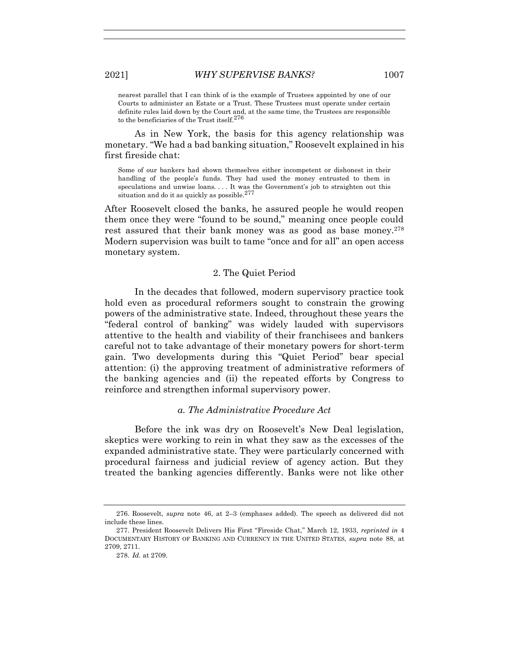nearest parallel that I can think of is the example of Trustees appointed by one of our

Courts to administer an Estate or a Trust. These Trustees must operate under certain definite rules laid down by the Court and, at the same time, the Trustees are responsible to the beneficiaries of the Trust itself.<sup>276</sup>

As in New York, the basis for this agency relationship was monetary. "We had a bad banking situation," Roosevelt explained in his first fireside chat:

Some of our bankers had shown themselves either incompetent or dishonest in their handling of the people's funds. They had used the money entrusted to them in speculations and unwise loans. . . . It was the Government's job to straighten out this situation and do it as quickly as possible.<sup>277</sup>

After Roosevelt closed the banks, he assured people he would reopen them once they were "found to be sound," meaning once people could rest assured that their bank money was as good as base money.<sup>278</sup> Modern supervision was built to tame "once and for all" an open access monetary system.

# 2. The Quiet Period

In the decades that followed, modern supervisory practice took hold even as procedural reformers sought to constrain the growing powers of the administrative state. Indeed, throughout these years the "federal control of banking" was widely lauded with supervisors attentive to the health and viability of their franchisees and bankers careful not to take advantage of their monetary powers for short-term gain. Two developments during this "Quiet Period" bear special attention: (i) the approving treatment of administrative reformers of the banking agencies and (ii) the repeated efforts by Congress to reinforce and strengthen informal supervisory power.

# *a. The Administrative Procedure Act*

Before the ink was dry on Roosevelt's New Deal legislation, skeptics were working to rein in what they saw as the excesses of the expanded administrative state. They were particularly concerned with procedural fairness and judicial review of agency action. But they treated the banking agencies differently. Banks were not like other

<sup>276.</sup> Roosevelt, *supra* note [46,](#page-12-0) at 2–3 (emphases added). The speech as delivered did not include these lines.

<sup>277.</sup> President Roosevelt Delivers His First "Fireside Chat," March 12, 1933, *reprinted in* 4 DOCUMENTARY HISTORY OF BANKING AND CURRENCY IN THE UNITED STATES, *supra* note [88,](#page-21-0) at 2709, 2711.

<sup>278.</sup> *Id.* at 2709.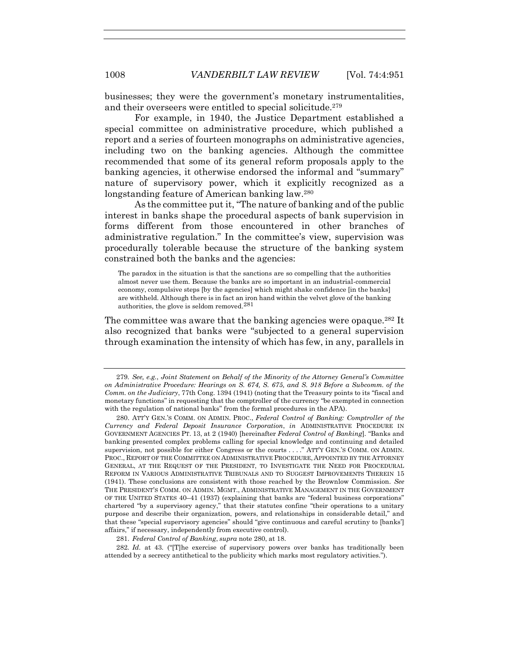businesses; they were the government's monetary instrumentalities, and their overseers were entitled to special solicitude.<sup>279</sup>

For example, in 1940, the Justice Department established a special committee on administrative procedure, which published a report and a series of fourteen monographs on administrative agencies, including two on the banking agencies. Although the committee recommended that some of its general reform proposals apply to the banking agencies, it otherwise endorsed the informal and "summary" nature of supervisory power, which it explicitly recognized as a longstanding feature of American banking law.<sup>280</sup>

<span id="page-58-0"></span>As the committee put it, "The nature of banking and of the public interest in banks shape the procedural aspects of bank supervision in forms different from those encountered in other branches of administrative regulation." In the committee's view, supervision was procedurally tolerable because the structure of the banking system constrained both the banks and the agencies:

The paradox in the situation is that the sanctions are so compelling that the authorities almost never use them. Because the banks are so important in an industrial-commercial economy, compulsive steps [by the agencies] which might shake confidence [in the banks] are withheld. Although there is in fact an iron hand within the velvet glove of the banking authorities, the glove is seldom removed.<sup>281</sup>

The committee was aware that the banking agencies were opaque.<sup>282</sup> It also recognized that banks were "subjected to a general supervision through examination the intensity of which has few, in any, parallels in

281. *Federal Control of Banking*, *supra* not[e 280,](#page-58-0) at 18.

282*. Id.* at 43*.* ("[T]he exercise of supervisory powers over banks has traditionally been attended by a secrecy antithetical to the publicity which marks most regulatory activities.").

<sup>279</sup>*. See, e.g.*, *Joint Statement on Behalf of the Minority of the Attorney General's Committee on Administrative Procedure: Hearings on S. 674, S. 675, and S. 918 Before a Subcomm. of the Comm. on the Judiciary*, 77th Cong. 1394 (1941) (noting that the Treasury points to its "fiscal and monetary functions" in requesting that the comptroller of the currency "be exempted in connection with the regulation of national banks" from the formal procedures in the APA).

<sup>280.</sup> ATT'Y GEN.'S COMM. ON ADMIN. PROC., *Federal Control of Banking: Comptroller of the Currency and Federal Deposit Insurance Corporation*, *in* ADMINISTRATIVE PROCEDURE IN GOVERNMENT AGENCIES PT. 13, at 2 (1940) [hereinafter *Federal Control of Banking*]. "Banks and banking presented complex problems calling for special knowledge and continuing and detailed supervision, not possible for either Congress or the courts . . . ." ATT'Y GEN.'S COMM. ON ADMIN. PROC., REPORT OF THE COMMITTEE ON ADMINISTRATIVE PROCEDURE, APPOINTED BY THE ATTORNEY GENERAL, AT THE REQUEST OF THE PRESIDENT, TO INVESTIGATE THE NEED FOR PROCEDURAL REFORM IN VARIOUS ADMINISTRATIVE TRIBUNALS AND TO SUGGEST IMPROVEMENTS THEREIN 15 (1941). These conclusions are consistent with those reached by the Brownlow Commission. *See* THE PRESIDENT'S COMM. ON ADMIN. MGMT., ADMINISTRATIVE MANAGEMENT IN THE GOVERNMENT OF THE UNITED STATES 40–41 (1937) (explaining that banks are "federal business corporations" chartered "by a supervisory agency," that their statutes confine "their operations to a unitary purpose and describe their organization, powers, and relationships in considerable detail," and that these "special supervisory agencies" should "give continuous and careful scrutiny to [banks'] affairs," if necessary, independently from executive control).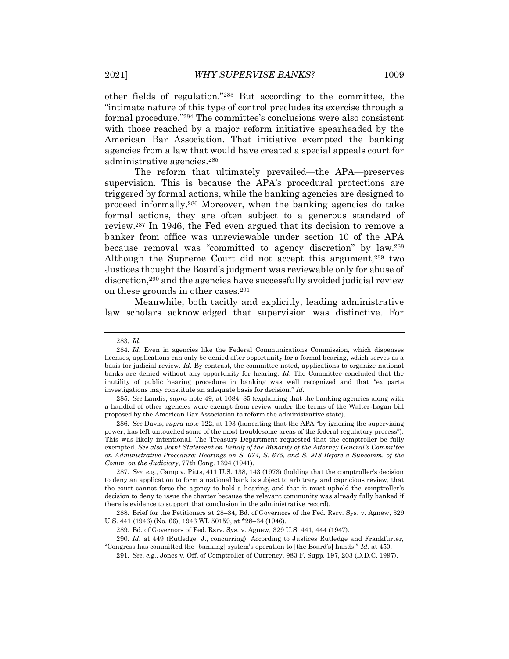other fields of regulation."<sup>283</sup> But according to the committee, the "intimate nature of this type of control precludes its exercise through a formal procedure."<sup>284</sup> The committee's conclusions were also consistent with those reached by a major reform initiative spearheaded by the American Bar Association. That initiative exempted the banking agencies from a law that would have created a special appeals court for administrative agencies.<sup>285</sup>

The reform that ultimately prevailed—the APA—preserves supervision. This is because the APA's procedural protections are triggered by formal actions, while the banking agencies are designed to proceed informally. <sup>286</sup> Moreover, when the banking agencies do take formal actions, they are often subject to a generous standard of review. <sup>287</sup> In 1946, the Fed even argued that its decision to remove a banker from office was unreviewable under section 10 of the APA because removal was "committed to agency discretion" by law.<sup>288</sup> Although the Supreme Court did not accept this argument,<sup>289</sup> two Justices thought the Board's judgment was reviewable only for abuse of discretion,<sup>290</sup> and the agencies have successfully avoided judicial review on these grounds in other cases.<sup>291</sup>

Meanwhile, both tacitly and explicitly, leading administrative law scholars acknowledged that supervision was distinctive. For

285*. See* Landis, *supra* note [49,](#page-13-0) at 1084–85 (explaining that the banking agencies along with a handful of other agencies were exempt from review under the terms of the Walter-Logan bill proposed by the American Bar Association to reform the administrative state).

286*. See* Davis, *supra* note [122,](#page-29-0) at 193 (lamenting that the APA "by ignoring the supervising power, has left untouched some of the most troublesome areas of the federal regulatory process"). This was likely intentional. The Treasury Department requested that the comptroller be fully exempted. *See also Joint Statement on Behalf of the Minority of the Attorney General's Committee on Administrative Procedure: Hearings on S. 674, S. 675, and S. 918 Before a Subcomm. of the Comm. on the Judiciary*, 77th Cong. 1394 (1941).

287*. See*, *e.g.*, Camp v. Pitts, 411 U.S. 138, 143 (1973) (holding that the comptroller's decision to deny an application to form a national bank is subject to arbitrary and capricious review, that the court cannot force the agency to hold a hearing, and that it must uphold the comptroller's decision to deny to issue the charter because the relevant community was already fully banked if there is evidence to support that conclusion in the administrative record).

288. Brief for the Petitioners at 28–34*,* Bd. of Governors of the Fed. Rsrv. Sys. v. Agnew, 329 U.S. 441 (1946) (No. 66), 1946 WL 50159, at \*28–34 (1946).

290. *Id.* at 449 (Rutledge, J., concurring). According to Justices Rutledge and Frankfurter, "Congress has committed the [banking] system's operation to [the Board's] hands." *Id.* at 450.

291*. See*, *e.g*., Jones v. Off. of Comptroller of Currency, 983 F. Supp. 197, 203 (D.D.C. 1997).

<sup>283</sup>*. Id.*

<sup>284</sup>*. Id.* Even in agencies like the Federal Communications Commission, which dispenses licenses, applications can only be denied after opportunity for a formal hearing, which serves as a basis for judicial review. *Id.* By contrast, the committee noted, applications to organize national banks are denied without any opportunity for hearing. *Id.* The Committee concluded that the inutility of public hearing procedure in banking was well recognized and that "ex parte investigations may constitute an adequate basis for decision." *Id.*

<sup>289.</sup> Bd. of Governors of Fed. Rsrv. Sys. v. Agnew, 329 U.S. 441, 444 (1947).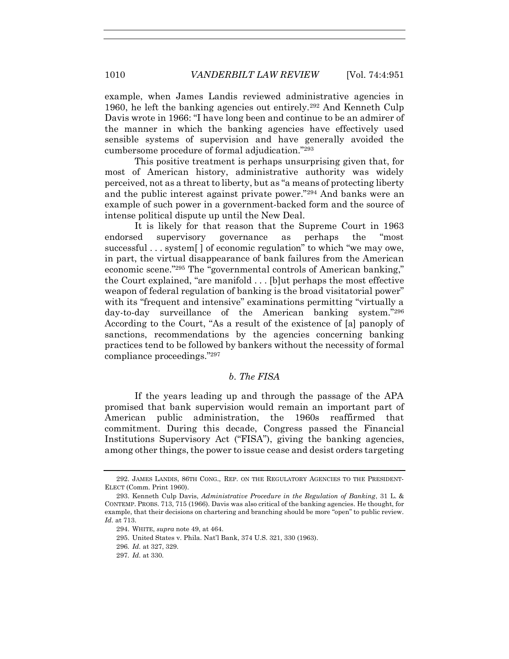example, when James Landis reviewed administrative agencies in 1960, he left the banking agencies out entirely.<sup>292</sup> And Kenneth Culp Davis wrote in 1966: "I have long been and continue to be an admirer of the manner in which the banking agencies have effectively used sensible systems of supervision and have generally avoided the cumbersome procedure of formal adjudication."<sup>293</sup>

This positive treatment is perhaps unsurprising given that, for most of American history, administrative authority was widely perceived, not as a threat to liberty, but as "a means of protecting liberty and the public interest against private power."<sup>294</sup> And banks were an example of such power in a government-backed form and the source of intense political dispute up until the New Deal.

It is likely for that reason that the Supreme Court in 1963 endorsed supervisory governance as perhaps the "most successful . . . system[ ] of economic regulation" to which "we may owe, in part, the virtual disappearance of bank failures from the American economic scene."<sup>295</sup> The "governmental controls of American banking," the Court explained, "are manifold . . . [b]ut perhaps the most effective weapon of federal regulation of banking is the broad visitatorial power" with its "frequent and intensive" examinations permitting "virtually a day-to-day surveillance of the American banking system."<sup>296</sup> According to the Court, "As a result of the existence of [a] panoply of sanctions, recommendations by the agencies concerning banking practices tend to be followed by bankers without the necessity of formal compliance proceedings."<sup>297</sup>

# *b. The FISA*

If the years leading up and through the passage of the APA promised that bank supervision would remain an important part of American public administration, the 1960s reaffirmed that commitment. During this decade, Congress passed the Financial Institutions Supervisory Act ("FISA"), giving the banking agencies, among other things, the power to issue cease and desist orders targeting

<sup>292.</sup> JAMES LANDIS, 86TH CONG., REP. ON THE REGULATORY AGENCIES TO THE PRESIDENT-ELECT (Comm. Print 1960).

<sup>293.</sup> Kenneth Culp Davis, *Administrative Procedure in the Regulation of Banking*, 31 L. & CONTEMP. PROBS. 713, 715 (1966). Davis was also critical of the banking agencies. He thought, for example, that their decisions on chartering and branching should be more "open" to public review. *Id.* at 713.

<sup>294.</sup> WHITE, *supra* note [49,](#page-13-0) at 464.

<sup>295.</sup> United States v. Phila. Nat'l Bank, 374 U.S. 321, 330 (1963).

<sup>296</sup>*. Id.* at 327, 329*.*

<sup>297</sup>*. Id.* at 330*.*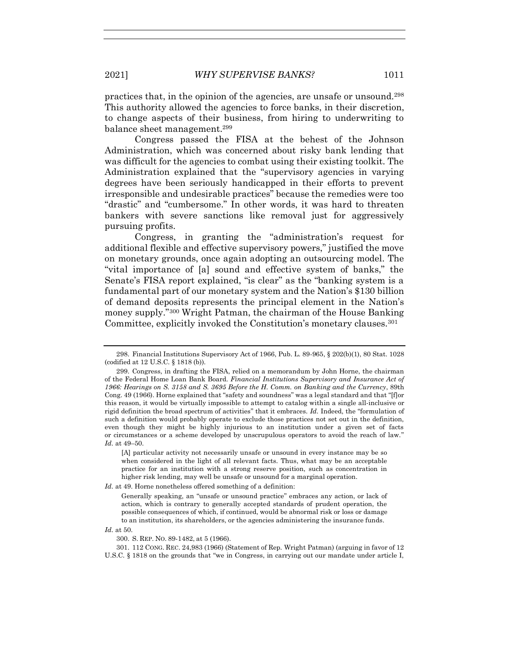practices that, in the opinion of the agencies, are unsafe or unsound.<sup>298</sup> This authority allowed the agencies to force banks, in their discretion, to change aspects of their business, from hiring to underwriting to balance sheet management.<sup>299</sup>

Congress passed the FISA at the behest of the Johnson Administration, which was concerned about risky bank lending that was difficult for the agencies to combat using their existing toolkit. The Administration explained that the "supervisory agencies in varying degrees have been seriously handicapped in their efforts to prevent irresponsible and undesirable practices" because the remedies were too "drastic" and "cumbersome." In other words, it was hard to threaten bankers with severe sanctions like removal just for aggressively pursuing profits.

Congress, in granting the "administration's request for additional flexible and effective supervisory powers," justified the move on monetary grounds, once again adopting an outsourcing model. The "vital importance of [a] sound and effective system of banks," the Senate's FISA report explained, "is clear" as the "banking system is a fundamental part of our monetary system and the Nation's \$130 billion of demand deposits represents the principal element in the Nation's money supply."<sup>300</sup> Wright Patman, the chairman of the House Banking Committee, explicitly invoked the Constitution's monetary clauses.<sup>301</sup>

[A] particular activity not necessarily unsafe or unsound in every instance may be so when considered in the light of all relevant facts. Thus, what may be an acceptable practice for an institution with a strong reserve position, such as concentration in higher risk lending, may well be unsafe or unsound for a marginal operation.

*Id.* at 49. Horne nonetheless offered something of a definition:

Generally speaking, an "unsafe or unsound practice" embraces any action, or lack of action, which is contrary to generally accepted standards of prudent operation, the possible consequences of which, if continued, would be abnormal risk or loss or damage to an institution, its shareholders, or the agencies administering the insurance funds.

*Id.* at 50.

301. 112 CONG. REC. 24,983 (1966) (Statement of Rep. Wright Patman) (arguing in favor of 12 U.S.C. § 1818 on the grounds that "we in Congress, in carrying out our mandate under article I,

<sup>298.</sup> Financial Institutions Supervisory Act of 1966, Pub. L. 89-965, § 202(b)(1), 80 Stat. 1028 (codified at 12 U.S.C. § 1818 (b)).

<sup>299.</sup> Congress, in drafting the FISA, relied on a memorandum by John Horne, the chairman of the Federal Home Loan Bank Board. *Financial Institutions Supervisory and Insurance Act of 1966: Hearings on S. 3158 and S. 3695 Before the H. Comm. on Banking and the Currency*, 89th Cong. 49 (1966). Horne explained that "safety and soundness" was a legal standard and that "[f]or this reason, it would be virtually impossible to attempt to catalog within a single all-inclusive or rigid definition the broad spectrum of activities" that it embraces. *Id.* Indeed, the "formulation of such a definition would probably operate to exclude those practices not set out in the definition, even though they might be highly injurious to an institution under a given set of facts or circumstances or a scheme developed by unscrupulous operators to avoid the reach of law." *Id.* at 49–50.

<sup>300.</sup> S. REP. NO. 89-1482, at 5 (1966).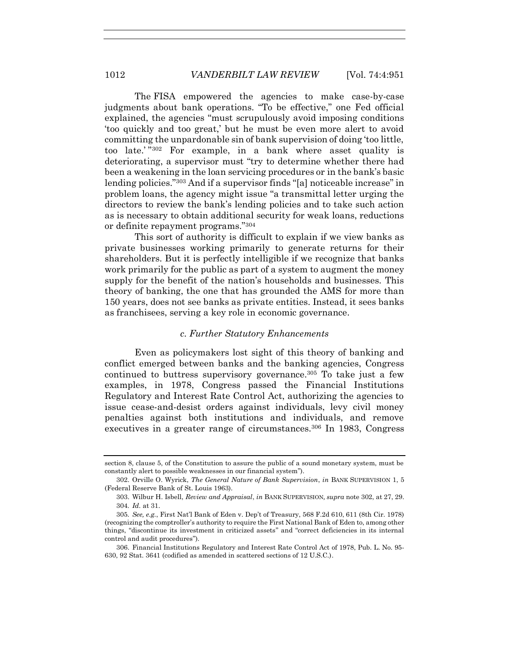<span id="page-62-0"></span>The FISA empowered the agencies to make case-by-case judgments about bank operations. "To be effective," one Fed official explained, the agencies "must scrupulously avoid imposing conditions 'too quickly and too great,' but he must be even more alert to avoid committing the unpardonable sin of bank supervision of doing 'too little, too late.' " <sup>302</sup> For example, in a bank where asset quality is deteriorating, a supervisor must "try to determine whether there had been a weakening in the loan servicing procedures or in the bank's basic lending policies."<sup>303</sup> And if a supervisor finds "[a] noticeable increase" in problem loans, the agency might issue "a transmittal letter urging the directors to review the bank's lending policies and to take such action as is necessary to obtain additional security for weak loans, reductions or definite repayment programs."<sup>304</sup>

This sort of authority is difficult to explain if we view banks as private businesses working primarily to generate returns for their shareholders. But it is perfectly intelligible if we recognize that banks work primarily for the public as part of a system to augment the money supply for the benefit of the nation's households and businesses. This theory of banking, the one that has grounded the AMS for more than 150 years, does not see banks as private entities. Instead, it sees banks as franchisees, serving a key role in economic governance.

# *c. Further Statutory Enhancements*

Even as policymakers lost sight of this theory of banking and conflict emerged between banks and the banking agencies, Congress continued to buttress supervisory governance. <sup>305</sup> To take just a few examples, in 1978, Congress passed the Financial Institutions Regulatory and Interest Rate Control Act, authorizing the agencies to issue cease-and-desist orders against individuals, levy civil money penalties against both institutions and individuals, and remove executives in a greater range of circumstances.<sup>306</sup> In 1983, Congress

section 8, clause 5, of the Constitution to assure the public of a sound monetary system, must be constantly alert to possible weaknesses in our financial system").

<sup>302.</sup> Orville O. Wyrick, *The General Nature of Bank Supervision*, *in* BANK SUPERVISION 1, 5 (Federal Reserve Bank of St. Louis 1963).

<sup>303.</sup> Wilbur H. Isbell, *Review and Appraisal*, *in* BANK SUPERVISION*, supra* not[e 302,](#page-62-0) at 27, 29. 304*. Id.* at 31.

<sup>305</sup>*. See, e.g.*, First Nat'l Bank of Eden v. Dep't of Treasury, 568 F.2d 610, 611 (8th Cir. 1978) (recognizing the comptroller's authority to require the First National Bank of Eden to, among other things, "discontinue its investment in criticized assets" and "correct deficiencies in its internal control and audit procedures").

<sup>306.</sup> Financial Institutions Regulatory and Interest Rate Control Act of 1978, Pub. L. No. 95- 630, 92 Stat. 3641 (codified as amended in scattered sections of 12 U.S.C.).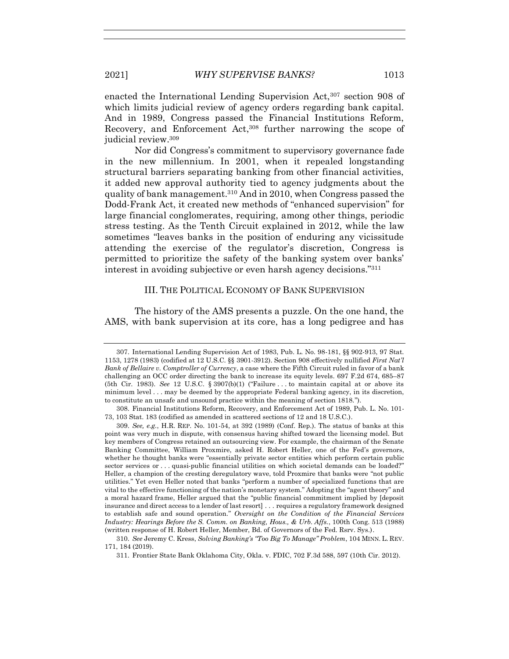enacted the International Lending Supervision Act,<sup>307</sup> section 908 of which limits judicial review of agency orders regarding bank capital. And in 1989, Congress passed the Financial Institutions Reform, Recovery, and Enforcement Act, <sup>308</sup> further narrowing the scope of judicial review. 309

Nor did Congress's commitment to supervisory governance fade in the new millennium. In 2001, when it repealed longstanding structural barriers separating banking from other financial activities, it added new approval authority tied to agency judgments about the quality of bank management.<sup>310</sup> And in 2010, when Congress passed the Dodd-Frank Act, it created new methods of "enhanced supervision" for large financial conglomerates, requiring, among other things, periodic stress testing. As the Tenth Circuit explained in 2012, while the law sometimes "leaves banks in the position of enduring any vicissitude attending the exercise of the regulator's discretion, Congress is permitted to prioritize the safety of the banking system over banks' interest in avoiding subjective or even harsh agency decisions."<sup>311</sup>

#### III. THE POLITICAL ECONOMY OF BANK SUPERVISION

The history of the AMS presents a puzzle. On the one hand, the AMS, with bank supervision at its core, has a long pedigree and has

<sup>307.</sup> International Lending Supervision Act of 1983, Pub. L. No. 98-181, §§ 902-913, 97 Stat. 1153, 1278 (1983) (codified at 12 U.S.C. §§ 3901-3912). Section 908 effectively nullified *First Nat'l Bank of Bellaire v. Comptroller of Currency*, a case where the Fifth Circuit ruled in favor of a bank challenging an OCC order directing the bank to increase its equity levels. 697 F.2d 674, 685–87 (5th Cir. 1983). *See* 12 U.S.C. § 3907(b)(1) ("Failure . . . to maintain capital at or above its minimum level . . . may be deemed by the appropriate Federal banking agency, in its discretion, to constitute an unsafe and unsound practice within the meaning of section 1818.").

<sup>308.</sup> Financial Institutions Reform, Recovery, and Enforcement Act of 1989, Pub. L. No. 101- 73, 103 Stat. 183 (codified as amended in scattered sections of 12 and 18 U.S.C.).

<sup>309.</sup> *See, e.g.*, H.R. REP. No. 101-54, at 392 (1989) (Conf. Rep.). The status of banks at this point was very much in dispute, with consensus having shifted toward the licensing model. But key members of Congress retained an outsourcing view. For example, the chairman of the Senate Banking Committee, William Proxmire, asked H. Robert Heller, one of the Fed's governors, whether he thought banks were "essentially private sector entities which perform certain public sector services or . . . quasi-public financial utilities on which societal demands can be loaded?" Heller, a champion of the cresting deregulatory wave, told Proxmire that banks were "not public utilities." Yet even Heller noted that banks "perform a number of specialized functions that are vital to the effective functioning of the nation's monetary system." Adopting the "agent theory" and a moral hazard frame, Heller argued that the "public financial commitment implied by [deposit insurance and direct access to a lender of last resort] . . . requires a regulatory framework designed to establish safe and sound operation." *Oversight on the Condition of the Financial Services Industry: Hearings Before the S. Comm. on Banking, Hous., & Urb. Affs.*, 100th Cong. 513 (1988) (written response of H. Robert Heller, Member, Bd. of Governors of the Fed. Rsrv. Sys.).

<sup>310.</sup> *See* Jeremy C. Kress, *Solving Banking's "Too Big To Manage" Problem*, 104 MINN. L. REV. 171, 184 (2019).

<sup>311.</sup> Frontier State Bank Oklahoma City, Okla. v. FDIC, 702 F.3d 588, 597 (10th Cir. 2012).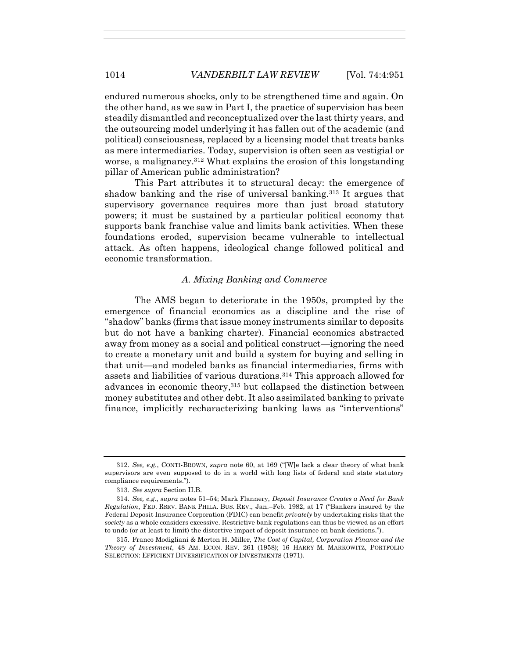endured numerous shocks, only to be strengthened time and again. On the other hand, as we saw in Part I, the practice of supervision has been steadily dismantled and reconceptualized over the last thirty years, and the outsourcing model underlying it has fallen out of the academic (and political) consciousness, replaced by a licensing model that treats banks as mere intermediaries. Today, supervision is often seen as vestigial or worse, a malignancy.<sup>312</sup> What explains the erosion of this longstanding pillar of American public administration?

This Part attributes it to structural decay: the emergence of shadow banking and the rise of universal banking.<sup>313</sup> It argues that supervisory governance requires more than just broad statutory powers; it must be sustained by a particular political economy that supports bank franchise value and limits bank activities. When these foundations eroded, supervision became vulnerable to intellectual attack. As often happens, ideological change followed political and economic transformation.

#### *A. Mixing Banking and Commerce*

The AMS began to deteriorate in the 1950s, prompted by the emergence of financial economics as a discipline and the rise of "shadow" banks (firms that issue money instruments similar to deposits but do not have a banking charter). Financial economics abstracted away from money as a social and political construct—ignoring the need to create a monetary unit and build a system for buying and selling in that unit—and modeled banks as financial intermediaries, firms with assets and liabilities of various durations.<sup>314</sup> This approach allowed for advances in economic theory,<sup>315</sup> but collapsed the distinction between money substitutes and other debt. It also assimilated banking to private finance, implicitly recharacterizing banking laws as "interventions"

<sup>312.</sup> *See, e.g.*, CONTI-BROWN, *supra* note [60](#page-16-0), at 169 ("[W]e lack a clear theory of what bank supervisors are even supposed to do in a world with long lists of federal and state statutory compliance requirements.").

<sup>313</sup>*. See supra* Section II.B.

<sup>314</sup>*. See, e.g.*, *supra* note[s 51](#page-14-0)–[54;](#page-15-0) Mark Flannery, *Deposit Insurance Creates a Need for Bank Regulation*, FED. RSRV. BANK PHILA. BUS. REV., Jan.–Feb. 1982, at 17 ("Bankers insured by the Federal Deposit Insurance Corporation (FDIC) can benefit *privately* by undertaking risks that the *society* as a whole considers excessive. Restrictive bank regulations can thus be viewed as an effort to undo (or at least to limit) the distortive impact of deposit insurance on bank decisions.").

<sup>315.</sup> Franco Modigliani & Merton H. Miller, *The Cost of Capital, Corporation Finance and the Theory of Investment*, 48 AM. ECON. REV. 261 (1958); 16 HARRY M. MARKOWITZ, PORTFOLIO SELECTION: EFFICIENT DIVERSIFICATION OF INVESTMENTS (1971).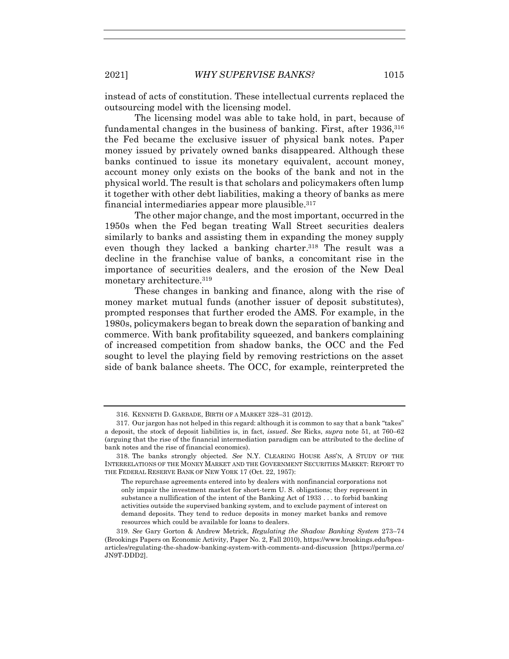instead of acts of constitution. These intellectual currents replaced the outsourcing model with the licensing model.

The licensing model was able to take hold, in part, because of fundamental changes in the business of banking. First, after 1936,<sup>316</sup> the Fed became the exclusive issuer of physical bank notes. Paper money issued by privately owned banks disappeared. Although these banks continued to issue its monetary equivalent, account money, account money only exists on the books of the bank and not in the physical world. The result is that scholars and policymakers often lump it together with other debt liabilities, making a theory of banks as mere financial intermediaries appear more plausible.<sup>317</sup>

The other major change, and the most important, occurred in the 1950s when the Fed began treating Wall Street securities dealers similarly to banks and assisting them in expanding the money supply even though they lacked a banking charter. <sup>318</sup> The result was a decline in the franchise value of banks, a concomitant rise in the importance of securities dealers, and the erosion of the New Deal monetary architecture.<sup>319</sup>

These changes in banking and finance, along with the rise of money market mutual funds (another issuer of deposit substitutes), prompted responses that further eroded the AMS. For example, in the 1980s, policymakers began to break down the separation of banking and commerce. With bank profitability squeezed, and bankers complaining of increased competition from shadow banks, the OCC and the Fed sought to level the playing field by removing restrictions on the asset side of bank balance sheets. The OCC, for example, reinterpreted the

<sup>316.</sup> KENNETH D. GARBADE, BIRTH OF A MARKET 328–31 (2012).

<sup>317.</sup> Our jargon has not helped in this regard: although it is common to say that a bank "takes" a deposit, the stock of deposit liabilities is, in fact, *issued*. *See* Ricks, *supra* note [51,](#page-14-0) at 760–62 (arguing that the rise of the financial intermediation paradigm can be attributed to the decline of bank notes and the rise of financial economics).

<sup>318.</sup> The banks strongly objected. *See* N.Y. CLEARING HOUSE ASS'N, A STUDY OF THE INTERRELATIONS OF THE MONEY MARKET AND THE GOVERNMENT SECURITIES MARKET: REPORT TO THE FEDERAL RESERVE BANK OF NEW YORK 17 (Oct. 22, 1957):

The repurchase agreements entered into by dealers with nonfinancial corporations not only impair the investment market for short-term U. S. obligations; they represent in substance a nullification of the intent of the Banking Act of 1933 . . . to forbid banking activities outside the supervised banking system, and to exclude payment of interest on demand deposits. They tend to reduce deposits in money market banks and remove resources which could be available for loans to dealers.

<sup>319.</sup> *See* Gary Gorton & Andrew Metrick, *Regulating the Shadow Banking System* 273–74 (Brookings Papers on Economic Activity, Paper No. 2, Fall 2010), https://www.brookings.edu/bpeaarticles/regulating-the-shadow-banking-system-with-comments-and-discussion [https://perma.cc/ JN9T-DDD2].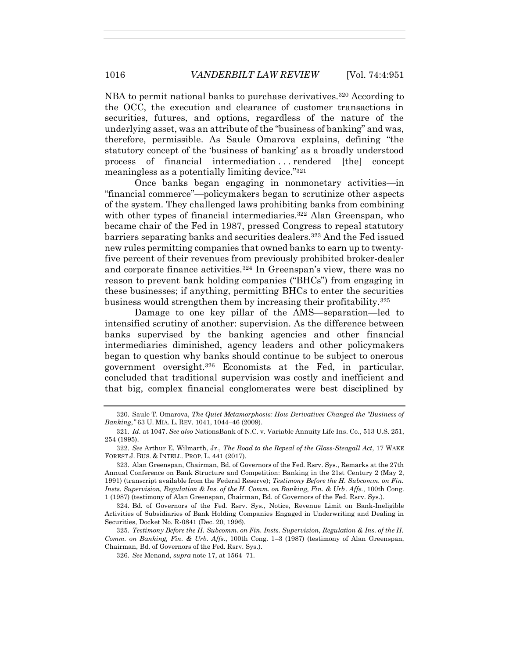NBA to permit national banks to purchase derivatives.<sup>320</sup> According to the OCC, the execution and clearance of customer transactions in securities, futures, and options, regardless of the nature of the underlying asset, was an attribute of the "business of banking" and was, therefore, permissible. As Saule Omarova explains, defining "the statutory concept of the 'business of banking' as a broadly understood process of financial intermediation . . . rendered [the] concept meaningless as a potentially limiting device."<sup>321</sup>

Once banks began engaging in nonmonetary activities—in "financial commerce"—policymakers began to scrutinize other aspects of the system. They challenged laws prohibiting banks from combining with other types of financial intermediaries.<sup>322</sup> Alan Greenspan, who became chair of the Fed in 1987, pressed Congress to repeal statutory barriers separating banks and securities dealers.<sup>323</sup> And the Fed issued new rules permitting companies that owned banks to earn up to twentyfive percent of their revenues from previously prohibited broker-dealer and corporate finance activities.<sup>324</sup> In Greenspan's view, there was no reason to prevent bank holding companies ("BHCs") from engaging in these businesses; if anything, permitting BHCs to enter the securities business would strengthen them by increasing their profitability.<sup>325</sup>

Damage to one key pillar of the AMS—separation—led to intensified scrutiny of another: supervision. As the difference between banks supervised by the banking agencies and other financial intermediaries diminished, agency leaders and other policymakers began to question why banks should continue to be subject to onerous government oversight.<sup>326</sup> Economists at the Fed, in particular, concluded that traditional supervision was costly and inefficient and that big, complex financial conglomerates were best disciplined by

326*. See* Menand, *supra* note [17,](#page-5-0) at 1564–71.

<sup>320.</sup> Saule T. Omarova, *The Quiet Metamorphosis: How Derivatives Changed the "Business of Banking*,*"* 63 U. MIA. L. REV. 1041, 1044–46 (2009).

<sup>321</sup>*. Id.* at 1047. *See also* NationsBank of N.C. v. Variable Annuity Life Ins. Co., 513 U.S. 251, 254 (1995).

<sup>322</sup>*. See* Arthur E. Wilmarth, Jr., *The Road to the Repeal of the Glass-Steagall Act*, 17 WAKE FOREST J. BUS. & INTELL. PROP. L. 441 (2017).

<sup>323.</sup> Alan Greenspan, Chairman, Bd. of Governors of the Fed. Rsrv. Sys., Remarks at the 27th Annual Conference on Bank Structure and Competition: Banking in the 21st Century 2 (May 2, 1991) (transcript available from the Federal Reserve); *Testimony Before the H. Subcomm. on Fin. Insts. Supervision, Regulation & Ins. of the H. Comm. on Banking, Fin. & Urb. Affs.*, 100th Cong. 1 (1987) (testimony of Alan Greenspan, Chairman, Bd. of Governors of the Fed. Rsrv. Sys.).

<sup>324.</sup> Bd. of Governors of the Fed. Rsrv. Sys., Notice, Revenue Limit on Bank-Ineligible Activities of Subsidiaries of Bank Holding Companies Engaged in Underwriting and Dealing in Securities, Docket No. R-0841 (Dec. 20, 1996).

<sup>325</sup>*. Testimony Before the H. Subcomm. on Fin. Insts. Supervision, Regulation & Ins. of the H. Comm. on Banking, Fin. & Urb. Affs.*, 100th Cong. 1–3 (1987) (testimony of Alan Greenspan, Chairman, Bd. of Governors of the Fed. Rsrv. Sys.).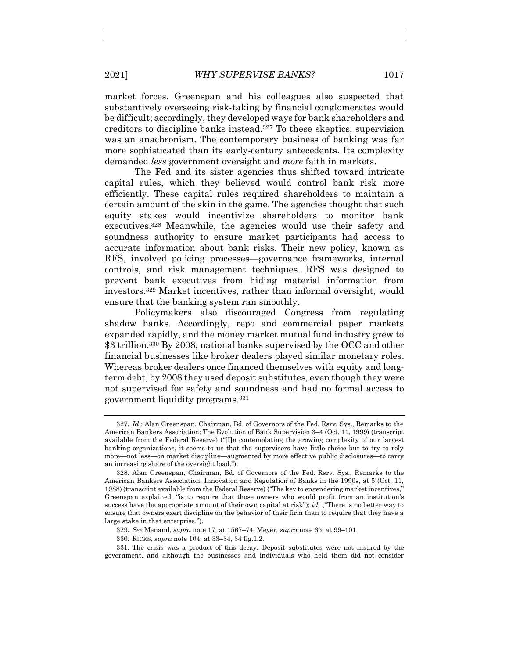market forces. Greenspan and his colleagues also suspected that substantively overseeing risk-taking by financial conglomerates would be difficult; accordingly, they developed ways for bank shareholders and creditors to discipline banks instead. <sup>327</sup> To these skeptics, supervision was an anachronism. The contemporary business of banking was far more sophisticated than its early-century antecedents. Its complexity demanded *less* government oversight and *more* faith in markets.

The Fed and its sister agencies thus shifted toward intricate capital rules, which they believed would control bank risk more efficiently. These capital rules required shareholders to maintain a certain amount of the skin in the game. The agencies thought that such equity stakes would incentivize shareholders to monitor bank executives.<sup>328</sup> Meanwhile, the agencies would use their safety and soundness authority to ensure market participants had access to accurate information about bank risks. Their new policy, known as RFS, involved policing processes—governance frameworks, internal controls, and risk management techniques. RFS was designed to prevent bank executives from hiding material information from investors.<sup>329</sup> Market incentives, rather than informal oversight, would ensure that the banking system ran smoothly.

Policymakers also discouraged Congress from regulating shadow banks. Accordingly, repo and commercial paper markets expanded rapidly, and the money market mutual fund industry grew to \$3 trillion.<sup>330</sup> By 2008, national banks supervised by the OCC and other financial businesses like broker dealers played similar monetary roles. Whereas broker dealers once financed themselves with equity and longterm debt, by 2008 they used deposit substitutes, even though they were not supervised for safety and soundness and had no formal access to government liquidity programs.<sup>331</sup>

331. The crisis was a product of this decay. Deposit substitutes were not insured by the government, and although the businesses and individuals who held them did not consider

<sup>327</sup>*. Id.*; Alan Greenspan, Chairman, Bd. of Governors of the Fed. Rsrv. Sys., Remarks to the American Bankers Association: The Evolution of Bank Supervision 3–4 (Oct. 11, 1999) (transcript available from the Federal Reserve) ("[I]n contemplating the growing complexity of our largest banking organizations, it seems to us that the supervisors have little choice but to try to rely more—not less—on market discipline—augmented by more effective public disclosures—to carry an increasing share of the oversight load.").

<sup>328.</sup> Alan Greenspan, Chairman, Bd. of Governors of the Fed. Rsrv. Sys., Remarks to the American Bankers Association: Innovation and Regulation of Banks in the 1990s, at 5 (Oct. 11, 1988) (transcript available from the Federal Reserve) ("The key to engendering market incentives," Greenspan explained, "is to require that those owners who would profit from an institution's success have the appropriate amount of their own capital at risk"); *id.* ("There is no better way to ensure that owners exert discipline on the behavior of their firm than to require that they have a large stake in that enterprise.").

<sup>329</sup>*. See* Menand, *supra* note [17,](#page-5-0) at 1567–74; Meyer, *supra* not[e 65,](#page-17-0) at 99–101.

<sup>330.</sup> RICKS, *supra* not[e 104,](#page-25-1) at 33–34, 34 fig.1.2.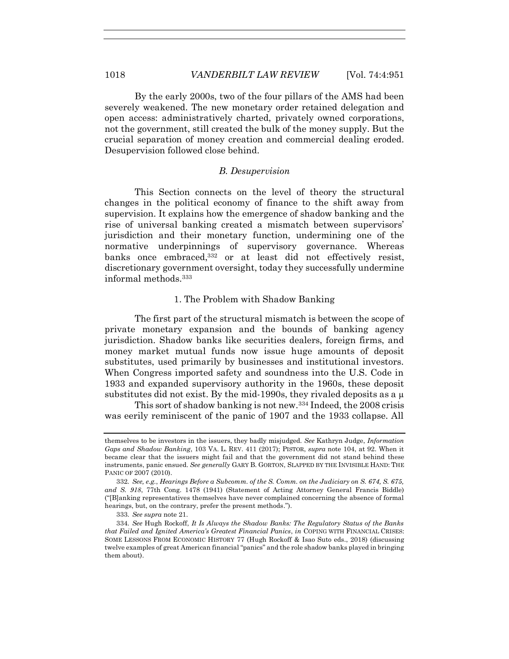By the early 2000s, two of the four pillars of the AMS had been severely weakened. The new monetary order retained delegation and open access: administratively charted, privately owned corporations, not the government, still created the bulk of the money supply. But the crucial separation of money creation and commercial dealing eroded. Desupervision followed close behind.

#### *B. Desupervision*

This Section connects on the level of theory the structural changes in the political economy of finance to the shift away from supervision. It explains how the emergence of shadow banking and the rise of universal banking created a mismatch between supervisors' jurisdiction and their monetary function, undermining one of the normative underpinnings of supervisory governance. Whereas banks once embraced,<sup>332</sup> or at least did not effectively resist, discretionary government oversight, today they successfully undermine informal methods<sup>333</sup>

### 1. The Problem with Shadow Banking

The first part of the structural mismatch is between the scope of private monetary expansion and the bounds of banking agency jurisdiction. Shadow banks like securities dealers, foreign firms, and money market mutual funds now issue huge amounts of deposit substitutes, used primarily by businesses and institutional investors. When Congress imported safety and soundness into the U.S. Code in 1933 and expanded supervisory authority in the 1960s, these deposit substitutes did not exist. By the mid-1990s, they rivaled deposits as a  $\mu$ 

This sort of shadow banking is not new.<sup>334</sup> Indeed, the 2008 crisis was eerily reminiscent of the panic of 1907 and the 1933 collapse. All

themselves to be investors in the issuers, they badly misjudged. *See* Kathryn Judge, *Information Gaps and Shadow Banking*, 103 VA. L. REV. 411 (2017); PISTOR, *supra* note [104,](#page-25-1) at 92. When it became clear that the issuers might fail and that the government did not stand behind these instruments, panic ensued. *See generally* GARY B. GORTON, SLAPPED BY THE INVISIBLE HAND: THE PANIC OF 2007 (2010).

<sup>332</sup>*. See, e.g.*, *Hearings Before a Subcomm. of the S. Comm. on the Judiciary on S. 674, S. 675, and S. 918*, 77th Cong. 1478 (1941) (Statement of Acting Attorney General Francis Biddle) ("[B]anking representatives themselves have never complained concerning the absence of formal hearings, but, on the contrary, prefer the present methods.").

<sup>333</sup>*. See supra* note [21.](#page-6-0)

<sup>334</sup>*. See* Hugh Rockoff, *It Is Always the Shadow Banks: The Regulatory Status of the Banks that Failed and Ignited America's Greatest Financial Panics*, *in* COPING WITH FINANCIAL CRISES: SOME LESSONS FROM ECONOMIC HISTORY 77 (Hugh Rockoff & Isao Suto eds., 2018) (discussing twelve examples of great American financial "panics" and the role shadow banks played in bringing them about).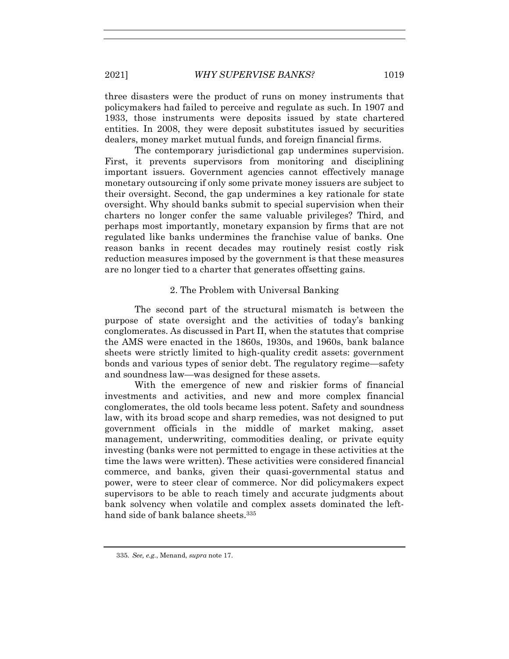three disasters were the product of runs on money instruments that policymakers had failed to perceive and regulate as such. In 1907 and 1933, those instruments were deposits issued by state chartered entities. In 2008, they were deposit substitutes issued by securities dealers, money market mutual funds, and foreign financial firms.

The contemporary jurisdictional gap undermines supervision. First, it prevents supervisors from monitoring and disciplining important issuers. Government agencies cannot effectively manage monetary outsourcing if only some private money issuers are subject to their oversight. Second, the gap undermines a key rationale for state oversight. Why should banks submit to special supervision when their charters no longer confer the same valuable privileges? Third, and perhaps most importantly, monetary expansion by firms that are not regulated like banks undermines the franchise value of banks. One reason banks in recent decades may routinely resist costly risk reduction measures imposed by the government is that these measures are no longer tied to a charter that generates offsetting gains.

# 2. The Problem with Universal Banking

The second part of the structural mismatch is between the purpose of state oversight and the activities of today's banking conglomerates. As discussed in Part II, when the statutes that comprise the AMS were enacted in the 1860s, 1930s, and 1960s, bank balance sheets were strictly limited to high-quality credit assets: government bonds and various types of senior debt. The regulatory regime—safety and soundness law—was designed for these assets.

With the emergence of new and riskier forms of financial investments and activities, and new and more complex financial conglomerates, the old tools became less potent. Safety and soundness law, with its broad scope and sharp remedies, was not designed to put government officials in the middle of market making, asset management, underwriting, commodities dealing, or private equity investing (banks were not permitted to engage in these activities at the time the laws were written). These activities were considered financial commerce, and banks, given their quasi-governmental status and power, were to steer clear of commerce. Nor did policymakers expect supervisors to be able to reach timely and accurate judgments about bank solvency when volatile and complex assets dominated the lefthand side of bank balance sheets. 335

<sup>335</sup>*. See, e.g.*, Menand, *supra* note [17.](#page-5-0)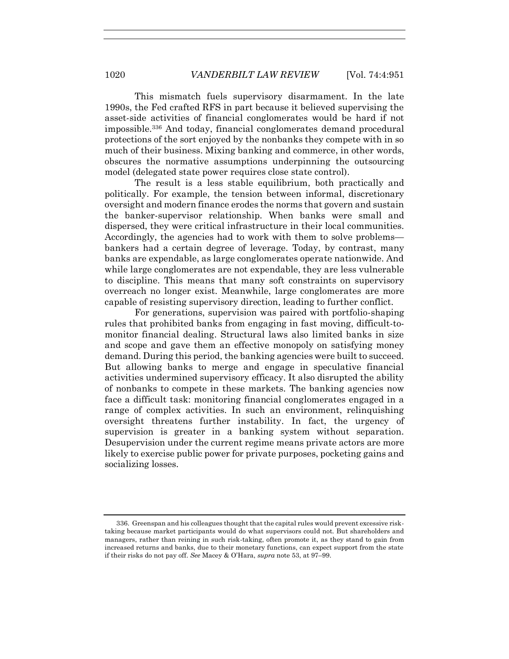This mismatch fuels supervisory disarmament. In the late 1990s, the Fed crafted RFS in part because it believed supervising the asset-side activities of financial conglomerates would be hard if not impossible.<sup>336</sup> And today, financial conglomerates demand procedural protections of the sort enjoyed by the nonbanks they compete with in so much of their business. Mixing banking and commerce, in other words, obscures the normative assumptions underpinning the outsourcing model (delegated state power requires close state control).

The result is a less stable equilibrium, both practically and politically. For example, the tension between informal, discretionary oversight and modern finance erodes the norms that govern and sustain the banker-supervisor relationship. When banks were small and dispersed, they were critical infrastructure in their local communities. Accordingly, the agencies had to work with them to solve problems bankers had a certain degree of leverage. Today, by contrast, many banks are expendable, as large conglomerates operate nationwide. And while large conglomerates are not expendable, they are less vulnerable to discipline. This means that many soft constraints on supervisory overreach no longer exist. Meanwhile, large conglomerates are more capable of resisting supervisory direction, leading to further conflict.

For generations, supervision was paired with portfolio-shaping rules that prohibited banks from engaging in fast moving, difficult-tomonitor financial dealing. Structural laws also limited banks in size and scope and gave them an effective monopoly on satisfying money demand. During this period, the banking agencies were built to succeed. But allowing banks to merge and engage in speculative financial activities undermined supervisory efficacy. It also disrupted the ability of nonbanks to compete in these markets. The banking agencies now face a difficult task: monitoring financial conglomerates engaged in a range of complex activities. In such an environment, relinquishing oversight threatens further instability. In fact, the urgency of supervision is greater in a banking system without separation. Desupervision under the current regime means private actors are more likely to exercise public power for private purposes, pocketing gains and socializing losses.

<sup>336.</sup> Greenspan and his colleagues thought that the capital rules would prevent excessive risktaking because market participants would do what supervisors could not. But shareholders and managers, rather than reining in such risk-taking, often promote it, as they stand to gain from increased returns and banks, due to their monetary functions, can expect support from the state if their risks do not pay off. *See* Macey & O'Hara, *supra* note [53,](#page-14-1) at 97–99.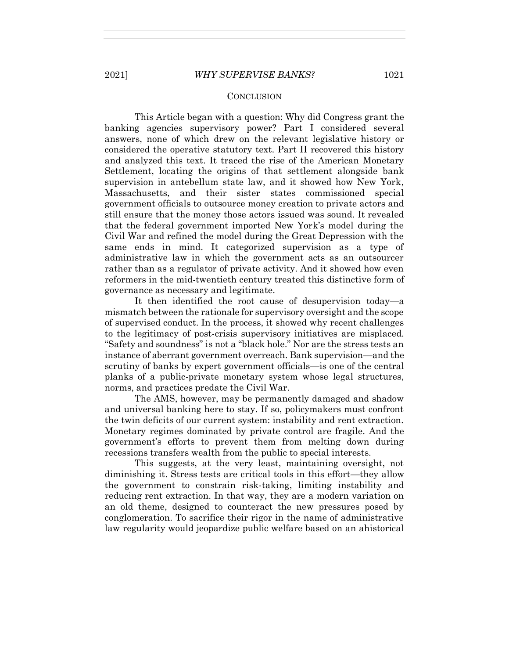This Article began with a question: Why did Congress grant the banking agencies supervisory power? Part I considered several answers, none of which drew on the relevant legislative history or considered the operative statutory text. Part II recovered this history and analyzed this text. It traced the rise of the American Monetary Settlement, locating the origins of that settlement alongside bank supervision in antebellum state law, and it showed how New York, Massachusetts, and their sister states commissioned special government officials to outsource money creation to private actors and still ensure that the money those actors issued was sound. It revealed that the federal government imported New York's model during the Civil War and refined the model during the Great Depression with the same ends in mind. It categorized supervision as a type of administrative law in which the government acts as an outsourcer rather than as a regulator of private activity. And it showed how even reformers in the mid-twentieth century treated this distinctive form of governance as necessary and legitimate.

It then identified the root cause of desupervision today—a mismatch between the rationale for supervisory oversight and the scope of supervised conduct. In the process, it showed why recent challenges to the legitimacy of post-crisis supervisory initiatives are misplaced. "Safety and soundness" is not a "black hole." Nor are the stress tests an instance of aberrant government overreach. Bank supervision—and the scrutiny of banks by expert government officials—is one of the central planks of a public-private monetary system whose legal structures, norms, and practices predate the Civil War.

The AMS, however, may be permanently damaged and shadow and universal banking here to stay. If so, policymakers must confront the twin deficits of our current system: instability and rent extraction. Monetary regimes dominated by private control are fragile. And the government's efforts to prevent them from melting down during recessions transfers wealth from the public to special interests.

This suggests, at the very least, maintaining oversight, not diminishing it. Stress tests are critical tools in this effort—they allow the government to constrain risk-taking, limiting instability and reducing rent extraction. In that way, they are a modern variation on an old theme, designed to counteract the new pressures posed by conglomeration. To sacrifice their rigor in the name of administrative law regularity would jeopardize public welfare based on an ahistorical